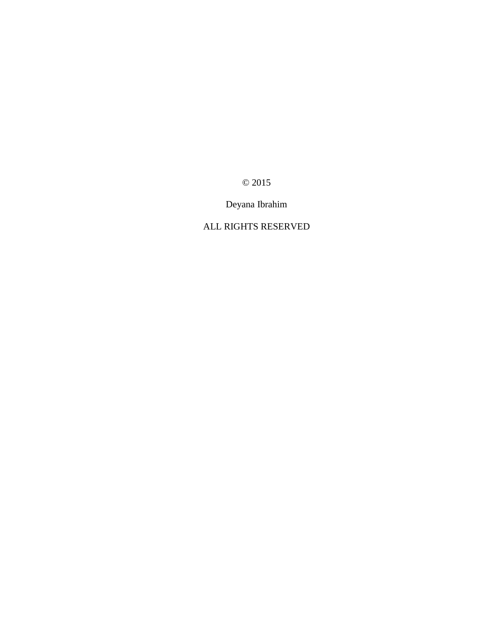© 2015

Deyana Ibrahim

## ALL RIGHTS RESERVED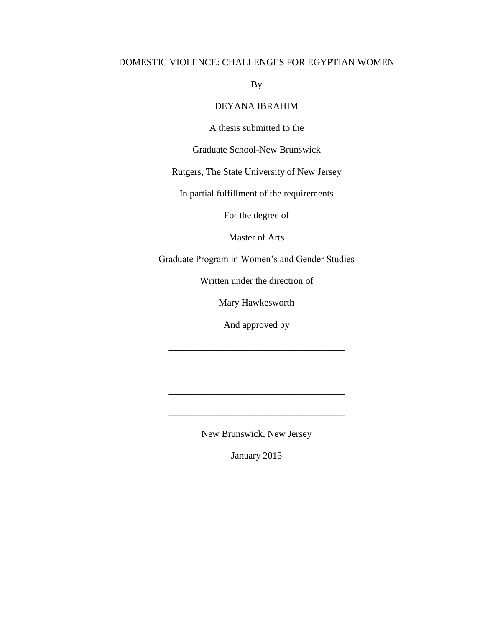### DOMESTIC VIOLENCE: CHALLENGES FOR EGYPTIAN WOMEN

By

### DEYANA IBRAHIM

A thesis submitted to the

Graduate School-New Brunswick

Rutgers, The State University of New Jersey

In partial fulfillment of the requirements

For the degree of

Master of Arts

Graduate Program in Women's and Gender Studies

Written under the direction of

Mary Hawkesworth

And approved by

\_\_\_\_\_\_\_\_\_\_\_\_\_\_\_\_\_\_\_\_\_\_\_\_\_\_\_\_\_\_\_\_\_\_\_\_\_

\_\_\_\_\_\_\_\_\_\_\_\_\_\_\_\_\_\_\_\_\_\_\_\_\_\_\_\_\_\_\_\_\_\_\_\_\_

\_\_\_\_\_\_\_\_\_\_\_\_\_\_\_\_\_\_\_\_\_\_\_\_\_\_\_\_\_\_\_\_\_\_\_\_\_

New Brunswick, New Jersey

January 2015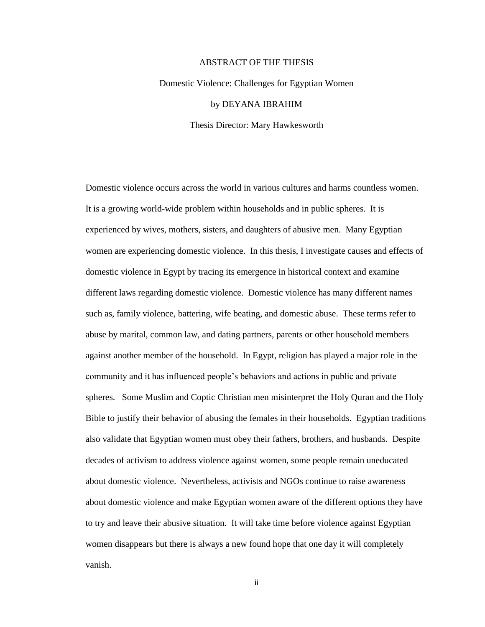#### ABSTRACT OF THE THESIS

# Domestic Violence: Challenges for Egyptian Women by DEYANA IBRAHIM Thesis Director: Mary Hawkesworth

Domestic violence occurs across the world in various cultures and harms countless women. It is a growing world-wide problem within households and in public spheres. It is experienced by wives, mothers, sisters, and daughters of abusive men. Many Egyptian women are experiencing domestic violence. In this thesis, I investigate causes and effects of domestic violence in Egypt by tracing its emergence in historical context and examine different laws regarding domestic violence. Domestic violence has many different names such as, family violence, battering, wife beating, and domestic abuse. These terms refer to abuse by marital, common law, and dating partners, parents or other household members against another member of the household. In Egypt, religion has played a major role in the community and it has influenced people's behaviors and actions in public and private spheres. Some Muslim and Coptic Christian men misinterpret the Holy Quran and the Holy Bible to justify their behavior of abusing the females in their households. Egyptian traditions also validate that Egyptian women must obey their fathers, brothers, and husbands. Despite decades of activism to address violence against women, some people remain uneducated about domestic violence. Nevertheless, activists and NGOs continue to raise awareness about domestic violence and make Egyptian women aware of the different options they have to try and leave their abusive situation. It will take time before violence against Egyptian women disappears but there is always a new found hope that one day it will completely vanish.

ii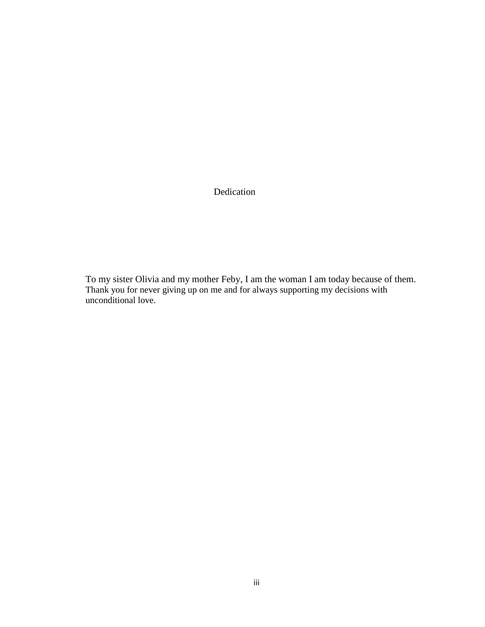Dedication

To my sister Olivia and my mother Feby, I am the woman I am today because of them. Thank you for never giving up on me and for always supporting my decisions with unconditional love.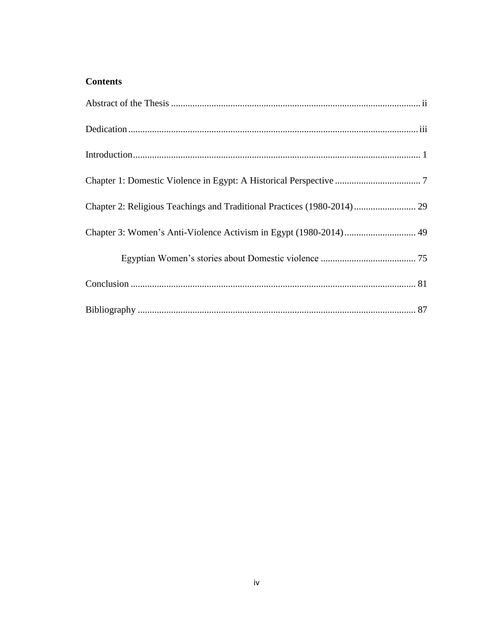## **Contents**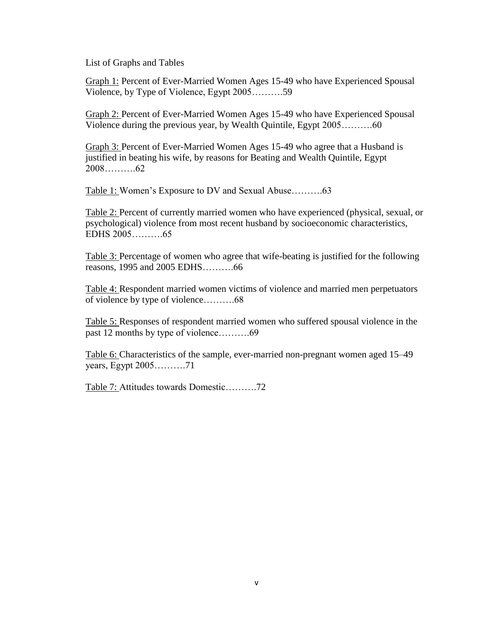List of Graphs and Tables

Graph 1: Percent of Ever-Married Women Ages 15-49 who have Experienced Spousal Violence, by Type of Violence, Egypt 2005……….59

Graph 2: Percent of Ever-Married Women Ages 15-49 who have Experienced Spousal Violence during the previous year, by Wealth Quintile, Egypt 2005……….60

Graph 3: Percent of Ever-Married Women Ages 15-49 who agree that a Husband is justified in beating his wife, by reasons for Beating and Wealth Quintile, Egypt 2008……….62

Table 1: Women's Exposure to DV and Sexual Abuse……….63

Table 2: Percent of currently married women who have experienced (physical, sexual, or psychological) violence from most recent husband by socioeconomic characteristics, EDHS 2005……….65

Table 3: Percentage of women who agree that wife-beating is justified for the following reasons, 1995 and 2005 EDHS……….66

Table 4: Respondent married women victims of violence and married men perpetuators of violence by type of violence……….68

Table 5: Responses of respondent married women who suffered spousal violence in the past 12 months by type of violence……….69

Table 6: Characteristics of the sample, ever-married non-pregnant women aged 15–49 years, Egypt 2005……….71

Table 7: Attitudes towards Domestic……….72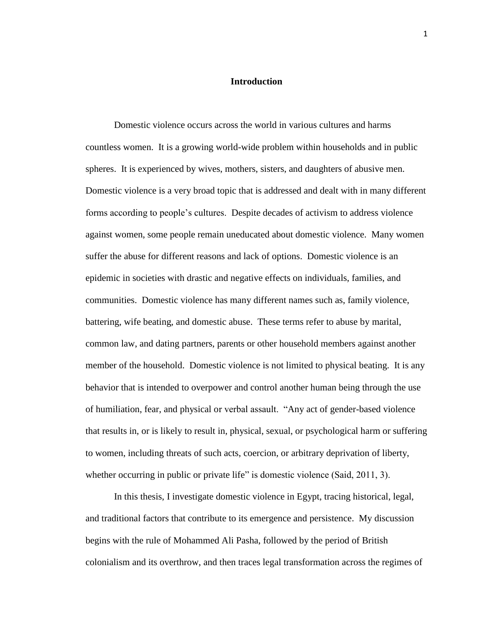#### **Introduction**

<span id="page-6-0"></span>Domestic violence occurs across the world in various cultures and harms countless women. It is a growing world-wide problem within households and in public spheres. It is experienced by wives, mothers, sisters, and daughters of abusive men. Domestic violence is a very broad topic that is addressed and dealt with in many different forms according to people's cultures. Despite decades of activism to address violence against women, some people remain uneducated about domestic violence. Many women suffer the abuse for different reasons and lack of options. Domestic violence is an epidemic in societies with drastic and negative effects on individuals, families, and communities. Domestic violence has many different names such as, family violence, battering, wife beating, and domestic abuse. These terms refer to abuse by marital, common law, and dating partners, parents or other household members against another member of the household. Domestic violence is not limited to physical beating. It is any behavior that is intended to overpower and control another human being through the use of humiliation, fear, and physical or verbal assault. "Any act of gender-based violence that results in, or is likely to result in, physical, sexual, or psychological harm or suffering to women, including threats of such acts, coercion, or arbitrary deprivation of liberty, whether occurring in public or private life" is domestic violence (Said, 2011, 3).

In this thesis, I investigate domestic violence in Egypt, tracing historical, legal, and traditional factors that contribute to its emergence and persistence. My discussion begins with the rule of Mohammed Ali Pasha, followed by the period of British colonialism and its overthrow, and then traces legal transformation across the regimes of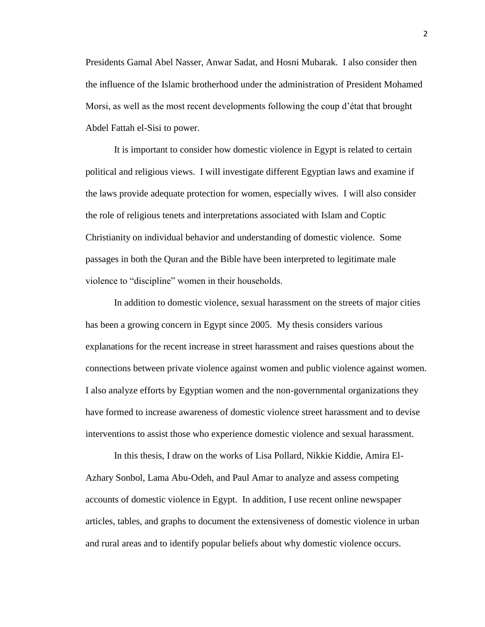Presidents Gamal Abel Nasser, Anwar Sadat, and Hosni Mubarak. I also consider then the influence of the Islamic brotherhood under the administration of President Mohamed Morsi, as well as the most recent developments following the coup d'état that brought Abdel Fattah el-Sisi to power.

It is important to consider how domestic violence in Egypt is related to certain political and religious views. I will investigate different Egyptian laws and examine if the laws provide adequate protection for women, especially wives. I will also consider the role of religious tenets and interpretations associated with Islam and Coptic Christianity on individual behavior and understanding of domestic violence. Some passages in both the Quran and the Bible have been interpreted to legitimate male violence to "discipline" women in their households.

In addition to domestic violence, sexual harassment on the streets of major cities has been a growing concern in Egypt since 2005. My thesis considers various explanations for the recent increase in street harassment and raises questions about the connections between private violence against women and public violence against women. I also analyze efforts by Egyptian women and the non-governmental organizations they have formed to increase awareness of domestic violence street harassment and to devise interventions to assist those who experience domestic violence and sexual harassment.

In this thesis, I draw on the works of Lisa Pollard, Nikkie Kiddie, Amira El-Azhary Sonbol, Lama Abu-Odeh, and Paul Amar to analyze and assess competing accounts of domestic violence in Egypt. In addition, I use recent online newspaper articles, tables, and graphs to document the extensiveness of domestic violence in urban and rural areas and to identify popular beliefs about why domestic violence occurs.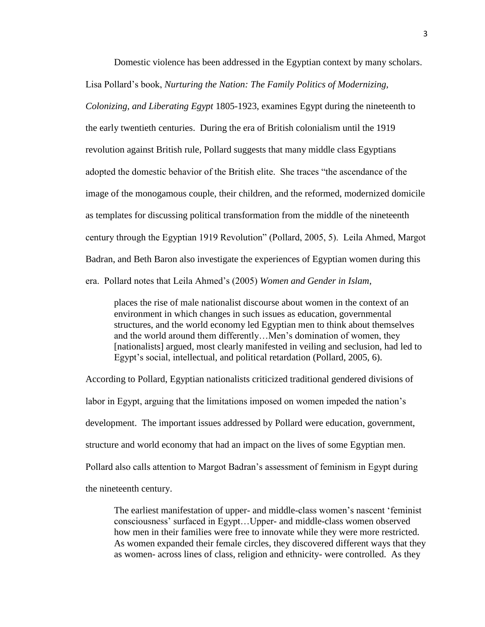Domestic violence has been addressed in the Egyptian context by many scholars. Lisa Pollard's book, *Nurturing the Nation: The Family Politics of Modernizing,* 

*Colonizing, and Liberating Egypt* 1805-1923, examines Egypt during the nineteenth to the early twentieth centuries. During the era of British colonialism until the 1919 revolution against British rule, Pollard suggests that many middle class Egyptians adopted the domestic behavior of the British elite. She traces "the ascendance of the image of the monogamous couple, their children, and the reformed, modernized domicile as templates for discussing political transformation from the middle of the nineteenth century through the Egyptian 1919 Revolution" (Pollard, 2005, 5). Leila Ahmed, Margot Badran, and Beth Baron also investigate the experiences of Egyptian women during this era. Pollard notes that Leila Ahmed's (2005) *Women and Gender in Islam*,

places the rise of male nationalist discourse about women in the context of an environment in which changes in such issues as education, governmental structures, and the world economy led Egyptian men to think about themselves and the world around them differently…Men's domination of women, they [nationalists] argued, most clearly manifested in veiling and seclusion, had led to Egypt's social, intellectual, and political retardation (Pollard, 2005, 6).

According to Pollard, Egyptian nationalists criticized traditional gendered divisions of labor in Egypt, arguing that the limitations imposed on women impeded the nation's development. The important issues addressed by Pollard were education, government, structure and world economy that had an impact on the lives of some Egyptian men. Pollard also calls attention to Margot Badran's assessment of feminism in Egypt during the nineteenth century.

The earliest manifestation of upper- and middle-class women's nascent 'feminist consciousness' surfaced in Egypt…Upper- and middle-class women observed how men in their families were free to innovate while they were more restricted. As women expanded their female circles, they discovered different ways that they as women- across lines of class, religion and ethnicity- were controlled. As they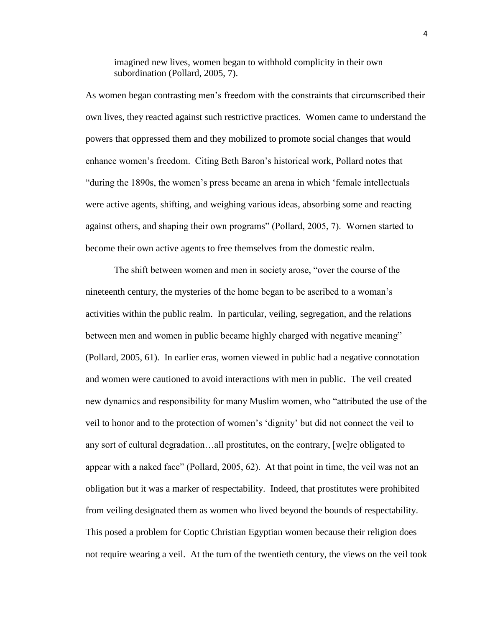imagined new lives, women began to withhold complicity in their own subordination (Pollard, 2005, 7).

As women began contrasting men's freedom with the constraints that circumscribed their own lives, they reacted against such restrictive practices. Women came to understand the powers that oppressed them and they mobilized to promote social changes that would enhance women's freedom. Citing Beth Baron's historical work, Pollard notes that "during the 1890s, the women's press became an arena in which 'female intellectuals were active agents, shifting, and weighing various ideas, absorbing some and reacting against others, and shaping their own programs" (Pollard, 2005, 7). Women started to become their own active agents to free themselves from the domestic realm.

The shift between women and men in society arose, "over the course of the nineteenth century, the mysteries of the home began to be ascribed to a woman's activities within the public realm. In particular, veiling, segregation, and the relations between men and women in public became highly charged with negative meaning" (Pollard, 2005, 61). In earlier eras, women viewed in public had a negative connotation and women were cautioned to avoid interactions with men in public. The veil created new dynamics and responsibility for many Muslim women, who "attributed the use of the veil to honor and to the protection of women's 'dignity' but did not connect the veil to any sort of cultural degradation…all prostitutes, on the contrary, [we]re obligated to appear with a naked face" (Pollard, 2005, 62). At that point in time, the veil was not an obligation but it was a marker of respectability. Indeed, that prostitutes were prohibited from veiling designated them as women who lived beyond the bounds of respectability. This posed a problem for Coptic Christian Egyptian women because their religion does not require wearing a veil. At the turn of the twentieth century, the views on the veil took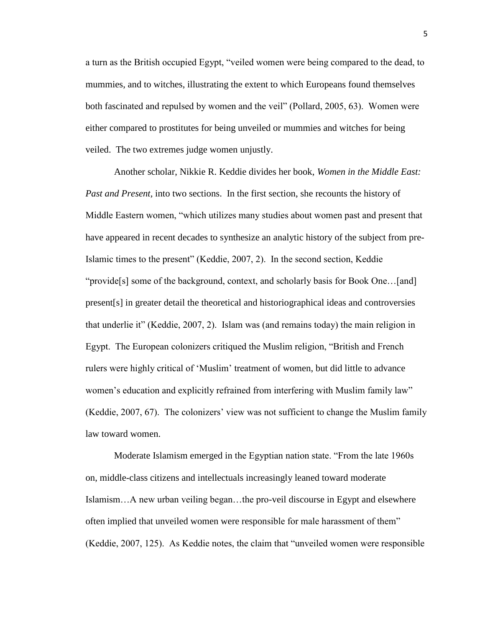a turn as the British occupied Egypt, "veiled women were being compared to the dead, to mummies, and to witches, illustrating the extent to which Europeans found themselves both fascinated and repulsed by women and the veil" (Pollard, 2005, 63). Women were either compared to prostitutes for being unveiled or mummies and witches for being veiled. The two extremes judge women unjustly.

Another scholar, Nikkie R. Keddie divides her book, *Women in the Middle East: Past and Present,* into two sections. In the first section, she recounts the history of Middle Eastern women, "which utilizes many studies about women past and present that have appeared in recent decades to synthesize an analytic history of the subject from pre-Islamic times to the present" (Keddie, 2007, 2). In the second section, Keddie "provide[s] some of the background, context, and scholarly basis for Book One…[and] present[s] in greater detail the theoretical and historiographical ideas and controversies that underlie it" (Keddie, 2007, 2). Islam was (and remains today) the main religion in Egypt. The European colonizers critiqued the Muslim religion, "British and French rulers were highly critical of 'Muslim' treatment of women, but did little to advance women's education and explicitly refrained from interfering with Muslim family law" (Keddie, 2007, 67). The colonizers' view was not sufficient to change the Muslim family law toward women.

Moderate Islamism emerged in the Egyptian nation state. "From the late 1960s on, middle-class citizens and intellectuals increasingly leaned toward moderate Islamism…A new urban veiling began…the pro-veil discourse in Egypt and elsewhere often implied that unveiled women were responsible for male harassment of them" (Keddie, 2007, 125). As Keddie notes, the claim that "unveiled women were responsible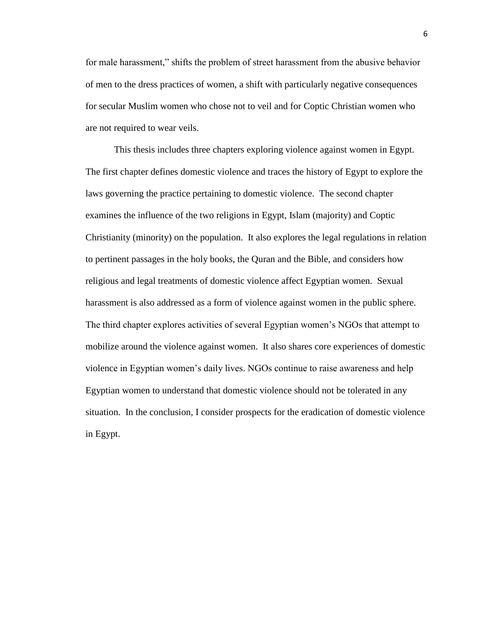for male harassment," shifts the problem of street harassment from the abusive behavior of men to the dress practices of women, a shift with particularly negative consequences for secular Muslim women who chose not to veil and for Coptic Christian women who are not required to wear veils.

This thesis includes three chapters exploring violence against women in Egypt. The first chapter defines domestic violence and traces the history of Egypt to explore the laws governing the practice pertaining to domestic violence. The second chapter examines the influence of the two religions in Egypt, Islam (majority) and Coptic Christianity (minority) on the population. It also explores the legal regulations in relation to pertinent passages in the holy books, the Quran and the Bible, and considers how religious and legal treatments of domestic violence affect Egyptian women. Sexual harassment is also addressed as a form of violence against women in the public sphere. The third chapter explores activities of several Egyptian women's NGOs that attempt to mobilize around the violence against women. It also shares core experiences of domestic violence in Egyptian women's daily lives. NGOs continue to raise awareness and help Egyptian women to understand that domestic violence should not be tolerated in any situation. In the conclusion, I consider prospects for the eradication of domestic violence in Egypt.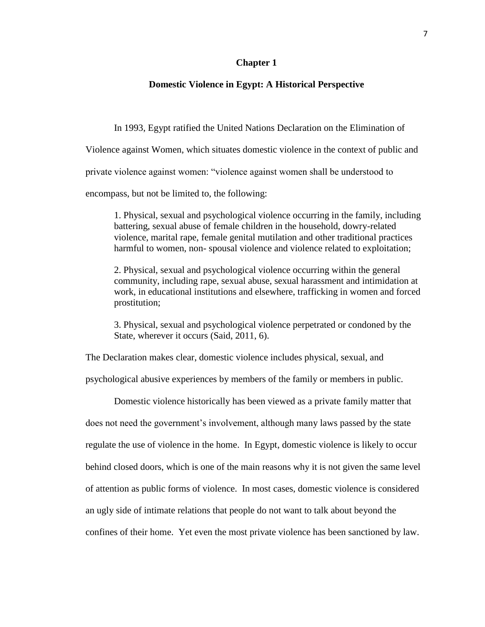#### **Chapter 1**

#### <span id="page-12-0"></span>**Domestic Violence in Egypt: A Historical Perspective**

In 1993, Egypt ratified the United Nations Declaration on the Elimination of

Violence against Women, which situates domestic violence in the context of public and

private violence against women: "violence against women shall be understood to

encompass, but not be limited to, the following:

1. Physical, sexual and psychological violence occurring in the family, including battering, sexual abuse of female children in the household, dowry-related violence, marital rape, female genital mutilation and other traditional practices harmful to women, non- spousal violence and violence related to exploitation;

2. Physical, sexual and psychological violence occurring within the general community, including rape, sexual abuse, sexual harassment and intimidation at work, in educational institutions and elsewhere, trafficking in women and forced prostitution;

3. Physical, sexual and psychological violence perpetrated or condoned by the State, wherever it occurs (Said, 2011, 6).

The Declaration makes clear, domestic violence includes physical, sexual, and

psychological abusive experiences by members of the family or members in public.

Domestic violence historically has been viewed as a private family matter that does not need the government's involvement, although many laws passed by the state regulate the use of violence in the home. In Egypt, domestic violence is likely to occur behind closed doors, which is one of the main reasons why it is not given the same level of attention as public forms of violence. In most cases, domestic violence is considered an ugly side of intimate relations that people do not want to talk about beyond the confines of their home. Yet even the most private violence has been sanctioned by law.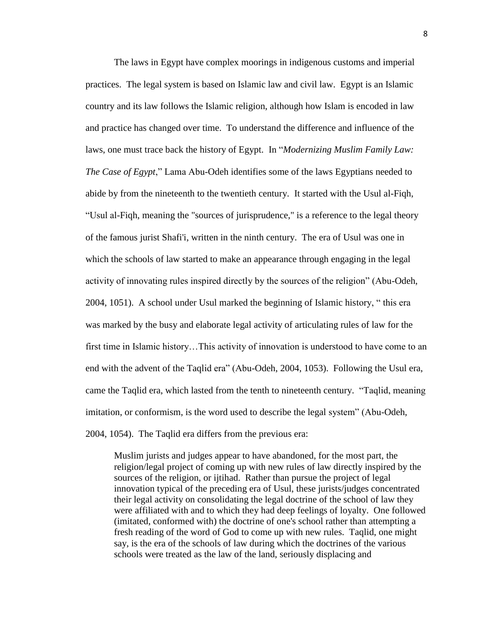The laws in Egypt have complex moorings in indigenous customs and imperial practices. The legal system is based on Islamic law and civil law. Egypt is an Islamic country and its law follows the Islamic religion, although how Islam is encoded in law and practice has changed over time. To understand the difference and influence of the laws, one must trace back the history of Egypt. In "*Modernizing Muslim Family Law: The Case of Egypt*," Lama Abu-Odeh identifies some of the laws Egyptians needed to abide by from the nineteenth to the twentieth century. It started with the Usul al-Fiqh, "Usul al-Fiqh, meaning the "sources of jurisprudence," is a reference to the legal theory of the famous jurist Shafi'i, written in the ninth century. The era of Usul was one in which the schools of law started to make an appearance through engaging in the legal activity of innovating rules inspired directly by the sources of the religion" (Abu-Odeh, 2004, 1051). A school under Usul marked the beginning of Islamic history, " this era was marked by the busy and elaborate legal activity of articulating rules of law for the first time in Islamic history…This activity of innovation is understood to have come to an end with the advent of the Taqlid era" (Abu-Odeh, 2004, 1053). Following the Usul era, came the Taqlid era, which lasted from the tenth to nineteenth century. "Taqlid, meaning imitation, or conformism, is the word used to describe the legal system" (Abu-Odeh, 2004, 1054). The Taqlid era differs from the previous era:

Muslim jurists and judges appear to have abandoned, for the most part, the religion/legal project of coming up with new rules of law directly inspired by the sources of the religion, or ijtihad. Rather than pursue the project of legal innovation typical of the preceding era of Usul, these jurists/judges concentrated their legal activity on consolidating the legal doctrine of the school of law they were affiliated with and to which they had deep feelings of loyalty. One followed (imitated, conformed with) the doctrine of one's school rather than attempting a fresh reading of the word of God to come up with new rules. Taqlid, one might say, is the era of the schools of law during which the doctrines of the various schools were treated as the law of the land, seriously displacing and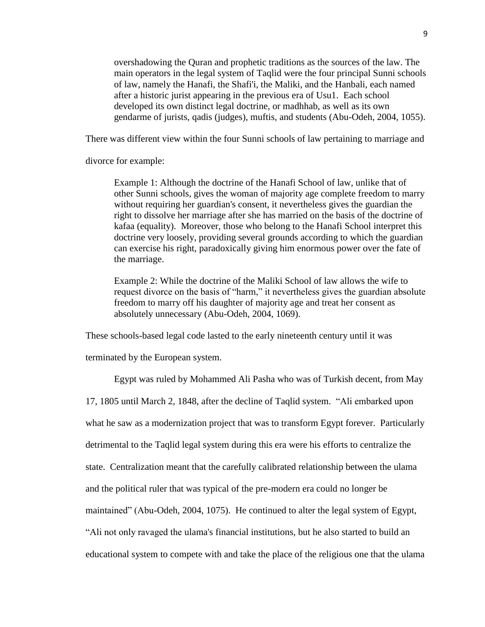overshadowing the Quran and prophetic traditions as the sources of the law. The main operators in the legal system of Taqlid were the four principal Sunni schools of law, namely the Hanafi, the Shafi'i, the Maliki, and the Hanbali, each named after a historic jurist appearing in the previous era of Usu1. Each school developed its own distinct legal doctrine, or madhhab, as well as its own gendarme of jurists, qadis (judges), muftis, and students (Abu-Odeh, 2004, 1055).

There was different view within the four Sunni schools of law pertaining to marriage and

divorce for example:

Example 1: Although the doctrine of the Hanafi School of law, unlike that of other Sunni schools, gives the woman of majority age complete freedom to marry without requiring her guardian's consent, it nevertheless gives the guardian the right to dissolve her marriage after she has married on the basis of the doctrine of kafaa (equality). Moreover, those who belong to the Hanafi School interpret this doctrine very loosely, providing several grounds according to which the guardian can exercise his right, paradoxically giving him enormous power over the fate of the marriage.

Example 2: While the doctrine of the Maliki School of law allows the wife to request divorce on the basis of "harm," it nevertheless gives the guardian absolute freedom to marry off his daughter of majority age and treat her consent as absolutely unnecessary (Abu-Odeh, 2004, 1069).

These schools-based legal code lasted to the early nineteenth century until it was

terminated by the European system.

Egypt was ruled by Mohammed Ali Pasha who was of Turkish decent, from May

17, 1805 until March 2, 1848, after the decline of Taqlid system. "Ali embarked upon

what he saw as a modernization project that was to transform Egypt forever. Particularly

detrimental to the Taqlid legal system during this era were his efforts to centralize the

state. Centralization meant that the carefully calibrated relationship between the ulama

and the political ruler that was typical of the pre-modern era could no longer be

maintained" (Abu-Odeh, 2004, 1075). He continued to alter the legal system of Egypt,

"Ali not only ravaged the ulama's financial institutions, but he also started to build an

educational system to compete with and take the place of the religious one that the ulama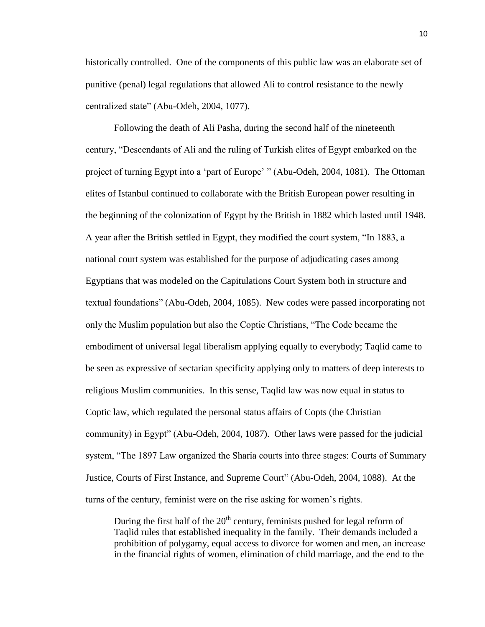historically controlled. One of the components of this public law was an elaborate set of punitive (penal) legal regulations that allowed Ali to control resistance to the newly centralized state" (Abu-Odeh, 2004, 1077).

Following the death of Ali Pasha, during the second half of the nineteenth century, "Descendants of Ali and the ruling of Turkish elites of Egypt embarked on the project of turning Egypt into a 'part of Europe' " (Abu-Odeh, 2004, 1081). The Ottoman elites of Istanbul continued to collaborate with the British European power resulting in the beginning of the colonization of Egypt by the British in 1882 which lasted until 1948. A year after the British settled in Egypt, they modified the court system, "In 1883, a national court system was established for the purpose of adjudicating cases among Egyptians that was modeled on the Capitulations Court System both in structure and textual foundations" (Abu-Odeh, 2004, 1085). New codes were passed incorporating not only the Muslim population but also the Coptic Christians, "The Code became the embodiment of universal legal liberalism applying equally to everybody; Taqlid came to be seen as expressive of sectarian specificity applying only to matters of deep interests to religious Muslim communities. In this sense, Taqlid law was now equal in status to Coptic law, which regulated the personal status affairs of Copts (the Christian community) in Egypt" (Abu-Odeh, 2004, 1087). Other laws were passed for the judicial system, "The 1897 Law organized the Sharia courts into three stages: Courts of Summary Justice, Courts of First Instance, and Supreme Court" (Abu-Odeh, 2004, 1088). At the turns of the century, feminist were on the rise asking for women's rights.

During the first half of the  $20<sup>th</sup>$  century, feminists pushed for legal reform of Taqlid rules that established inequality in the family. Their demands included a prohibition of polygamy, equal access to divorce for women and men, an increase in the financial rights of women, elimination of child marriage, and the end to the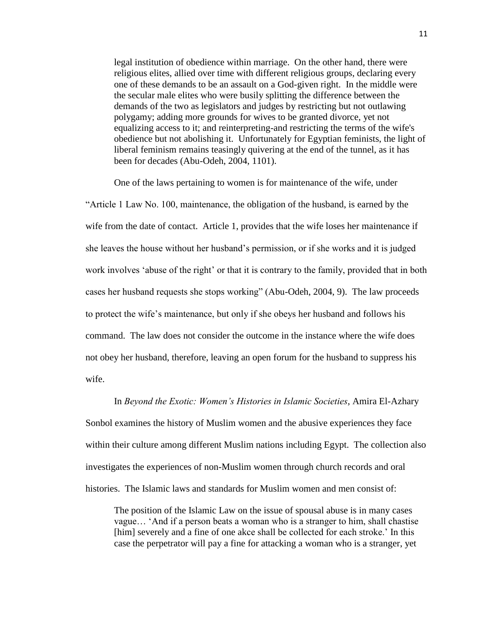legal institution of obedience within marriage. On the other hand, there were religious elites, allied over time with different religious groups, declaring every one of these demands to be an assault on a God-given right. In the middle were the secular male elites who were busily splitting the difference between the demands of the two as legislators and judges by restricting but not outlawing polygamy; adding more grounds for wives to be granted divorce, yet not equalizing access to it; and reinterpreting-and restricting the terms of the wife's obedience but not abolishing it. Unfortunately for Egyptian feminists, the light of liberal feminism remains teasingly quivering at the end of the tunnel, as it has been for decades (Abu-Odeh, 2004, 1101).

One of the laws pertaining to women is for maintenance of the wife, under "Article 1 Law No. 100, maintenance, the obligation of the husband, is earned by the wife from the date of contact. Article 1, provides that the wife loses her maintenance if she leaves the house without her husband's permission, or if she works and it is judged work involves 'abuse of the right' or that it is contrary to the family, provided that in both cases her husband requests she stops working" (Abu-Odeh, 2004, 9). The law proceeds to protect the wife's maintenance, but only if she obeys her husband and follows his command. The law does not consider the outcome in the instance where the wife does not obey her husband, therefore, leaving an open forum for the husband to suppress his wife.

#### In *Beyond the Exotic: Women's Histories in Islamic Societies*, Amira El-Azhary

Sonbol examines the history of Muslim women and the abusive experiences they face within their culture among different Muslim nations including Egypt. The collection also investigates the experiences of non-Muslim women through church records and oral histories. The Islamic laws and standards for Muslim women and men consist of:

The position of the Islamic Law on the issue of spousal abuse is in many cases vague… 'And if a person beats a woman who is a stranger to him, shall chastise [him] severely and a fine of one akce shall be collected for each stroke.' In this case the perpetrator will pay a fine for attacking a woman who is a stranger, yet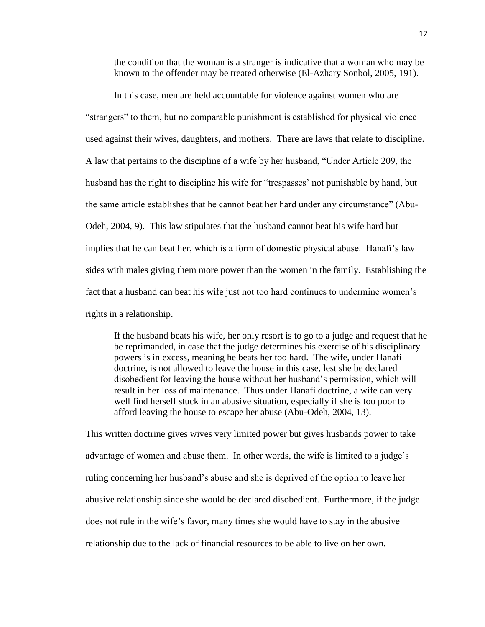the condition that the woman is a stranger is indicative that a woman who may be known to the offender may be treated otherwise (El-Azhary Sonbol, 2005, 191).

In this case, men are held accountable for violence against women who are "strangers" to them, but no comparable punishment is established for physical violence used against their wives, daughters, and mothers. There are laws that relate to discipline. A law that pertains to the discipline of a wife by her husband, "Under Article 209, the husband has the right to discipline his wife for "trespasses' not punishable by hand, but the same article establishes that he cannot beat her hard under any circumstance" (Abu-Odeh, 2004, 9). This law stipulates that the husband cannot beat his wife hard but implies that he can beat her, which is a form of domestic physical abuse. Hanafi's law sides with males giving them more power than the women in the family. Establishing the fact that a husband can beat his wife just not too hard continues to undermine women's rights in a relationship.

If the husband beats his wife, her only resort is to go to a judge and request that he be reprimanded, in case that the judge determines his exercise of his disciplinary powers is in excess, meaning he beats her too hard. The wife, under Hanafi doctrine, is not allowed to leave the house in this case, lest she be declared disobedient for leaving the house without her husband's permission, which will result in her loss of maintenance. Thus under Hanafi doctrine, a wife can very well find herself stuck in an abusive situation, especially if she is too poor to afford leaving the house to escape her abuse (Abu-Odeh, 2004, 13).

This written doctrine gives wives very limited power but gives husbands power to take advantage of women and abuse them. In other words, the wife is limited to a judge's ruling concerning her husband's abuse and she is deprived of the option to leave her abusive relationship since she would be declared disobedient. Furthermore, if the judge does not rule in the wife's favor, many times she would have to stay in the abusive relationship due to the lack of financial resources to be able to live on her own.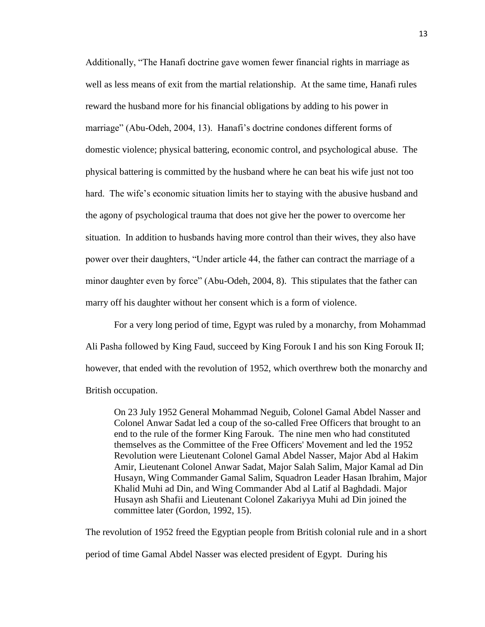Additionally, "The Hanafi doctrine gave women fewer financial rights in marriage as well as less means of exit from the martial relationship. At the same time, Hanafi rules reward the husband more for his financial obligations by adding to his power in marriage" (Abu-Odeh, 2004, 13). Hanafi's doctrine condones different forms of domestic violence; physical battering, economic control, and psychological abuse. The physical battering is committed by the husband where he can beat his wife just not too hard. The wife's economic situation limits her to staying with the abusive husband and the agony of psychological trauma that does not give her the power to overcome her situation. In addition to husbands having more control than their wives, they also have power over their daughters, "Under article 44, the father can contract the marriage of a minor daughter even by force" (Abu-Odeh, 2004, 8). This stipulates that the father can marry off his daughter without her consent which is a form of violence.

For a very long period of time, Egypt was ruled by a monarchy, from Mohammad Ali Pasha followed by King Faud, succeed by King Forouk I and his son King Forouk II; however, that ended with the revolution of 1952, which overthrew both the monarchy and British occupation.

On 23 July 1952 General Mohammad Neguib, Colonel Gamal Abdel Nasser and Colonel Anwar Sadat led a coup of the so-called Free Officers that brought to an end to the rule of the former King Farouk. The nine men who had constituted themselves as the Committee of the Free Officers' Movement and led the 1952 Revolution were Lieutenant Colonel Gamal Abdel Nasser, Major Abd al Hakim Amir, Lieutenant Colonel Anwar Sadat, Major Salah Salim, Major Kamal ad Din Husayn, Wing Commander Gamal Salim, Squadron Leader Hasan Ibrahim, Major Khalid Muhi ad Din, and Wing Commander Abd al Latif al Baghdadi. Major Husayn ash Shafii and Lieutenant Colonel Zakariyya Muhi ad Din joined the committee later (Gordon, 1992, 15).

The revolution of 1952 freed the Egyptian people from British colonial rule and in a short

period of time Gamal Abdel Nasser was elected president of Egypt. During his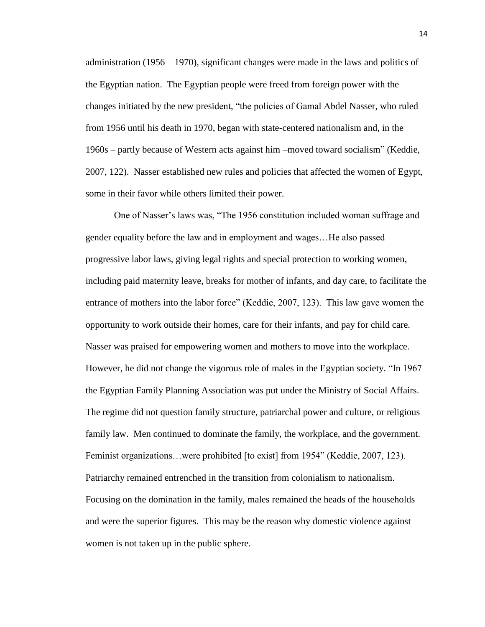administration (1956 – 1970), significant changes were made in the laws and politics of the Egyptian nation. The Egyptian people were freed from foreign power with the changes initiated by the new president, "the policies of Gamal Abdel Nasser, who ruled from 1956 until his death in 1970, began with state-centered nationalism and, in the 1960s – partly because of Western acts against him –moved toward socialism" (Keddie, 2007, 122). Nasser established new rules and policies that affected the women of Egypt, some in their favor while others limited their power.

One of Nasser's laws was, "The 1956 constitution included woman suffrage and gender equality before the law and in employment and wages…He also passed progressive labor laws, giving legal rights and special protection to working women, including paid maternity leave, breaks for mother of infants, and day care, to facilitate the entrance of mothers into the labor force" (Keddie, 2007, 123). This law gave women the opportunity to work outside their homes, care for their infants, and pay for child care. Nasser was praised for empowering women and mothers to move into the workplace. However, he did not change the vigorous role of males in the Egyptian society. "In 1967 the Egyptian Family Planning Association was put under the Ministry of Social Affairs. The regime did not question family structure, patriarchal power and culture, or religious family law. Men continued to dominate the family, the workplace, and the government. Feminist organizations…were prohibited [to exist] from 1954" (Keddie, 2007, 123). Patriarchy remained entrenched in the transition from colonialism to nationalism. Focusing on the domination in the family, males remained the heads of the households and were the superior figures. This may be the reason why domestic violence against women is not taken up in the public sphere.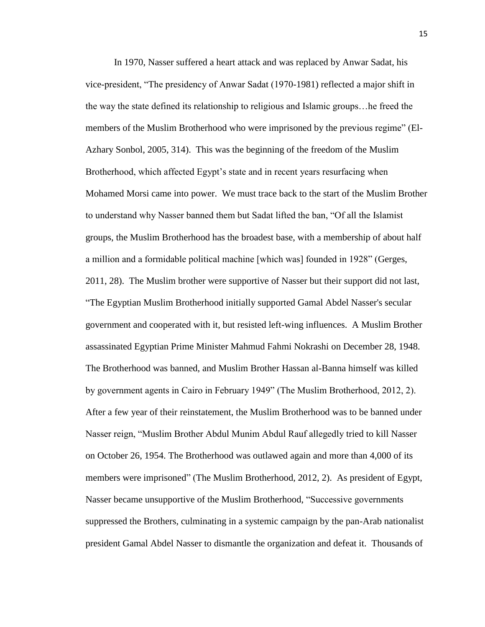In 1970, Nasser suffered a heart attack and was replaced by Anwar Sadat, his vice-president, "The presidency of Anwar Sadat (1970-1981) reflected a major shift in the way the state defined its relationship to religious and Islamic groups…he freed the members of the Muslim Brotherhood who were imprisoned by the previous regime" (El-Azhary Sonbol, 2005, 314). This was the beginning of the freedom of the Muslim Brotherhood, which affected Egypt's state and in recent years resurfacing when Mohamed Morsi came into power. We must trace back to the start of the Muslim Brother to understand why Nasser banned them but Sadat lifted the ban, "Of all the Islamist groups, the Muslim Brotherhood has the broadest base, with a membership of about half a million and a formidable political machine [which was] founded in 1928" (Gerges, 2011, 28). The Muslim brother were supportive of Nasser but their support did not last, "The Egyptian Muslim Brotherhood initially supported [Gamal Abdel Nasser's](http://www.jewishvirtuallibrary.org/jsource/biography/Nasser.html) secular government and cooperated with it, but resisted left-wing influences. A Muslim Brother assassinated Egyptian Prime Minister Mahmud Fahmi Nokrashi on December 28, 1948. The Brotherhood was banned, and Muslim Brother Hassan al-Banna himself was killed by government agents in Cairo in February 1949" (The Muslim Brotherhood, 2012, 2). After a few year of their reinstatement, the Muslim Brotherhood was to be banned under Nasser reign, "Muslim Brother Abdul Munim Abdul Rauf allegedly tried to kill [Nasser](http://www.jewishvirtuallibrary.org/jsource/biography/Nasser.html) on October 26, 1954. The Brotherhood was outlawed again and more than 4,000 of its members were imprisoned" (The Muslim Brotherhood, 2012, 2). As president of Egypt, Nasser became unsupportive of the Muslim Brotherhood, "Successive governments suppressed the Brothers, culminating in a systemic campaign by the pan-Arab nationalist president Gamal Abdel Nasser to dismantle the organization and defeat it. Thousands of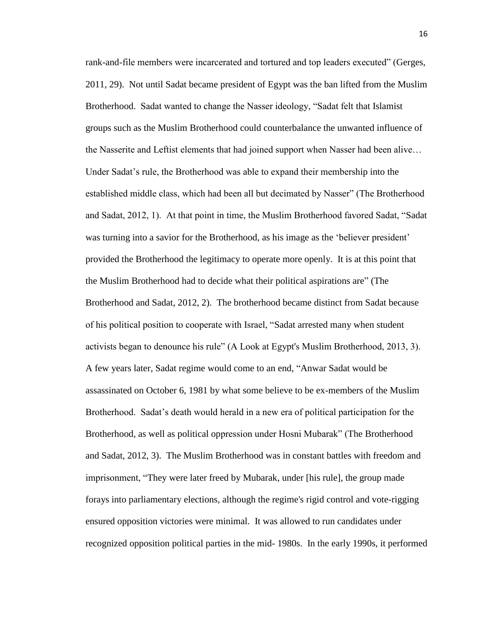rank-and-file members were incarcerated and tortured and top leaders executed" (Gerges, 2011, 29). Not until Sadat became president of Egypt was the ban lifted from the Muslim Brotherhood. Sadat wanted to change the Nasser ideology, "Sadat felt that Islamist groups such as the Muslim Brotherhood could counterbalance the unwanted influence of the Nasserite and Leftist elements that had joined support when Nasser had been alive… Under Sadat's rule, the Brotherhood was able to expand their membership into the established middle class, which had been all but decimated by Nasser" (The Brotherhood and Sadat, 2012, 1). At that point in time, the Muslim Brotherhood favored Sadat, "Sadat was turning into a savior for the Brotherhood, as his image as the 'believer president' provided the Brotherhood the legitimacy to operate more openly. It is at this point that the Muslim Brotherhood had to decide what their political aspirations are" (The Brotherhood and Sadat, 2012, 2). The brotherhood became distinct from Sadat because of his political position to cooperate with Israel, "Sadat arrested many when student activists began to denounce his rule" (A Look at Egypt's Muslim Brotherhood, 2013, 3). A few years later, Sadat regime would come to an end, "Anwar Sadat would be assassinated on October 6, 1981 by what some believe to be ex-members of the Muslim Brotherhood. Sadat's death would herald in a new era of political participation for the Brotherhood, as well as political oppression under Hosni Mubarak" (The Brotherhood and Sadat, 2012, 3). The Muslim Brotherhood was in constant battles with freedom and imprisonment, "They were later freed by Mubarak, under [his rule], the group made forays into parliamentary elections, although the regime's rigid control and vote-rigging ensured opposition victories were minimal. It was allowed to run candidates under recognized opposition political parties in the mid- 1980s. In the early 1990s, it performed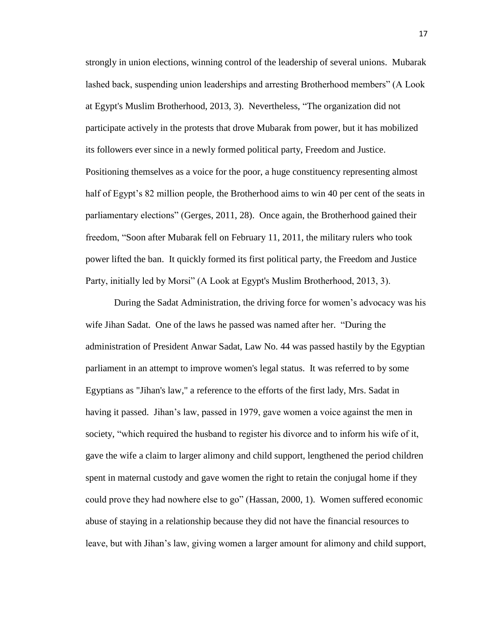strongly in union elections, winning control of the leadership of several unions. Mubarak lashed back, suspending union leaderships and arresting Brotherhood members" (A Look at Egypt's Muslim Brotherhood, 2013, 3). Nevertheless, "The organization did not participate actively in the protests that drove Mubarak from power, but it has mobilized its followers ever since in a newly formed political party, Freedom and Justice. Positioning themselves as a voice for the poor, a huge constituency representing almost half of Egypt's 82 million people, the Brotherhood aims to win 40 per cent of the seats in parliamentary elections" (Gerges, 2011, 28). Once again, the Brotherhood gained their freedom, "Soon after Mubarak fell on February 11, 2011, the military rulers who took power lifted the ban. It quickly formed its first political party, the Freedom and Justice Party, initially led by Morsi" (A Look at Egypt's Muslim Brotherhood, 2013, 3).

During the Sadat Administration, the driving force for women's advocacy was his wife Jihan Sadat. One of the laws he passed was named after her. "During the administration of President Anwar Sadat, Law No. 44 was passed hastily by the Egyptian parliament in an attempt to improve women's legal status. It was referred to by some Egyptians as "Jihan's law," a reference to the efforts of the first lady, Mrs. Sadat in having it passed. Jihan's law, passed in 1979, gave women a voice against the men in society, "which required the husband to register his divorce and to inform his wife of it, gave the wife a claim to larger alimony and child support, lengthened the period children spent in maternal custody and gave women the right to retain the conjugal home if they could prove they had nowhere else to go" (Hassan, 2000, 1). Women suffered economic abuse of staying in a relationship because they did not have the financial resources to leave, but with Jihan's law, giving women a larger amount for alimony and child support,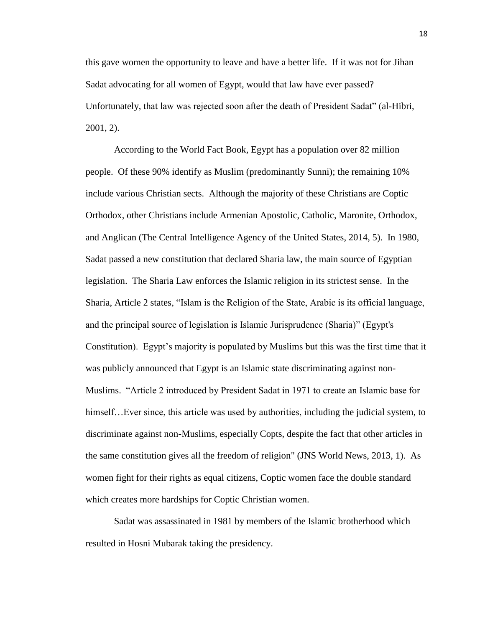this gave women the opportunity to leave and have a better life. If it was not for Jihan Sadat advocating for all women of Egypt, would that law have ever passed? Unfortunately, that law was rejected soon after the death of President Sadat" (al-Hibri, 2001, 2).

According to the World Fact Book, Egypt has a population over 82 million people. Of these 90% identify as Muslim (predominantly Sunni); the remaining 10% include various Christian sects. Although the majority of these Christians are Coptic Orthodox, other Christians include Armenian Apostolic, Catholic, Maronite, Orthodox, and Anglican (The Central Intelligence Agency of the United States, 2014, 5). In 1980, Sadat passed a new constitution that declared Sharia law, the main source of Egyptian legislation. The Sharia Law enforces the Islamic religion in its strictest sense. In the Sharia, Article 2 states, "Islam is the Religion of the State, Arabic is its official language, and the principal source of legislation is Islamic Jurisprudence (Sharia)" (Egypt's Constitution). Egypt's majority is populated by Muslims but this was the first time that it was publicly announced that Egypt is an Islamic state discriminating against non-Muslims. "Article 2 introduced by President Sadat in 1971 to create an Islamic base for himself... Ever since, this article was used by authorities, including the judicial system, to discriminate against non-Muslims, especially Copts, despite the fact that other articles in the same constitution gives all the freedom of religion" (JNS World News, 2013, 1). As women fight for their rights as equal citizens, Coptic women face the double standard which creates more hardships for Coptic Christian women.

Sadat was assassinated in 1981 by members of the Islamic brotherhood which resulted in Hosni Mubarak taking the presidency.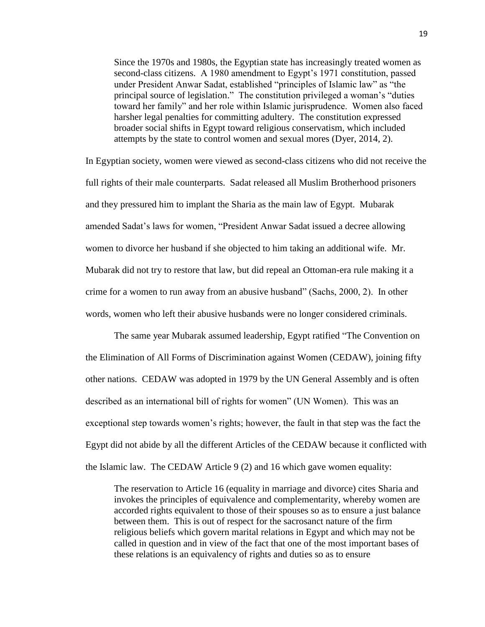Since the 1970s and 1980s, the Egyptian state has increasingly treated women as second-class citizens. A 1980 amendment to Egypt's 1971 constitution, passed under President Anwar Sadat, established "principles of Islamic law" as "the principal source of legislation." The constitution privileged a woman's "duties toward her family" and her role within Islamic jurisprudence. Women also faced harsher legal penalties for committing adultery. The constitution expressed broader social shifts in Egypt toward religious conservatism, which included attempts by the state to control women and sexual mores [\(Dyer,](http://www.foreignaffairs.com/author/emily-dyer) 2014, 2).

In Egyptian society, women were viewed as second-class citizens who did not receive the full rights of their male counterparts. Sadat released all Muslim Brotherhood prisoners and they pressured him to implant the Sharia as the main law of Egypt. Mubarak amended Sadat's laws for women, "President Anwar Sadat issued a decree allowing women to divorce her husband if she objected to him taking an additional wife. Mr. Mubarak did not try to restore that law, but did repeal an Ottoman-era rule making it a crime for a women to run away from an abusive husband" (Sachs, 2000, 2). In other words, women who left their abusive husbands were no longer considered criminals.

The same year Mubarak assumed leadership, Egypt ratified "The Convention on the Elimination of All Forms of Discrimination against Women (CEDAW), joining fifty other nations. CEDAW was adopted in 1979 by the UN General Assembly and is often described as an international bill of rights for women" (UN Women). This was an exceptional step towards women's rights; however, the fault in that step was the fact the Egypt did not abide by all the different Articles of the CEDAW because it conflicted with the Islamic law. The CEDAW Article 9 (2) and 16 which gave women equality:

The reservation to Article 16 (equality in marriage and divorce) cites Sharia and invokes the principles of equivalence and complementarity, whereby women are accorded rights equivalent to those of their spouses so as to ensure a just balance between them. This is out of respect for the sacrosanct nature of the firm religious beliefs which govern marital relations in Egypt and which may not be called in question and in view of the fact that one of the most important bases of these relations is an equivalency of rights and duties so as to ensure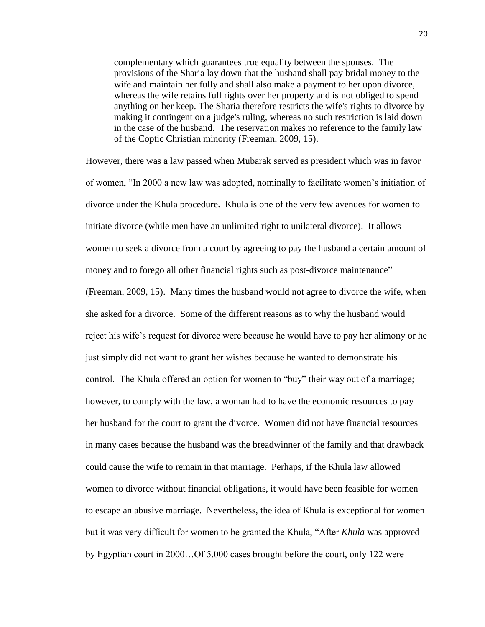complementary which guarantees true equality between the spouses. The provisions of the Sharia lay down that the husband shall pay bridal money to the wife and maintain her fully and shall also make a payment to her upon divorce, whereas the wife retains full rights over her property and is not obliged to spend anything on her keep. The Sharia therefore restricts the wife's rights to divorce by making it contingent on a judge's ruling, whereas no such restriction is laid down in the case of the husband. The reservation makes no reference to the family law of the Coptic Christian minority (Freeman, 2009, 15).

However, there was a law passed when Mubarak served as president which was in favor of women, "In 2000 a new law was adopted, nominally to facilitate women's initiation of divorce under the Khula procedure. Khula is one of the very few avenues for women to initiate divorce (while men have an unlimited right to unilateral divorce). It allows women to seek a divorce from a court by agreeing to pay the husband a certain amount of money and to forego all other financial rights such as post-divorce maintenance" (Freeman, 2009, 15). Many times the husband would not agree to divorce the wife, when she asked for a divorce. Some of the different reasons as to why the husband would reject his wife's request for divorce were because he would have to pay her alimony or he just simply did not want to grant her wishes because he wanted to demonstrate his control. The Khula offered an option for women to "buy" their way out of a marriage; however, to comply with the law, a woman had to have the economic resources to pay her husband for the court to grant the divorce. Women did not have financial resources in many cases because the husband was the breadwinner of the family and that drawback could cause the wife to remain in that marriage. Perhaps, if the Khula law allowed women to divorce without financial obligations, it would have been feasible for women to escape an abusive marriage. Nevertheless, the idea of Khula is exceptional for women but it was very difficult for women to be granted the Khula, "After *Khula* was approved by Egyptian court in 2000…Of 5,000 cases brought before the court, only 122 were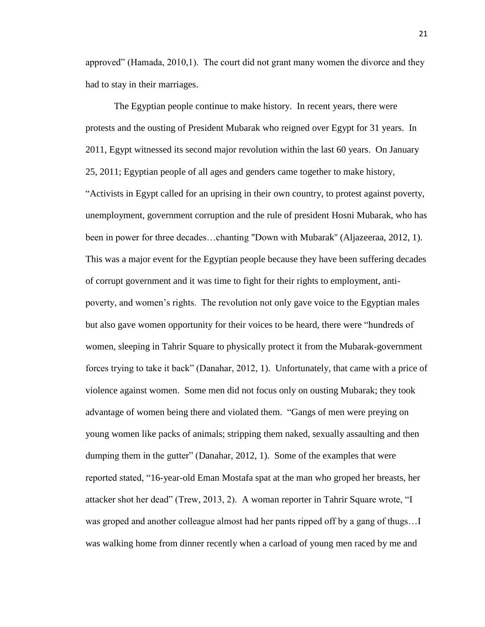approved" (Hamada, 2010,1). The court did not grant many women the divorce and they had to stay in their marriages.

The Egyptian people continue to make history. In recent years, there were protests and the ousting of President Mubarak who reigned over Egypt for 31 years. In 2011, Egypt witnessed its second major revolution within the last 60 years. On January 25, 2011; Egyptian people of all ages and genders came together to make history, "Activists in Egypt called for an uprising in their own country, to protest against poverty, unemployment, government corruption and the rule of president Hosni Mubarak, who has been in power for three decades…chanting "Down with Mubarak'' (Aljazeeraa, 2012, 1). This was a major event for the Egyptian people because they have been suffering decades of corrupt government and it was time to fight for their rights to employment, antipoverty, and women's rights. The revolution not only gave voice to the Egyptian males but also gave women opportunity for their voices to be heard, there were "hundreds of women, sleeping in Tahrir Square to physically protect it from the Mubarak-government forces trying to take it back" (Danahar, 2012, 1). Unfortunately, that came with a price of violence against women. Some men did not focus only on ousting Mubarak; they took advantage of women being there and violated them. "Gangs of men were preying on young women like packs of animals; stripping them naked, sexually assaulting and then dumping them in the gutter" (Danahar, 2012, 1). Some of the examples that were reported stated, "16-year-old Eman Mostafa spat at the man who groped her breasts, her attacker shot her dead" (Trew, 2013, 2). A woman reporter in Tahrir Square wrote, "I was groped and another colleague almost had her pants ripped off by a gang of thugs…I was walking home from dinner recently when a carload of young men raced by me and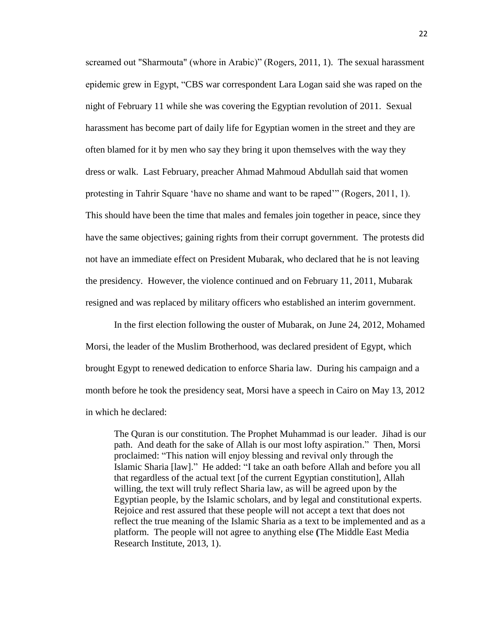screamed out "Sharmouta" (whore in Arabic)" (Rogers, 2011, 1). The sexual harassment epidemic grew in Egypt, "CBS war correspondent Lara Logan [said she was raped](http://latimesblogs.latimes.com/showtracker/2011/05/lara-logan-breaks-her-silence-on-60-minutes-.html) on the night of February 11 while she was covering the Egyptian revolution of 2011. Sexual harassment has become part of daily life for Egyptian women in the street and they are often blamed for it by men who say they bring it upon themselves with the way they dress or walk. Last February, preacher [Ahmad Mahmoud Abdullah said](http://www.alarabiya.net/articles/2013/02/07/264982.html) that women protesting in Tahrir Square 'have no shame and want to be raped'" (Rogers, 2011, 1). This should have been the time that males and females join together in peace, since they have the same objectives; gaining rights from their corrupt government. The protests did not have an immediate effect on President Mubarak, who declared that he is not leaving the presidency. However, the violence continued and on February 11, 2011, Mubarak resigned and was replaced by military officers who established an interim government.

In the first election following the ouster of Mubarak, on June 24, 2012, Mohamed Morsi, the leader of the Muslim Brotherhood, was declared president of Egypt, which brought Egypt to renewed dedication to enforce Sharia law. During his campaign and a month before he took the presidency seat, Morsi have a speech in Cairo on May 13, 2012 in which he declared:

The Quran is our constitution. The Prophet Muhammad is our leader. Jihad is our path. And death for the sake of Allah is our most lofty aspiration."Then, Morsi proclaimed: "This nation will enjoy blessing and revival only through the Islamic Sharia [law]." He added: "I take an oath before Allah and before you all that regardless of the actual text [of the current Egyptian constitution], Allah willing, the text will truly reflect Sharia law, as will be agreed upon by the Egyptian people, by the Islamic scholars, and by legal and constitutional experts. Rejoice and rest assured that these people will not accept a text that does not reflect the true meaning of the Islamic Sharia as a text to be implemented and as a platform. The people will not agree to anything else **(**The Middle East Media Research Institute, 2013, 1).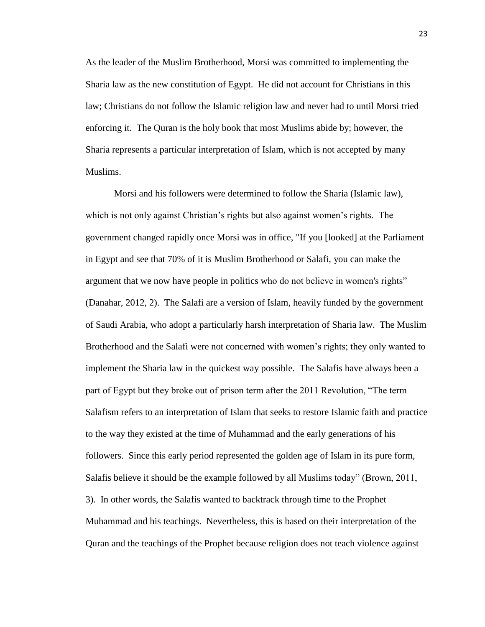As the leader of the Muslim Brotherhood, Morsi was committed to implementing the Sharia law as the new constitution of Egypt. He did not account for Christians in this law; Christians do not follow the Islamic religion law and never had to until Morsi tried enforcing it. The Quran is the holy book that most Muslims abide by; however, the Sharia represents a particular interpretation of Islam, which is not accepted by many Muslims.

Morsi and his followers were determined to follow the Sharia (Islamic law), which is not only against Christian's rights but also against women's rights. The government changed rapidly once Morsi was in office, "If you [looked] at the Parliament in Egypt and see that 70% of it is Muslim Brotherhood or Salafi, you can make the argument that we now have people in politics who do not believe in women's rights" (Danahar, 2012, 2). The Salafi are a version of Islam, heavily funded by the government of Saudi Arabia, who adopt a particularly harsh interpretation of Sharia law. The Muslim Brotherhood and the Salafi were not concerned with women's rights; they only wanted to implement the Sharia law in the quickest way possible. The Salafis have always been a part of Egypt but they broke out of prison term after the 2011 Revolution, "The term Salafism refers to an interpretation of Islam that seeks to restore Islamic faith and practice to the way they existed at the time of Muhammad and the early generations of his followers. Since this early period represented the golden age of Islam in its pure form, Salafis believe it should be the example followed by all Muslims today" (Brown, 2011, 3). In other words, the Salafis wanted to backtrack through time to the Prophet Muhammad and his teachings. Nevertheless, this is based on their interpretation of the Quran and the teachings of the Prophet because religion does not teach violence against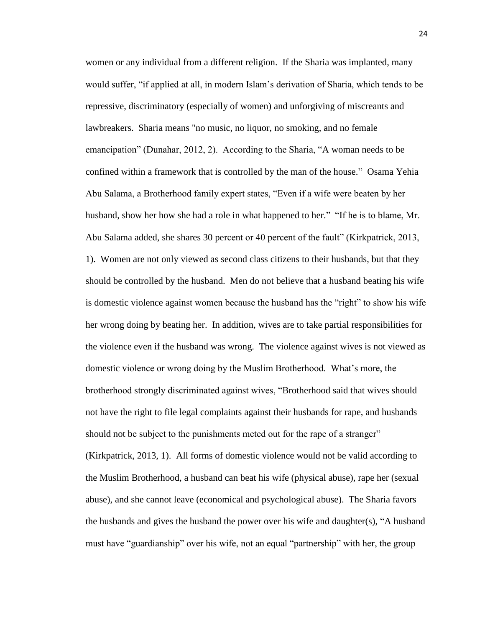women or any individual from a different religion. If the Sharia was implanted, many would suffer, "if applied at all, in modern Islam's derivation of Sharia, which tends to be repressive, discriminatory (especially of women) and unforgiving of miscreants and lawbreakers. Sharia means "no music, no liquor, no smoking, and no female emancipation" (Dunahar, 2012, 2). According to the Sharia, "A woman needs to be confined within a framework that is controlled by the man of the house." Osama Yehia Abu Salama, a Brotherhood family expert states, "Even if a wife were beaten by her husband, show her how she had a role in what happened to her." "If he is to blame, Mr. Abu Salama added, she shares 30 percent or 40 percent of the fault" (Kirkpatrick, 2013, 1). Women are not only viewed as second class citizens to their husbands, but that they should be controlled by the husband. Men do not believe that a husband beating his wife is domestic violence against women because the husband has the "right" to show his wife her wrong doing by beating her. In addition, wives are to take partial responsibilities for the violence even if the husband was wrong. The violence against wives is not viewed as domestic violence or wrong doing by the Muslim Brotherhood. What's more, the brotherhood strongly discriminated against wives, "Brotherhood said that wives should not have the right to file legal complaints against their husbands for rape, and husbands should not be subject to the punishments meted out for the rape of a stranger" (Kirkpatrick, 2013, 1). All forms of domestic violence would not be valid according to the Muslim Brotherhood, a husband can beat his wife (physical abuse), rape her (sexual abuse), and she cannot leave (economical and psychological abuse). The Sharia favors the husbands and gives the husband the power over his wife and daughter(s), "A husband must have "guardianship" over his wife, not an equal "partnership" with her, the group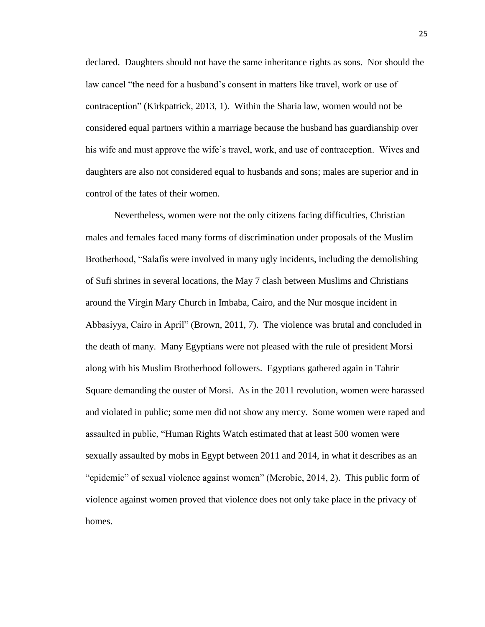declared. Daughters should not have the same inheritance rights as sons. Nor should the law cancel "the need for a husband's consent in matters like travel, work or use of contraception" (Kirkpatrick, 2013, 1). Within the Sharia law, women would not be considered equal partners within a marriage because the husband has guardianship over his wife and must approve the wife's travel, work, and use of contraception. Wives and daughters are also not considered equal to husbands and sons; males are superior and in control of the fates of their women.

Nevertheless, women were not the only citizens facing difficulties, Christian males and females faced many forms of discrimination under proposals of the Muslim Brotherhood, "Salafis were involved in many ugly incidents, including the demolishing of Sufi shrines in several locations, the May 7 clash between Muslims and Christians around the Virgin Mary Church in Imbaba, Cairo, and the Nur mosque incident in Abbasiyya, Cairo in April" (Brown, 2011, 7). The violence was brutal and concluded in the death of many. Many Egyptians were not pleased with the rule of president Morsi along with his Muslim Brotherhood followers. Egyptians gathered again in Tahrir Square demanding the ouster of Morsi. As in the 2011 revolution, women were harassed and violated in public; some men did not show any mercy. Some women were raped and assaulted in public, "Human Rights Watch estimated that at least 500 women were sexually assaulted by mobs in Egypt between 2011 and 2014, in [what it describes as an](http://www.hrw.org/news/2013/07/03/egypt-epidemic-sexual-violence)  ["epidemic"](http://www.hrw.org/news/2013/07/03/egypt-epidemic-sexual-violence) of sexual violence against women" (Mcrobie, 2014, 2). This public form of violence against women proved that violence does not only take place in the privacy of homes.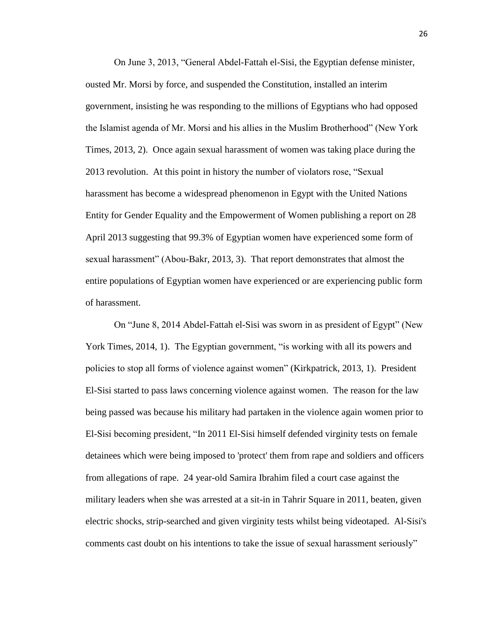On June 3, 2013, "General Abdel-Fattah el-Sisi, the Egyptian defense minister, ousted Mr. Morsi by force, and suspended the Constitution, installed an interim government, insisting he was responding to the millions of Egyptians who had opposed the Islamist agenda of Mr. Morsi and his allies in the Muslim Brotherhood" (New York Times, 2013, 2). Once again sexual harassment of women was taking place during the 2013 revolution. At this point in history the number of violators rose, "Sexual harassment has become a widespread phenomenon in Egypt with the United Nations Entity for Gender Equality and the Empowerment of Women publishing a report on 28 April 2013 suggesting that 99.3% of Egyptian women have experienced some form of sexual harassment" (Abou-Bakr, 2013, 3). That report demonstrates that almost the entire populations of Egyptian women have experienced or are experiencing public form of harassment.

On "June 8, 2014 Abdel-Fattah el-Sisi was sworn in as president of Egypt" (New York Times, 2014, 1). The Egyptian government, "is working with all its powers and policies to stop all forms of violence against women" (Kirkpatrick, 2013, 1). President El-Sisi started to pass laws concerning violence against women. The reason for the law being passed was because his military had partaken in the violence again women prior to El-Sisi becoming president, "In 2011 El-Sisi himself defended virginity tests on female detainees which were being imposed to 'protect' them from rape and soldiers and officers from allegations of rape. 24 year-old Samira Ibrahim [filed a court case](http://www.aljazeera.com/indepth/opinion/2012/03/2012316133129201850.html) against the military leaders when she was arrested at a sit-in in Tahrir Square in 2011, beaten, given electric shocks, strip-searched and given virginity tests whilst being videotaped. Al-Sisi's comments cast doubt on his intentions to take the issue of sexual harassment seriously"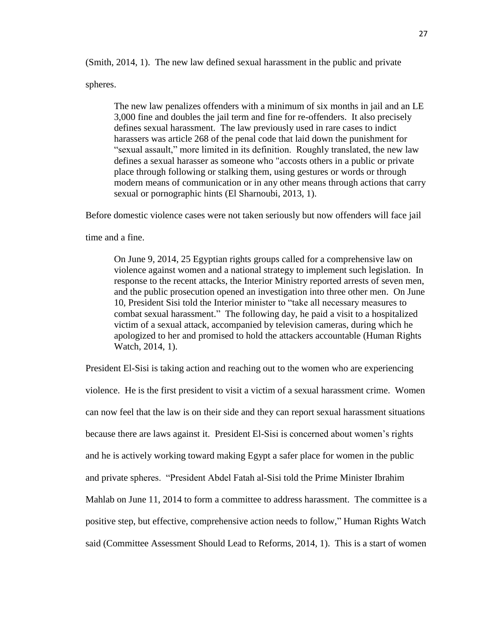(Smith, 2014, 1). The new law defined sexual harassment in the public and private

spheres.

The new law penalizes offenders with a minimum of six months in jail and an LE 3,000 fine and doubles the jail term and fine for re-offenders. It also precisely defines sexual harassment. The law previously used in rare cases to indict harassers was article 268 of the penal code that laid down the punishment for "sexual assault," more limited in its definition. Roughly translated, the new law defines a sexual harasser as someone who "accosts others in a public or private place through following or stalking them, using gestures or words or through modern means of communication or in any other means through actions that carry sexual or pornographic hints (El Sharnoubi, 2013, 1).

Before domestic violence cases were not taken seriously but now offenders will face jail

time and a fine.

On June 9, 2014, 25 Egyptian rights groups called for a comprehensive law on violence against women and a national strategy to implement such legislation. In response to the recent attacks, the Interior Ministry reported arrests of seven men, and the public prosecution opened an investigation into three other men. On June 10, President Sisi told the Interior minister to "take all necessary measures to combat sexual harassment." The following day, he paid a visit to a hospitalized victim of a sexual attack, accompanied by television cameras, during which he apologized to her and promised to hold the attackers accountable (Human Rights Watch, 2014, 1).

President El-Sisi is taking action and reaching out to the women who are experiencing violence. He is the first president to visit a victim of a sexual harassment crime. Women can now feel that the law is on their side and they can report sexual harassment situations because there are laws against it. President El-Sisi is concerned about women's rights and he is actively working toward making Egypt a safer place for women in the public and private spheres. "President Abdel Fatah al-Sisi told the Prime Minister Ibrahim Mahlab on June 11, 2014 to form a committee to address harassment. The committee is a positive step, but effective, comprehensive action needs to follow," Human Rights Watch said (Committee Assessment Should Lead to Reforms, 2014, 1). This is a start of women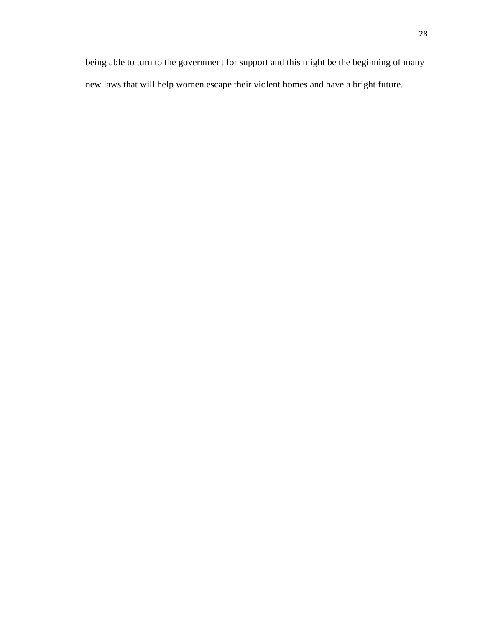being able to turn to the government for support and this might be the beginning of many new laws that will help women escape their violent homes and have a bright future.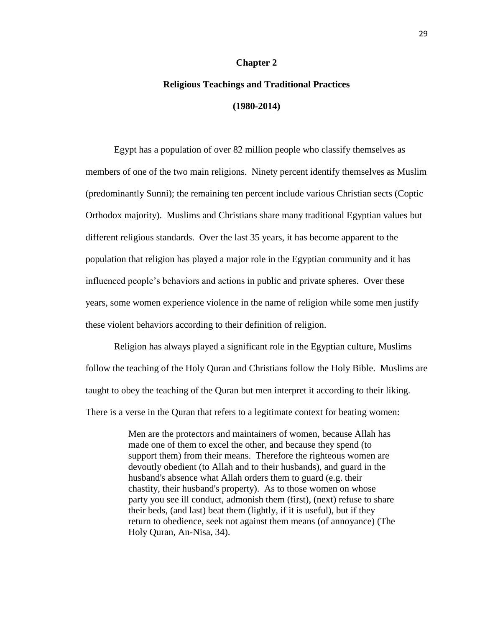#### **Chapter 2**

# <span id="page-34-0"></span>**Religious Teachings and Traditional Practices (1980-2014)**

Egypt has a population of over 82 million people who classify themselves as members of one of the two main religions. Ninety percent identify themselves as Muslim (predominantly Sunni); the remaining ten percent include various Christian sects (Coptic Orthodox majority). Muslims and Christians share many traditional Egyptian values but different religious standards. Over the last 35 years, it has become apparent to the population that religion has played a major role in the Egyptian community and it has influenced people's behaviors and actions in public and private spheres. Over these years, some women experience violence in the name of religion while some men justify these violent behaviors according to their definition of religion.

Religion has always played a significant role in the Egyptian culture, Muslims follow the teaching of the Holy Quran and Christians follow the Holy Bible. Muslims are taught to obey the teaching of the Quran but men interpret it according to their liking. There is a verse in the Quran that refers to a legitimate context for beating women:

> Men are the protectors and maintainers of women, because Allah has made one of them to excel the other, and because they spend (to support them) from their means. Therefore the righteous women are devoutly obedient (to Allah and to their husbands), and guard in the husband's absence what Allah orders them to guard (e.g. their chastity, their husband's property). As to those women on whose party you see ill conduct, admonish them (first), (next) refuse to share their beds, (and last) beat them (lightly, if it is useful), but if they return to obedience, seek not against them means (of annoyance) (The Holy Quran, An-Nisa, 34).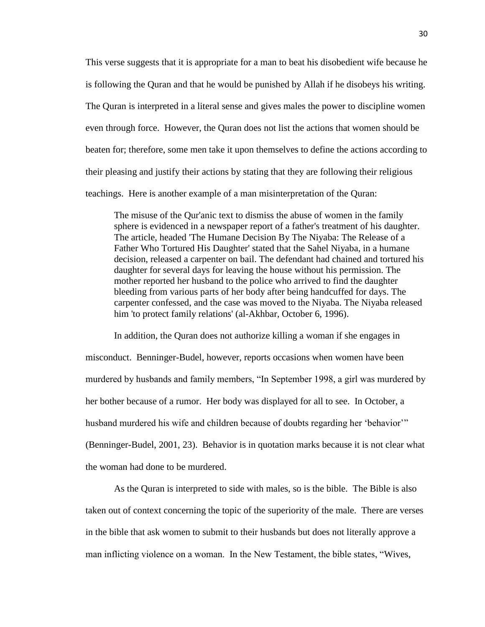This verse suggests that it is appropriate for a man to beat his disobedient wife because he is following the Quran and that he would be punished by Allah if he disobeys his writing. The Quran is interpreted in a literal sense and gives males the power to discipline women even through force. However, the Quran does not list the actions that women should be beaten for; therefore, some men take it upon themselves to define the actions according to their pleasing and justify their actions by stating that they are following their religious teachings. Here is another example of a man misinterpretation of the Quran:

The misuse of the Qur'anic text to dismiss the abuse of women in the family sphere is evidenced in a newspaper report of a father's treatment of his daughter. The article, headed 'The Humane Decision By The Niyaba: The Release of a Father Who Tortured His Daughter' stated that the Sahel Niyaba, in a humane decision, released a carpenter on bail. The defendant had chained and tortured his daughter for several days for leaving the house without his permission. The mother reported her husband to the police who arrived to find the daughter bleeding from various parts of her body after being handcuffed for days. The carpenter confessed, and the case was moved to the Niyaba. The Niyaba released him 'to protect family relations' (al-Akhbar, October 6, 1996).

In addition, the Quran does not authorize killing a woman if she engages in misconduct. Benninger-Budel, however, reports occasions when women have been murdered by husbands and family members, "In September 1998, a girl was murdered by her bother because of a rumor. Her body was displayed for all to see. In October, a husband murdered his wife and children because of doubts regarding her 'behavior'" (Benninger-Budel, 2001, 23). Behavior is in quotation marks because it is not clear what the woman had done to be murdered.

As the Quran is interpreted to side with males, so is the bible. The Bible is also taken out of context concerning the topic of the superiority of the male. There are verses in the bible that ask women to submit to their husbands but does not literally approve a man inflicting violence on a woman. In the New Testament, the bible states, "Wives,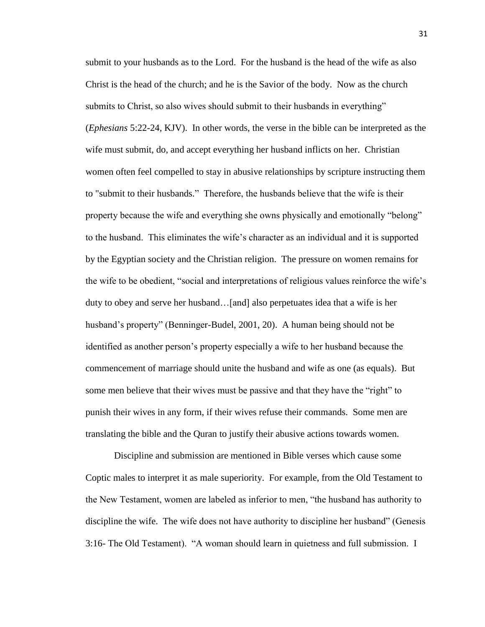submit to your husbands as to the Lord. For the husband is the head of the wife as also Christ is the head of the church; and he is the Savior of the body. Now as the church submits to Christ, so also wives should submit to their husbands in everything" (*Ephesians* 5:22-24, KJV). In other words, the verse in the bible can be interpreted as the wife must submit, do, and accept everything her husband inflicts on her. Christian women often feel compelled to stay in abusive relationships by scripture instructing them to "submit to their husbands." Therefore, the husbands believe that the wife is their property because the wife and everything she owns physically and emotionally "belong" to the husband. This eliminates the wife's character as an individual and it is supported by the Egyptian society and the Christian religion. The pressure on women remains for the wife to be obedient, "social and interpretations of religious values reinforce the wife's duty to obey and serve her husband…[and] also perpetuates idea that a wife is her husband's property" (Benninger-Budel, 2001, 20). A human being should not be identified as another person's property especially a wife to her husband because the commencement of marriage should unite the husband and wife as one (as equals). But some men believe that their wives must be passive and that they have the "right" to punish their wives in any form, if their wives refuse their commands. Some men are translating the bible and the Quran to justify their abusive actions towards women.

Discipline and submission are mentioned in Bible verses which cause some Coptic males to interpret it as male superiority. For example, from the Old Testament to the New Testament, women are labeled as inferior to men, "the husband has authority to discipline the wife. The wife does not have authority to discipline her husband" (Genesis 3:16- The Old Testament). "A woman should learn in quietness and full submission. I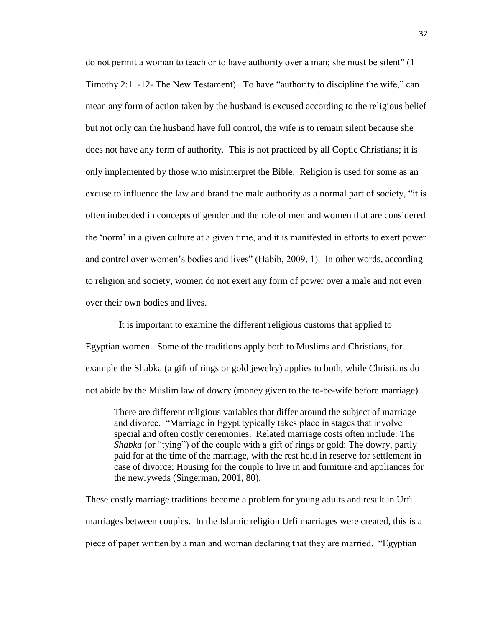do not permit a woman to teach or to have authority over a man; she must be silent" (1 Timothy 2:11-12- The New Testament). To have "authority to discipline the wife," can mean any form of action taken by the husband is excused according to the religious belief but not only can the husband have full control, the wife is to remain silent because she does not have any form of authority. This is not practiced by all Coptic Christians; it is only implemented by those who misinterpret the Bible. Religion is used for some as an excuse to influence the law and brand the male authority as a normal part of society, "it is often imbedded in concepts of gender and the role of men and women that are considered the 'norm' in a given culture at a given time, and it is manifested in efforts to exert power and control over women's bodies and lives" (Habib, 2009, 1). In other words, according to religion and society, women do not exert any form of power over a male and not even over their own bodies and lives.

 It is important to examine the different religious customs that applied to Egyptian women. Some of the traditions apply both to Muslims and Christians, for example the Shabka (a gift of rings or gold jewelry) applies to both, while Christians do not abide by the Muslim law of dowry (money given to the to-be-wife before marriage).

There are different religious variables that differ around the subject of marriage and divorce. "Marriage in Egypt typically takes place in stages that involve special and often costly ceremonies. Related marriage costs often include: The *Shabka* (or "tying") of the couple with a gift of rings or gold; The dowry, partly paid for at the time of the marriage, with the rest held in reserve for settlement in case of divorce; Housing for the couple to live in and furniture and appliances for the newlyweds (Singerman, 2001, 80).

These costly marriage traditions become a problem for young adults and result in Urfi marriages between couples. In the Islamic religion Urfi marriages were created, this is a piece of paper written by a man and woman declaring that they are married. "Egyptian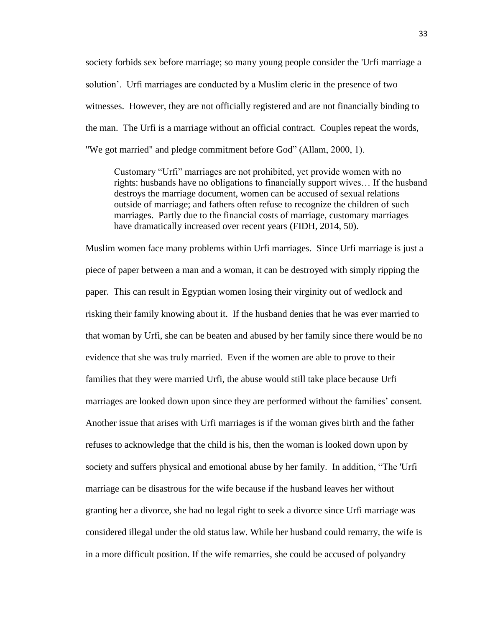society forbids sex before marriage; so many young people consider the 'Urfi marriage a solution'. Urfi marriages are conducted by a Muslim cleric in the presence of two witnesses. However, they are not officially registered and are not financially binding to the man. The Urfi is a marriage without an official contract. Couples repeat the words, "We got married" and pledge commitment before God" (Allam, 2000, 1).

Customary "Urfi" marriages are not prohibited, yet provide women with no rights: husbands have no obligations to financially support wives… If the husband destroys the marriage document, women can be accused of sexual relations outside of marriage; and fathers often refuse to recognize the children of such marriages. Partly due to the financial costs of marriage, customary marriages have dramatically increased over recent years (FIDH, 2014, 50).

Muslim women face many problems within Urfi marriages. Since Urfi marriage is just a piece of paper between a man and a woman, it can be destroyed with simply ripping the paper. This can result in Egyptian women losing their virginity out of wedlock and risking their family knowing about it. If the husband denies that he was ever married to that woman by Urfi, she can be beaten and abused by her family since there would be no evidence that she was truly married. Even if the women are able to prove to their families that they were married Urfi, the abuse would still take place because Urfi marriages are looked down upon since they are performed without the families' consent. Another issue that arises with Urfi marriages is if the woman gives birth and the father refuses to acknowledge that the child is his, then the woman is looked down upon by society and suffers physical and emotional abuse by her family. In addition, "The 'Urfi marriage can be disastrous for the wife because if the husband leaves her without granting her a divorce, she had no legal right to seek a divorce since Urfi marriage was considered illegal under the old status law. While her husband could remarry, the wife is in a more difficult position. If the wife remarries, she could be accused of polyandry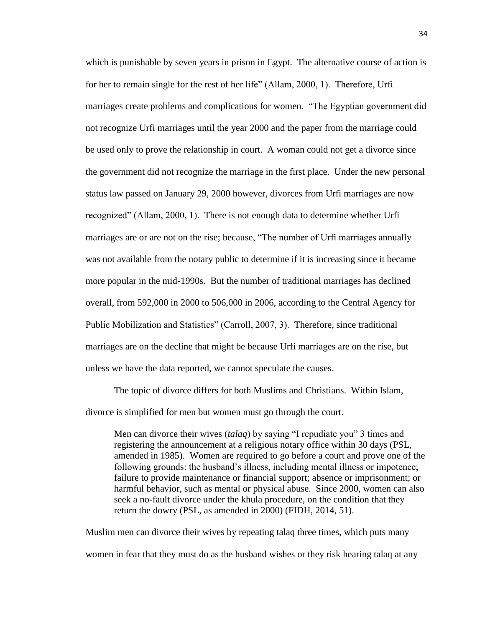which is punishable by seven years in prison in Egypt. The alternative course of action is for her to remain single for the rest of her life" (Allam, 2000, 1). Therefore, Urfi marriages create problems and complications for women. "The Egyptian government did not recognize Urfi marriages until the year 2000 and the paper from the marriage could be used only to prove the relationship in court. A woman could not get a divorce since the government did not recognize the marriage in the first place. Under the new personal status law passed on January 29, 2000 however, divorces from Urfi marriages are now recognized" (Allam, 2000, 1). There is not enough data to determine whether Urfi marriages are or are not on the rise; because, "The number of Urfi marriages annually was not available from the notary public to determine if it is increasing since it became more popular in the mid-1990s. But the number of traditional marriages has declined overall, from 592,000 in 2000 to 506,000 in 2006, according to the Central Agency for Public Mobilization and Statistics" (Carroll, 2007, 3). Therefore, since traditional marriages are on the decline that might be because Urfi marriages are on the rise, but unless we have the data reported, we cannot speculate the causes.

The topic of divorce differs for both Muslims and Christians. Within Islam, divorce is simplified for men but women must go through the court.

Men can divorce their wives (*talaq*) by saying "I repudiate you" 3 times and registering the announcement at a religious notary office within 30 days (PSL, amended in 1985). Women are required to go before a court and prove one of the following grounds: the husband's illness, including mental illness or impotence; failure to provide maintenance or financial support; absence or imprisonment; or harmful behavior, such as mental or physical abuse. Since 2000, women can also seek a no-fault divorce under the khula procedure, on the condition that they return the dowry (PSL, as amended in 2000) (FIDH, 2014, 51).

Muslim men can divorce their wives by repeating talaq three times, which puts many women in fear that they must do as the husband wishes or they risk hearing talaq at any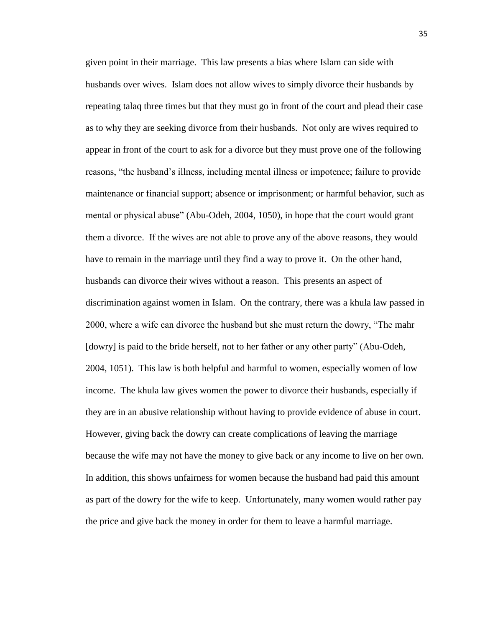given point in their marriage. This law presents a bias where Islam can side with husbands over wives. Islam does not allow wives to simply divorce their husbands by repeating talaq three times but that they must go in front of the court and plead their case as to why they are seeking divorce from their husbands. Not only are wives required to appear in front of the court to ask for a divorce but they must prove one of the following reasons, "the husband's illness, including mental illness or impotence; failure to provide maintenance or financial support; absence or imprisonment; or harmful behavior, such as mental or physical abuse" (Abu-Odeh, 2004, 1050), in hope that the court would grant them a divorce. If the wives are not able to prove any of the above reasons, they would have to remain in the marriage until they find a way to prove it. On the other hand, husbands can divorce their wives without a reason. This presents an aspect of discrimination against women in Islam. On the contrary, there was a khula law passed in 2000, where a wife can divorce the husband but she must return the dowry, "The mahr [dowry] is paid to the bride herself, not to her father or any other party" (Abu-Odeh, 2004, 1051). This law is both helpful and harmful to women, especially women of low income. The khula law gives women the power to divorce their husbands, especially if they are in an abusive relationship without having to provide evidence of abuse in court. However, giving back the dowry can create complications of leaving the marriage because the wife may not have the money to give back or any income to live on her own. In addition, this shows unfairness for women because the husband had paid this amount as part of the dowry for the wife to keep. Unfortunately, many women would rather pay the price and give back the money in order for them to leave a harmful marriage.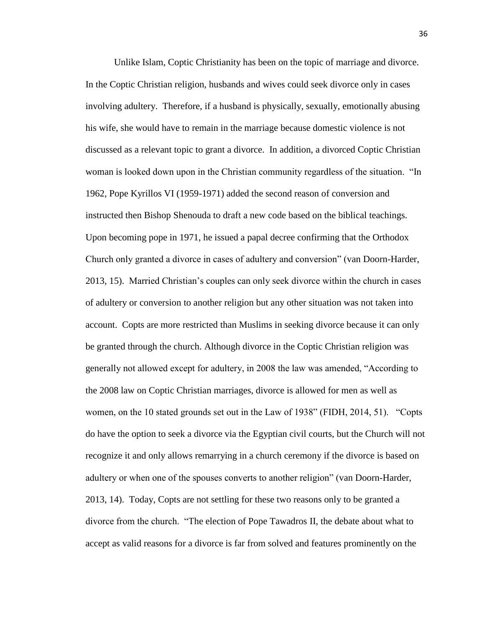Unlike Islam, Coptic Christianity has been on the topic of marriage and divorce. In the Coptic Christian religion, husbands and wives could seek divorce only in cases involving adultery. Therefore, if a husband is physically, sexually, emotionally abusing his wife, she would have to remain in the marriage because domestic violence is not discussed as a relevant topic to grant a divorce. In addition, a divorced Coptic Christian woman is looked down upon in the Christian community regardless of the situation. "In 1962, Pope Kyrillos VI (1959-1971) added the second reason of conversion and instructed then Bishop Shenouda to draft a new code based on the biblical teachings. Upon becoming pope in 1971, he issued a papal decree confirming that the Orthodox Church only granted a divorce in cases of adultery and conversion" (van Doorn-Harder, 2013, 15).Married Christian's couples can only seek divorce within the church in cases of adultery or conversion to another religion but any other situation was not taken into account.Copts are more restricted than Muslims in seeking divorce because it can only be granted through the church. Although divorce in the Coptic Christian religion was generally not allowed except for adultery, in 2008 the law was amended, "According to the 2008 law on Coptic Christian marriages, divorce is allowed for men as well as women, on the 10 stated grounds set out in the Law of 1938" (FIDH, 2014, 51). "Copts do have the option to seek a divorce via the Egyptian civil courts, but the Church will not recognize it and only allows remarrying in a church ceremony if the divorce is based on adultery or when one of the spouses converts to another religion" (van Doorn-Harder, 2013, 14). Today, Copts are not settling for these two reasons only to be granted a divorce from the church. "The election of Pope Tawadros II, the debate about what to accept as valid reasons for a divorce is far from solved and features prominently on the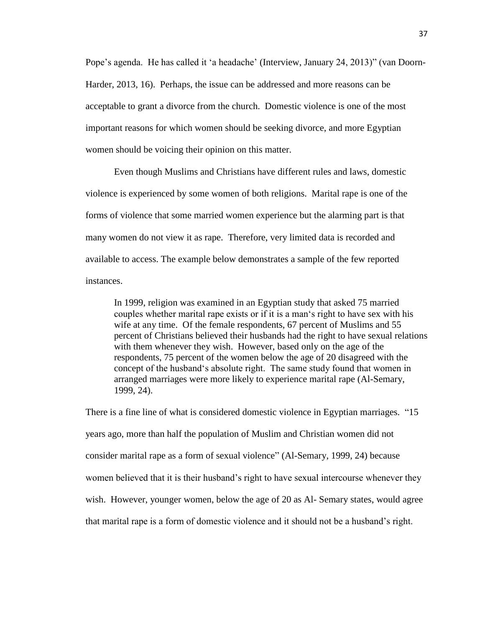Pope's agenda. He has called it 'a headache' (Interview, January 24, 2013)" (van Doorn-Harder, 2013, 16). Perhaps, the issue can be addressed and more reasons can be acceptable to grant a divorce from the church. Domestic violence is one of the most important reasons for which women should be seeking divorce, and more Egyptian women should be voicing their opinion on this matter.

Even though Muslims and Christians have different rules and laws, domestic violence is experienced by some women of both religions. Marital rape is one of the forms of violence that some married women experience but the alarming part is that many women do not view it as rape. Therefore, very limited data is recorded and available to access. The example below demonstrates a sample of the few reported instances.

In 1999, religion was examined in an Egyptian study that asked 75 married couples whether marital rape exists or if it is a man's right to have sex with his wife at any time. Of the female respondents, 67 percent of Muslims and 55 percent of Christians believed their husbands had the right to have sexual relations with them whenever they wish. However, based only on the age of the respondents, 75 percent of the women below the age of 20 disagreed with the concept of the husband's absolute right. The same study found that women in arranged marriages were more likely to experience marital rape (Al-Semary, 1999, 24).

There is a fine line of what is considered domestic violence in Egyptian marriages. "15 years ago, more than half the population of Muslim and Christian women did not consider marital rape as a form of sexual violence" (Al-Semary, 1999, 24) because women believed that it is their husband's right to have sexual intercourse whenever they wish. However, younger women, below the age of 20 as Al- Semary states, would agree that marital rape is a form of domestic violence and it should not be a husband's right.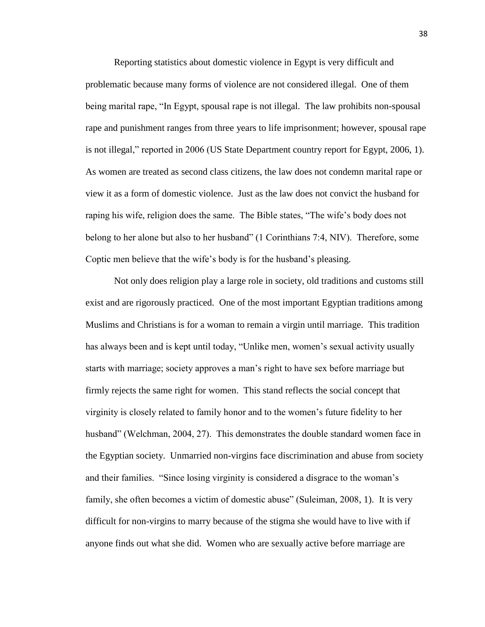Reporting statistics about domestic violence in Egypt is very difficult and problematic because many forms of violence are not considered illegal. One of them being marital rape, "In Egypt, spousal rape is not illegal. The law prohibits non-spousal rape and punishment ranges from three years to life imprisonment; however, spousal rape is not illegal," reported in 2006 [\(US State Department country report](http://www.state.gov/g/drl/rls/hrrpt/2005/61687.htm) for Egypt, 2006, 1). As women are treated as second class citizens, the law does not condemn marital rape or view it as a form of domestic violence. Just as the law does not convict the husband for raping his wife, religion does the same. The Bible states, "The wife's body does not belong to her alone but also to her husband" (1 Corinthians 7:4, NIV). Therefore, some Coptic men believe that the wife's body is for the husband's pleasing.

Not only does religion play a large role in society, old traditions and customs still exist and are rigorously practiced. One of the most important Egyptian traditions among Muslims and Christians is for a woman to remain a virgin until marriage. This tradition has always been and is kept until today, "Unlike men, women's sexual activity usually starts with marriage; society approves a man's right to have sex before marriage but firmly rejects the same right for women. This stand reflects the social concept that virginity is closely related to family honor and to the women's future fidelity to her husband" (Welchman, 2004, 27). This demonstrates the double standard women face in the Egyptian society. Unmarried non-virgins face discrimination and abuse from society and their families. "Since losing virginity is considered a disgrace to the woman's family, she often becomes a victim of domestic abuse" (Suleiman, 2008, 1). It is very difficult for non-virgins to marry because of the stigma she would have to live with if anyone finds out what she did. Women who are sexually active before marriage are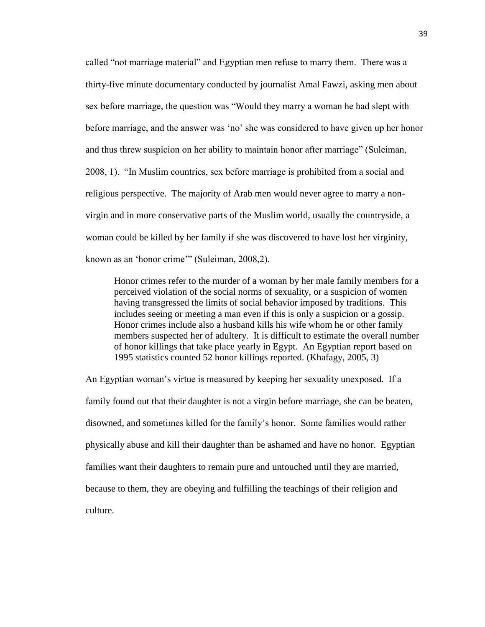called "not marriage material" and Egyptian men refuse to marry them. There was a thirty-five minute documentary conducted by journalist Amal Fawzi, asking men about sex before marriage, the question was "Would they marry a woman he had slept with before marriage, and the answer was 'no' she was considered to have given up her honor and thus threw suspicion on her ability to maintain honor after marriage" (Suleiman, 2008, 1). "In Muslim countries, sex before marriage is prohibited from a social and religious perspective. The majority of Arab men would never agree to marry a nonvirgin and in more conservative parts of the Muslim world, usually the countryside, a woman could be killed by her family if she was discovered to have lost her virginity, known as an 'honor crime'" (Suleiman, 2008,2).

Honor crimes refer to the murder of a woman by her male family members for a perceived violation of the social norms of sexuality, or a suspicion of women having transgressed the limits of social behavior imposed by traditions. This includes seeing or meeting a man even if this is only a suspicion or a gossip. Honor crimes include also a husband kills his wife whom he or other family members suspected her of adultery. It is difficult to estimate the overall number of honor killings that take place yearly in Egypt. An Egyptian report based on 1995 statistics counted 52 honor killings reported. (Khafagy, 2005, 3)

An Egyptian woman's virtue is measured by keeping her sexuality unexposed. If a family found out that their daughter is not a virgin before marriage, she can be beaten, disowned, and sometimes killed for the family's honor. Some families would rather physically abuse and kill their daughter than be ashamed and have no honor. Egyptian families want their daughters to remain pure and untouched until they are married, because to them, they are obeying and fulfilling the teachings of their religion and culture.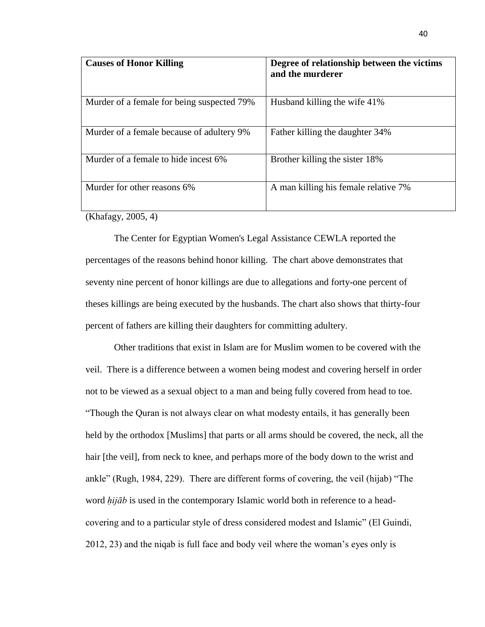| <b>Causes of Honor Killing</b>             | Degree of relationship between the victims<br>and the murderer |
|--------------------------------------------|----------------------------------------------------------------|
| Murder of a female for being suspected 79% | Husband killing the wife 41%                                   |
| Murder of a female because of adultery 9%  | Father killing the daughter 34%                                |
| Murder of a female to hide incest 6%       | Brother killing the sister 18%                                 |
| Murder for other reasons 6%                | A man killing his female relative 7%                           |
| $\sqrt{11}$<br>$\bigcap_{n=1}^{\infty}$    |                                                                |

(Khafagy, 2005, 4)

The Center for Egyptian Women's Legal Assistance CEWLA reported the percentages of the reasons behind honor killing. The chart above demonstrates that seventy nine percent of honor killings are due to allegations and forty-one percent of theses killings are being executed by the husbands. The chart also shows that thirty-four percent of fathers are killing their daughters for committing adultery.

Other traditions that exist in Islam are for Muslim women to be covered with the veil. There is a difference between a women being modest and covering herself in order not to be viewed as a sexual object to a man and being fully covered from head to toe. "Though the Quran is not always clear on what modesty entails, it has generally been held by the orthodox [Muslims] that parts or all arms should be covered, the neck, all the hair [the veil], from neck to knee, and perhaps more of the body down to the wrist and ankle" (Rugh, 1984, 229). There are different forms of covering, the veil (hijab) "The word *ḥijāb* is used in the contemporary Islamic world both in reference to a headcovering and to a particular style of dress considered modest and Islamic" (El Guindi, 2012, 23) and the niqab is full face and body veil where the woman's eyes only is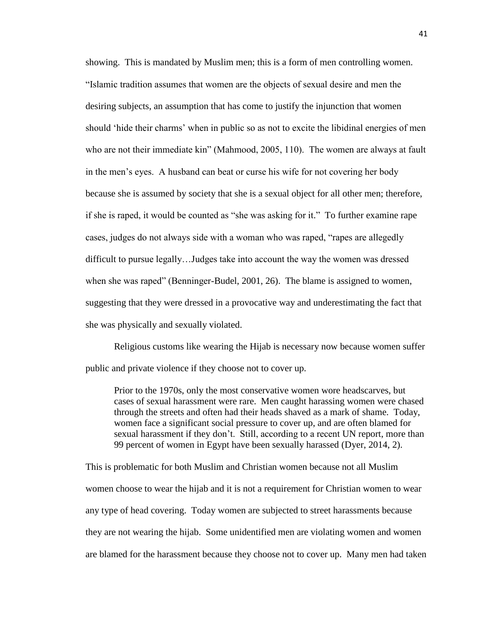showing. This is mandated by Muslim men; this is a form of men controlling women. "Islamic tradition assumes that women are the objects of sexual desire and men the desiring subjects, an assumption that has come to justify the injunction that women should 'hide their charms' when in public so as not to excite the libidinal energies of men who are not their immediate kin" (Mahmood, 2005, 110). The women are always at fault in the men's eyes. A husband can beat or curse his wife for not covering her body because she is assumed by society that she is a sexual object for all other men; therefore, if she is raped, it would be counted as "she was asking for it." To further examine rape cases, judges do not always side with a woman who was raped, "rapes are allegedly difficult to pursue legally…Judges take into account the way the women was dressed when she was raped" (Benninger-Budel, 2001, 26). The blame is assigned to women, suggesting that they were dressed in a provocative way and underestimating the fact that she was physically and sexually violated.

Religious customs like wearing the Hijab is necessary now because women suffer public and private violence if they choose not to cover up.

Prior to the 1970s, only the most conservative women wore headscarves, but cases of sexual harassment were rare. Men caught harassing women were chased through the streets and often had their heads shaved as a mark of shame. Today, women face a significant social pressure to cover up, and are often blamed for sexual harassment if they don't. Still, according to a recent [UN report,](http://www.un.org.eg/Publications.aspx?pageID=43) more than 99 percent of women in Egypt have been sexually harassed [\(Dyer,](http://www.foreignaffairs.com/author/emily-dyer) 2014, 2).

This is problematic for both Muslim and Christian women because not all Muslim women choose to wear the hijab and it is not a requirement for Christian women to wear any type of head covering. Today women are subjected to street harassments because they are not wearing the hijab. Some unidentified men are violating women and women are blamed for the harassment because they choose not to cover up. Many men had taken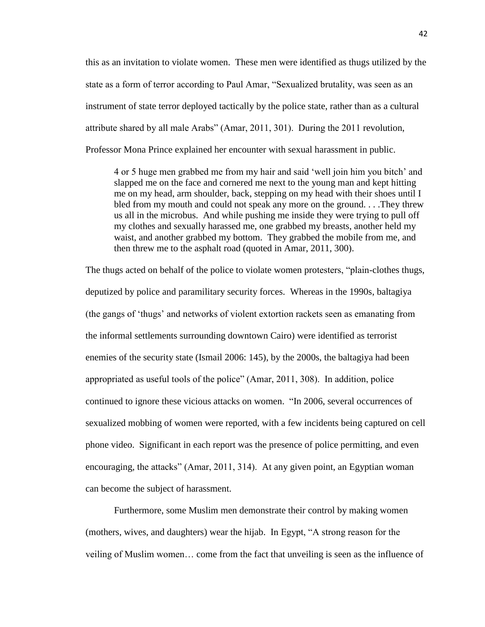this as an invitation to violate women. These men were identified as thugs utilized by the state as a form of terror according to Paul Amar, "Sexualized brutality, was seen as an instrument of state terror deployed tactically by the police state, rather than as a cultural attribute shared by all male Arabs" (Amar, 2011, 301). During the 2011 revolution, Professor Mona Prince explained her encounter with sexual harassment in public.

4 or 5 huge men grabbed me from my hair and said 'well join him you bitch' and slapped me on the face and cornered me next to the young man and kept hitting me on my head, arm shoulder, back, stepping on my head with their shoes until I bled from my mouth and could not speak any more on the ground. . . .They threw us all in the microbus. And while pushing me inside they were trying to pull off my clothes and sexually harassed me, one grabbed my breasts, another held my waist, and another grabbed my bottom. They grabbed the mobile from me, and then threw me to the asphalt road (quoted in Amar, 2011, 300).

The thugs acted on behalf of the police to violate women protesters, "plain-clothes thugs, deputized by police and paramilitary security forces. Whereas in the 1990s, baltagiya (the gangs of 'thugs' and networks of violent extortion rackets seen as emanating from the informal settlements surrounding downtown Cairo) were identified as terrorist enemies of the security state (Ismail 2006: 145), by the 2000s, the baltagiya had been appropriated as useful tools of the police" (Amar, 2011, 308). In addition, police continued to ignore these vicious attacks on women. "In 2006, several occurrences of sexualized mobbing of women were reported, with a few incidents being captured on cell phone video. Significant in each report was the presence of police permitting, and even encouraging, the attacks" (Amar, 2011, 314). At any given point, an Egyptian woman can become the subject of harassment.

Furthermore, some Muslim men demonstrate their control by making women (mothers, wives, and daughters) wear the hijab. In Egypt, "A strong reason for the veiling of Muslim women… come from the fact that unveiling is seen as the influence of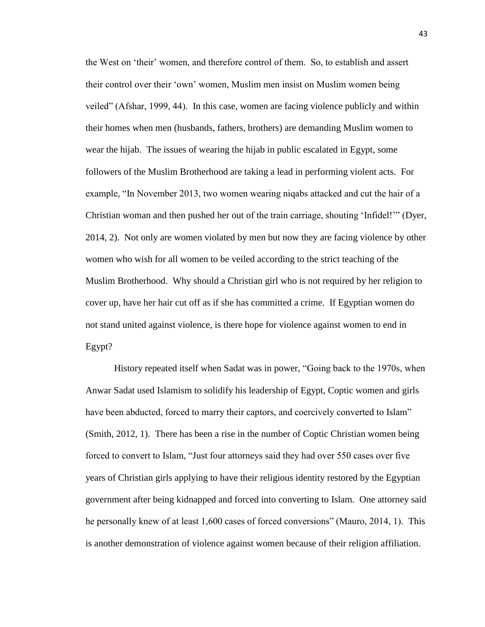the West on 'their' women, and therefore control of them. So, to establish and assert their control over their 'own' women, Muslim men insist on Muslim women being veiled" (Afshar, 1999, 44). In this case, women are facing violence publicly and within their homes when men (husbands, fathers, brothers) are demanding Muslim women to wear the hijab. The issues of wearing the hijab in public escalated in Egypt, some followers of the Muslim Brotherhood are taking a lead in performing violent acts. For example, "In November 2013, two women wearing niqabs attacked and cut the hair of a Christian woman and then pushed her out of the train carriage, shouting 'Infidel!'" [\(Dyer,](http://www.foreignaffairs.com/author/emily-dyer) 2014, 2). Not only are women violated by men but now they are facing violence by other women who wish for all women to be veiled according to the strict teaching of the Muslim Brotherhood. Why should a Christian girl who is not required by her religion to cover up, have her hair cut off as if she has committed a crime. If Egyptian women do not stand united against violence, is there hope for violence against women to end in Egypt?

History repeated itself when Sadat was in power, "Going back to the 1970s, when Anwar Sadat used Islamism to solidify his leadership of Egypt, Coptic women and girls have been abducted, forced to marry their captors, and coercively converted to Islam" (Smith, 2012, 1). There has been a rise in the number of Coptic Christian women being forced to convert to Islam, "Just four attorneys said they had over 550 cases over five years of Christian girls applying to have their religious identity restored by the Egyptian government after being kidnapped and forced into converting to Islam. One attorney said he personally knew of at least 1,600 cases of forced conversions" (Mauro, 2014, 1). This is another demonstration of violence against women because of their religion affiliation.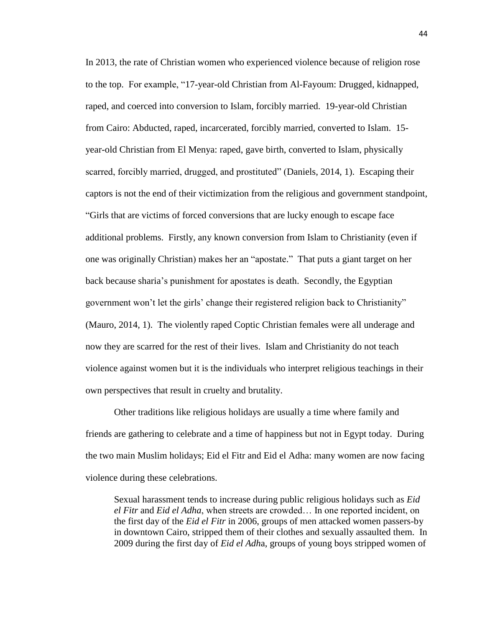In 2013, the rate of Christian women who experienced violence because of religion rose to the top. For example, "17-year-old Christian from Al-Fayoum: Drugged, kidnapped, raped, and coerced into conversion to Islam, forcibly married. 19-year-old Christian from Cairo: Abducted, raped, incarcerated, forcibly married, converted to Islam. 15 year-old Christian from El Menya: raped, gave birth, converted to Islam, physically scarred, forcibly married, drugged, and prostituted" (Daniels, 2014, 1). Escaping their captors is not the end of their victimization from the religious and government standpoint, "Girls that are victims of forced conversions that are lucky enough to escape face additional problems. Firstly, any known conversion from Islam to Christianity (even if one was originally Christian) makes her an "apostate." That puts a giant target on her back because [sharia'](http://www.clarionproject.org/glossary/sharia/)s punishment for apostates is death. Secondly, the Egyptian government won't let the girls' change their registered religion back to Christianity" (Mauro, 2014, 1). The violently raped Coptic Christian females were all underage and now they are scarred for the rest of their lives. Islam and Christianity do not teach violence against women but it is the individuals who interpret religious teachings in their own perspectives that result in cruelty and brutality.

Other traditions like religious holidays are usually a time where family and friends are gathering to celebrate and a time of happiness but not in Egypt today. During the two main Muslim holidays; Eid el Fitr and Eid el Adha: many women are now facing violence during these celebrations.

Sexual harassment tends to increase during public religious holidays such as *Eid el Fitr* and *Eid el Adha*, when streets are crowded… In one reported incident, on the first day of the *Eid el Fitr* in 2006, groups of men attacked women passers-by in downtown Cairo, stripped them of their clothes and sexually assaulted them. In 2009 during the first day of *Eid el Adh*a, groups of young boys stripped women of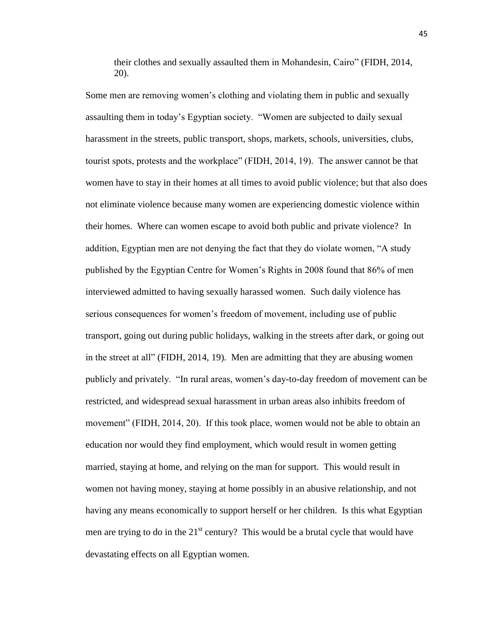their clothes and sexually assaulted them in Mohandesin, Cairo" (FIDH, 2014, 20).

Some men are removing women's clothing and violating them in public and sexually assaulting them in today's Egyptian society. "Women are subjected to daily sexual harassment in the streets, public transport, shops, markets, schools, universities, clubs, tourist spots, protests and the workplace" (FIDH, 2014, 19). The answer cannot be that women have to stay in their homes at all times to avoid public violence; but that also does not eliminate violence because many women are experiencing domestic violence within their homes. Where can women escape to avoid both public and private violence? In addition, Egyptian men are not denying the fact that they do violate women, "A study published by the Egyptian Centre for Women's Rights in 2008 found that 86% of men interviewed admitted to having sexually harassed women. Such daily violence has serious consequences for women's freedom of movement, including use of public transport, going out during public holidays, walking in the streets after dark, or going out in the street at all" (FIDH, 2014, 19). Men are admitting that they are abusing women publicly and privately. "In rural areas, women's day-to-day freedom of movement can be restricted, and widespread sexual harassment in urban areas also inhibits freedom of movement" (FIDH, 2014, 20). If this took place, women would not be able to obtain an education nor would they find employment, which would result in women getting married, staying at home, and relying on the man for support. This would result in women not having money, staying at home possibly in an abusive relationship, and not having any means economically to support herself or her children. Is this what Egyptian men are trying to do in the  $21<sup>st</sup>$  century? This would be a brutal cycle that would have devastating effects on all Egyptian women.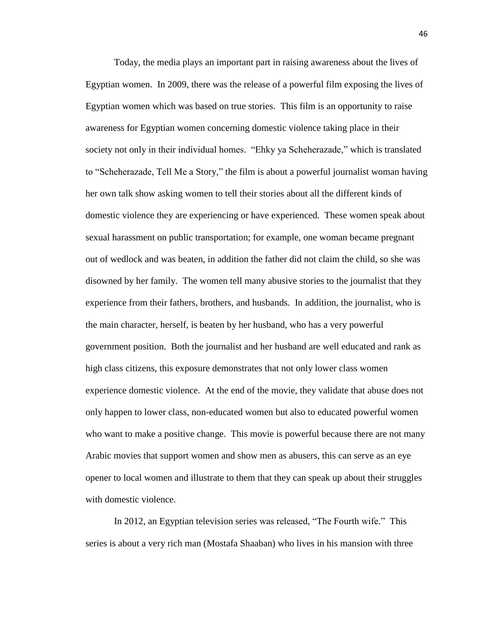Today, the media plays an important part in raising awareness about the lives of Egyptian women. In 2009, there was the release of a powerful film exposing the lives of Egyptian women which was based on true stories. This film is an opportunity to raise awareness for Egyptian women concerning domestic violence taking place in their society not only in their individual homes. "Ehky ya Scheherazade," which is translated to "Scheherazade, Tell Me a Story," the film is about a powerful journalist woman having her own talk show asking women to tell their stories about all the different kinds of domestic violence they are experiencing or have experienced. These women speak about sexual harassment on public transportation; for example, one woman became pregnant out of wedlock and was beaten, in addition the father did not claim the child, so she was disowned by her family. The women tell many abusive stories to the journalist that they experience from their fathers, brothers, and husbands. In addition, the journalist, who is the main character, herself, is beaten by her husband, who has a very powerful government position. Both the journalist and her husband are well educated and rank as high class citizens, this exposure demonstrates that not only lower class women experience domestic violence. At the end of the movie, they validate that abuse does not only happen to lower class, non-educated women but also to educated powerful women who want to make a positive change. This movie is powerful because there are not many Arabic movies that support women and show men as abusers, this can serve as an eye opener to local women and illustrate to them that they can speak up about their struggles with domestic violence.

In 2012, an Egyptian television series was released, "The Fourth wife." This series is about a very rich man (Mostafa Shaaban) who lives in his mansion with three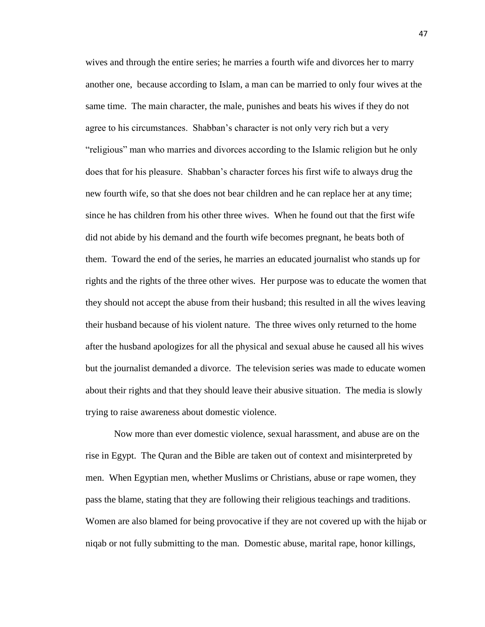wives and through the entire series; he marries a fourth wife and divorces her to marry another one, because according to Islam, a man can be married to only four wives at the same time. The main character, the male, punishes and beats his wives if they do not agree to his circumstances. Shabban's character is not only very rich but a very "religious" man who marries and divorces according to the Islamic religion but he only does that for his pleasure. Shabban's character forces his first wife to always drug the new fourth wife, so that she does not bear children and he can replace her at any time; since he has children from his other three wives. When he found out that the first wife did not abide by his demand and the fourth wife becomes pregnant, he beats both of them. Toward the end of the series, he marries an educated journalist who stands up for rights and the rights of the three other wives. Her purpose was to educate the women that they should not accept the abuse from their husband; this resulted in all the wives leaving their husband because of his violent nature. The three wives only returned to the home after the husband apologizes for all the physical and sexual abuse he caused all his wives but the journalist demanded a divorce. The television series was made to educate women about their rights and that they should leave their abusive situation. The media is slowly trying to raise awareness about domestic violence.

Now more than ever domestic violence, sexual harassment, and abuse are on the rise in Egypt. The Quran and the Bible are taken out of context and misinterpreted by men. When Egyptian men, whether Muslims or Christians, abuse or rape women, they pass the blame, stating that they are following their religious teachings and traditions. Women are also blamed for being provocative if they are not covered up with the hijab or niqab or not fully submitting to the man. Domestic abuse, marital rape, honor killings,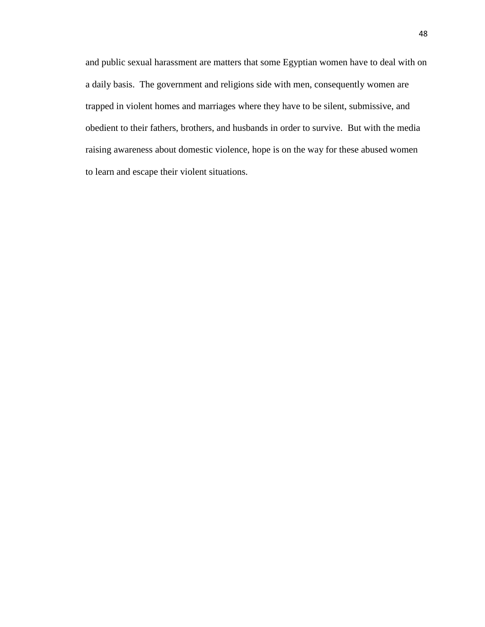and public sexual harassment are matters that some Egyptian women have to deal with on a daily basis. The government and religions side with men, consequently women are trapped in violent homes and marriages where they have to be silent, submissive, and obedient to their fathers, brothers, and husbands in order to survive. But with the media raising awareness about domestic violence, hope is on the way for these abused women to learn and escape their violent situations.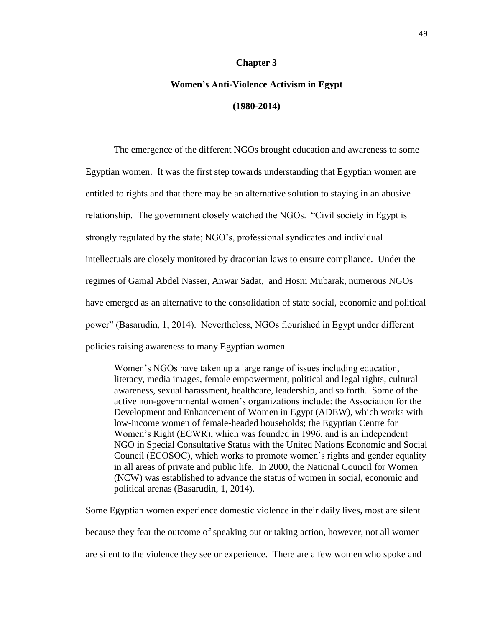#### **Chapter 3**

### **Women's Anti-Violence Activism in Egypt (1980-2014)**

The emergence of the different NGOs brought education and awareness to some Egyptian women. It was the first step towards understanding that Egyptian women are entitled to rights and that there may be an alternative solution to staying in an abusive relationship. The government closely watched the NGOs. "Civil society in Egypt is strongly regulated by the state; NGO's, professional syndicates and individual intellectuals are closely monitored by draconian laws to ensure compliance. Under the regimes of Gamal Abdel Nasser, Anwar Sadat, and Hosni Mubarak, numerous NGOs have emerged as an alternative to the consolidation of state social, economic and political power" (Basarudin, 1, 2014). Nevertheless, NGOs flourished in Egypt under different policies raising awareness to many Egyptian women.

Women's NGOs have taken up a large range of issues including education, literacy, media images, female empowerment, political and legal rights, cultural awareness, sexual harassment, healthcare, leadership, and so forth. Some of the active non-governmental women's organizations include: the Association for the Development and Enhancement of Women in Egypt (ADEW), which works with low-income women of female-headed households; the Egyptian Centre for Women's Right (ECWR), which was founded in 1996, and is an independent NGO in Special Consultative Status with the United Nations Economic and Social Council (ECOSOC), which works to promote women's rights and gender equality in all areas of private and public life. In 2000, the National Council for Women (NCW) was established to advance the status of women in social, economic and political arenas (Basarudin, 1, 2014).

Some Egyptian women experience domestic violence in their daily lives, most are silent because they fear the outcome of speaking out or taking action, however, not all women are silent to the violence they see or experience. There are a few women who spoke and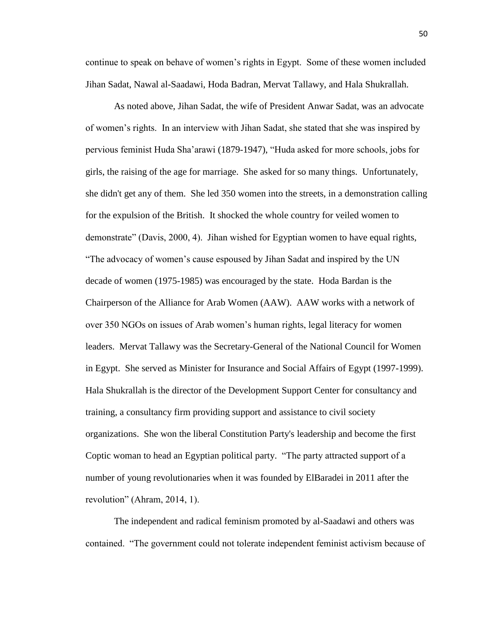continue to speak on behave of women's rights in Egypt. Some of these women included Jihan Sadat, Nawal al-Saadawi, Hoda Badran, Mervat Tallawy, and Hala Shukrallah.

As noted above, Jihan Sadat, the wife of President Anwar Sadat, was an advocate of women's rights. In an interview with Jihan Sadat, she stated that she was inspired by pervious feminist Huda Sha'arawi (1879-1947), "Huda asked for more schools, jobs for girls, the raising of the age for marriage. She asked for so many things. Unfortunately, she didn't get any of them. She led 350 women into the streets, in a demonstration calling for the expulsion of the British. It shocked the whole country for veiled women to demonstrate" (Davis, 2000, 4). Jihan wished for Egyptian women to have equal rights, "The advocacy of women's cause espoused by Jihan Sadat and inspired by the UN decade of women (1975-1985) was encouraged by the state. Hoda Bardan is the Chairperson of the Alliance for Arab Women (AAW). AAW works with a network of over 350 NGOs on issues of Arab women's human rights, legal literacy for women leaders. Mervat Tallawy was the Secretary-General of the National Council for Women in Egypt. She served as Minister for Insurance and Social Affairs of Egypt (1997-1999). Hala Shukrallah is the director of the Development Support Center for consultancy and training, a consultancy firm providing support and assistance to civil society organizations. She won the liberal Constitution Party's leadership and become the first Coptic woman to head an Egyptian political party. "The party attracted support of a number of young revolutionaries when it was founded by ElBaradei in 2011 after the revolution" (Ahram, 2014, 1).

The independent and radical feminism promoted by al-Saadawi and others was contained. "The government could not tolerate independent feminist activism because of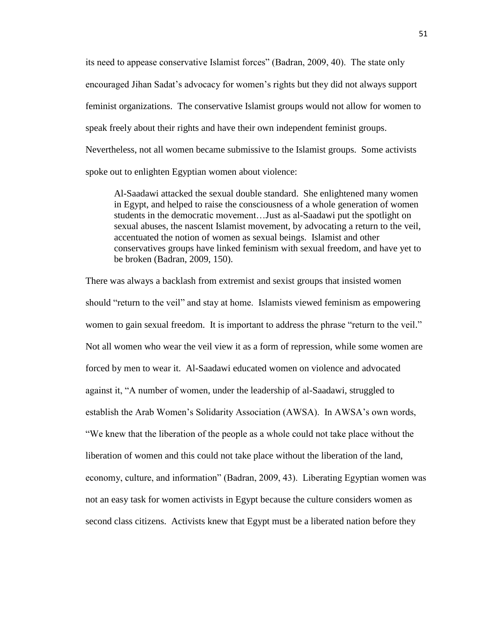its need to appease conservative Islamist forces" (Badran, 2009, 40). The state only encouraged Jihan Sadat's advocacy for women's rights but they did not always support feminist organizations. The conservative Islamist groups would not allow for women to speak freely about their rights and have their own independent feminist groups. Nevertheless, not all women became submissive to the Islamist groups. Some activists spoke out to enlighten Egyptian women about violence:

Al-Saadawi attacked the sexual double standard. She enlightened many women in Egypt, and helped to raise the consciousness of a whole generation of women students in the democratic movement…Just as al-Saadawi put the spotlight on sexual abuses, the nascent Islamist movement, by advocating a return to the veil, accentuated the notion of women as sexual beings. Islamist and other conservatives groups have linked feminism with sexual freedom, and have yet to be broken (Badran, 2009, 150).

There was always a backlash from extremist and sexist groups that insisted women should "return to the veil" and stay at home. Islamists viewed feminism as empowering women to gain sexual freedom. It is important to address the phrase "return to the veil." Not all women who wear the veil view it as a form of repression, while some women are forced by men to wear it. Al-Saadawi educated women on violence and advocated against it, "A number of women, under the leadership of al-Saadawi, struggled to establish the Arab Women's Solidarity Association (AWSA). In AWSA's own words, "We knew that the liberation of the people as a whole could not take place without the liberation of women and this could not take place without the liberation of the land, economy, culture, and information" (Badran, 2009, 43). Liberating Egyptian women was not an easy task for women activists in Egypt because the culture considers women as second class citizens. Activists knew that Egypt must be a liberated nation before they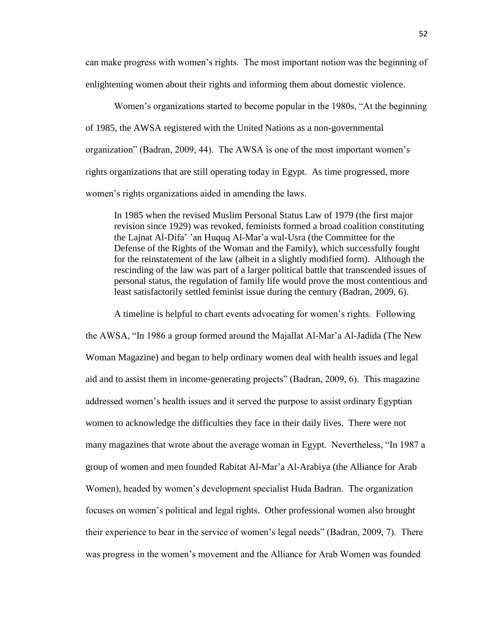can make progress with women's rights. The most important notion was the beginning of enlightening women about their rights and informing them about domestic violence.

Women's organizations started to become popular in the 1980s, "At the beginning of 1985, the AWSA registered with the United Nations as a non-governmental organization" (Badran, 2009, 44). The AWSA is one of the most important women's rights organizations that are still operating today in Egypt. As time progressed, more women's rights organizations aided in amending the laws.

In 1985 when the revised Muslim Personal Status Law of 1979 (the first major revision since 1929) was revoked, feminists formed a broad coalition constituting the Lajnat Al-Difa' 'an Huquq Al-Mar'a wal-Usra (the Committee for the Defense of the Rights of the Woman and the Family), which successfully fought for the reinstatement of the law (albeit in a slightly modified form). Although the rescinding of the law was part of a larger political battle that transcended issues of personal status, the regulation of family life would prove the most contentious and least satisfactorily settled feminist issue during the century (Badran, 2009, 6).

A timeline is helpful to chart events advocating for women's rights. Following the AWSA, "In 1986 a group formed around the Majallat Al-Mar'a Al-Jadida (The New Woman Magazine) and began to help ordinary women deal with health issues and legal aid and to assist them in income-generating projects" (Badran, 2009, 6). This magazine addressed women's health issues and it served the purpose to assist ordinary Egyptian women to acknowledge the difficulties they face in their daily lives. There were not many magazines that wrote about the average woman in Egypt. Nevertheless, "In 1987 a group of women and men founded Rabitat Al-Mar'a Al-Arabiya (the Alliance for Arab Women), headed by women's development specialist Huda Badran. The organization focuses on women's political and legal rights. Other professional women also brought their experience to bear in the service of women's legal needs" (Badran, 2009, 7). There was progress in the women's movement and the Alliance for Arab Women was founded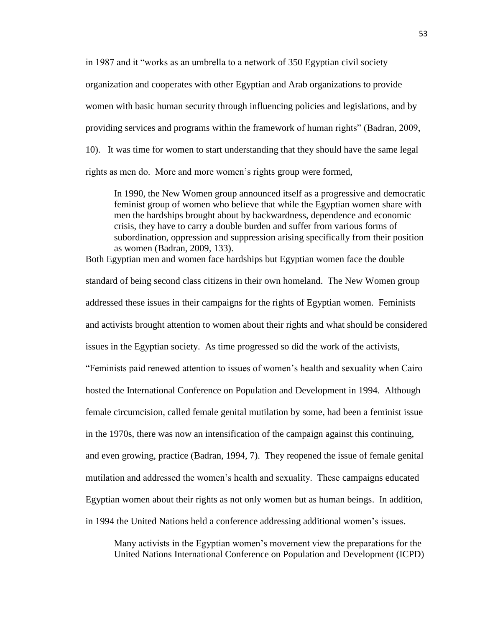in 1987 and it "works as an umbrella to a network of 350 Egyptian civil society organization and cooperates with other Egyptian and Arab organizations to provide women with basic human security through influencing policies and legislations, and by providing services and programs within the framework of human rights" (Badran, 2009, 10). It was time for women to start understanding that they should have the same legal rights as men do. More and more women's rights group were formed,

In 1990, the New Women group announced itself as a progressive and democratic feminist group of women who believe that while the Egyptian women share with men the hardships brought about by backwardness, dependence and economic crisis, they have to carry a double burden and suffer from various forms of subordination, oppression and suppression arising specifically from their position as women (Badran, 2009, 133).

Both Egyptian men and women face hardships but Egyptian women face the double standard of being second class citizens in their own homeland. The New Women group addressed these issues in their campaigns for the rights of Egyptian women. Feminists and activists brought attention to women about their rights and what should be considered issues in the Egyptian society. As time progressed so did the work of the activists, "Feminists paid renewed attention to issues of women's health and sexuality when Cairo hosted the International Conference on Population and Development in 1994. Although female circumcision, called female genital mutilation by some, had been a feminist issue in the 1970s, there was now an intensification of the campaign against this continuing, and even growing, practice (Badran, 1994, 7). They reopened the issue of female genital mutilation and addressed the women's health and sexuality. These campaigns educated Egyptian women about their rights as not only women but as human beings. In addition, in 1994 the United Nations held a conference addressing additional women's issues.

Many activists in the Egyptian women's movement view the preparations for the United Nations International Conference on Population and Development (ICPD)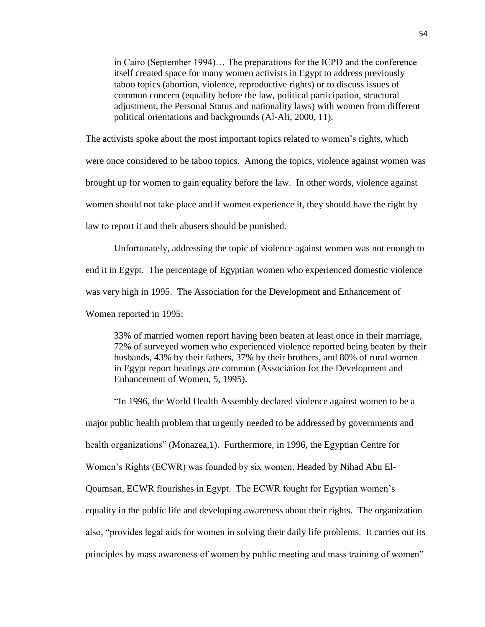in Cairo (September 1994)… The preparations for the ICPD and the conference itself created space for many women activists in Egypt to address previously taboo topics (abortion, violence, reproductive rights) or to discuss issues of common concern (equality before the law, political participation, structural adjustment, the Personal Status and nationality laws) with women from different political orientations and backgrounds (Al-Ali, 2000, 11).

The activists spoke about the most important topics related to women's rights, which were once considered to be taboo topics. Among the topics, violence against women was brought up for women to gain equality before the law. In other words, violence against women should not take place and if women experience it, they should have the right by law to report it and their abusers should be punished.

Unfortunately, addressing the topic of violence against women was not enough to end it in Egypt. The percentage of Egyptian women who experienced domestic violence was very high in 1995. The Association for the Development and Enhancement of Women reported in 1995:

33% of married women report having been beaten at least once in their marriage, 72% of surveyed women who experienced violence reported being beaten by their husbands, 43% by their fathers, 37% by their brothers, and 80% of rural women in Egypt report beatings are common (Association for the Development and Enhancement of Women, 5, 1995).

"In 1996, the World Health Assembly declared violence against women to be a major public health problem that urgently needed to be addressed by governments and health organizations" (Monazea,1). Furthermore, in 1996, the Egyptian Centre for Women's Rights (ECWR) was founded by six women. Headed by Nihad Abu El-Qoumsan, ECWR flourishes in Egypt. The ECWR fought for Egyptian women's equality in the public life and developing awareness about their rights. The organization also, "provides legal aids for women in solving their daily life problems. It carries out its principles by mass awareness of women by public meeting and mass training of women"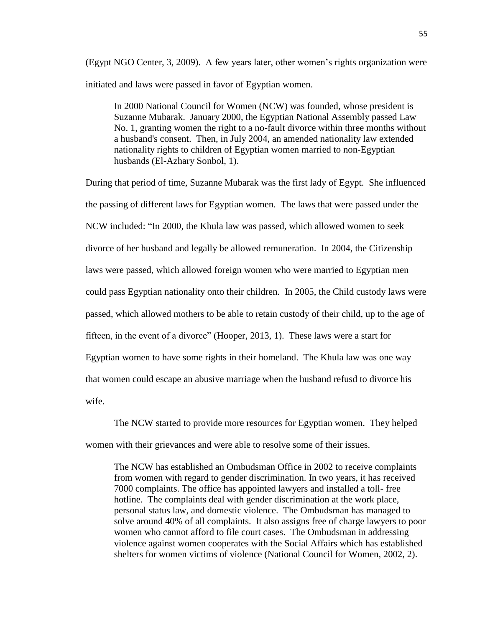(Egypt NGO Center, 3, 2009). A few years later, other women's rights organization were initiated and laws were passed in favor of Egyptian women.

In 2000 National Council for Women (NCW) was founded, whose president is Suzanne Mubarak. January 2000, the Egyptian National Assembly passed Law No. 1, granting women the right to a no-fault divorce within three months without a husband's consent. Then, in July 2004, an amended nationality law extended nationality rights to children of Egyptian women married to non-Egyptian husbands (El-Azhary Sonbol, 1).

During that period of time, Suzanne Mubarak was the first lady of Egypt. She influenced the passing of different laws for Egyptian women. The laws that were passed under the NCW included: "In 2000, the Khula law was passed, which allowed women to seek divorce of her husband and legally be allowed remuneration. In 2004, the Citizenship laws were passed, which allowed foreign women who were married to Egyptian men could pass Egyptian nationality onto their children. In 2005, the Child custody laws were passed, which allowed mothers to be able to retain custody of their child, up to the age of fifteen, in the event of a divorce" (Hooper, 2013, 1). These laws were a start for Egyptian women to have some rights in their homeland. The Khula law was one way that women could escape an abusive marriage when the husband refusd to divorce his wife.

The NCW started to provide more resources for Egyptian women. They helped women with their grievances and were able to resolve some of their issues.

The NCW has established an Ombudsman Office in 2002 to receive complaints from women with regard to gender discrimination. In two years, it has received 7000 complaints. The office has appointed lawyers and installed a toll- free hotline. The complaints deal with gender discrimination at the work place, personal status law, and domestic violence. The Ombudsman has managed to solve around 40% of all complaints. It also assigns free of charge lawyers to poor women who cannot afford to file court cases. The Ombudsman in addressing violence against women cooperates with the Social Affairs which has established shelters for women victims of violence (National Council for Women, 2002, 2).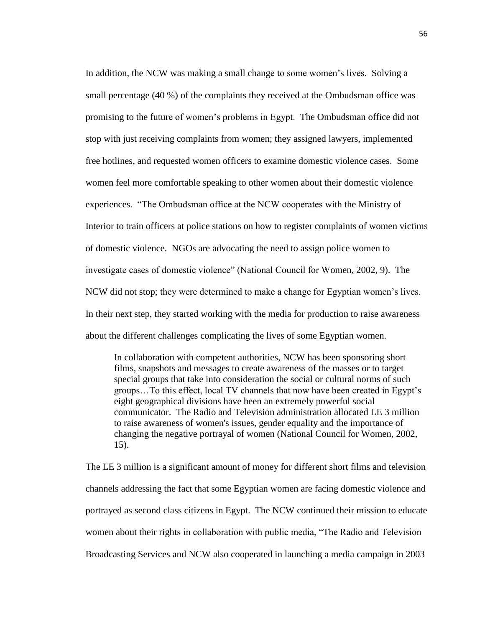In addition, the NCW was making a small change to some women's lives. Solving a small percentage (40 %) of the complaints they received at the Ombudsman office was promising to the future of women's problems in Egypt. The Ombudsman office did not stop with just receiving complaints from women; they assigned lawyers, implemented free hotlines, and requested women officers to examine domestic violence cases. Some women feel more comfortable speaking to other women about their domestic violence experiences. "The Ombudsman office at the NCW cooperates with the Ministry of Interior to train officers at police stations on how to register complaints of women victims of domestic violence. NGOs are advocating the need to assign police women to investigate cases of domestic violence" (National Council for Women, 2002, 9). The NCW did not stop; they were determined to make a change for Egyptian women's lives. In their next step, they started working with the media for production to raise awareness about the different challenges complicating the lives of some Egyptian women.

In collaboration with competent authorities, NCW has been sponsoring short films, snapshots and messages to create awareness of the masses or to target special groups that take into consideration the social or cultural norms of such groups…To this effect, local TV channels that now have been created in Egypt's eight geographical divisions have been an extremely powerful social communicator. The Radio and Television administration allocated LE 3 million to raise awareness of women's issues, gender equality and the importance of changing the negative portrayal of women (National Council for Women, 2002, 15).

The LE 3 million is a significant amount of money for different short films and television channels addressing the fact that some Egyptian women are facing domestic violence and portrayed as second class citizens in Egypt. The NCW continued their mission to educate women about their rights in collaboration with public media, "The Radio and Television Broadcasting Services and NCW also cooperated in launching a media campaign in 2003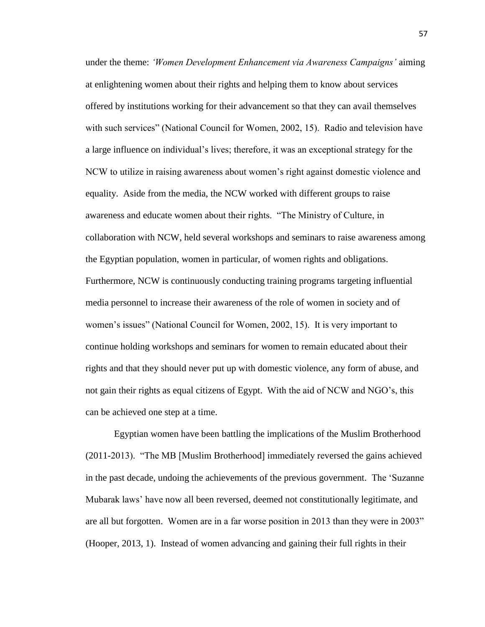under the theme: *'Women Development Enhancement via Awareness Campaigns'* aiming at enlightening women about their rights and helping them to know about services offered by institutions working for their advancement so that they can avail themselves with such services" (National Council for Women, 2002, 15). Radio and television have a large influence on individual's lives; therefore, it was an exceptional strategy for the NCW to utilize in raising awareness about women's right against domestic violence and equality. Aside from the media, the NCW worked with different groups to raise awareness and educate women about their rights. "The Ministry of Culture, in collaboration with NCW, held several workshops and seminars to raise awareness among the Egyptian population, women in particular, of women rights and obligations. Furthermore, NCW is continuously conducting training programs targeting influential media personnel to increase their awareness of the role of women in society and of women's issues" (National Council for Women, 2002, 15). It is very important to continue holding workshops and seminars for women to remain educated about their rights and that they should never put up with domestic violence, any form of abuse, and not gain their rights as equal citizens of Egypt. With the aid of NCW and NGO's, this can be achieved one step at a time.

Egyptian women have been battling the implications of the Muslim Brotherhood (2011-2013). "The MB [Muslim Brotherhood] immediately reversed the gains achieved in the past decade, undoing the achievements of the previous government. The 'Suzanne Mubarak laws' have now all been reversed, deemed not constitutionally legitimate, and are all but forgotten. Women are in a far worse position in 2013 than they were in 2003" (Hooper, 2013, 1). Instead of women advancing and gaining their full rights in their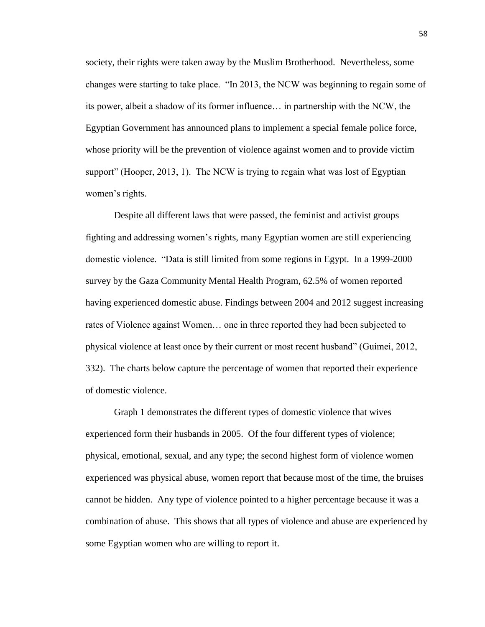society, their rights were taken away by the Muslim Brotherhood. Nevertheless, some changes were starting to take place. "In 2013, the NCW was beginning to regain some of its power, albeit a shadow of its former influence… in partnership with the NCW, the Egyptian Government has announced plans to implement a special female police force, whose priority will be the prevention of violence against women and to provide victim support" (Hooper, 2013, 1). The NCW is trying to regain what was lost of Egyptian women's rights.

Despite all different laws that were passed, the feminist and activist groups fighting and addressing women's rights, many Egyptian women are still experiencing domestic violence. "Data is still limited from some regions in Egypt. In a 1999-2000 survey by the Gaza Community Mental Health Program, 62.5% of women reported having experienced domestic abuse. Findings between 2004 and 2012 suggest increasing rates of Violence against Women… one in three reported they had been subjected to physical violence at least once by their current or most recent husband" (Guimei, 2012, 332). The charts below capture the percentage of women that reported their experience of domestic violence.

Graph 1 demonstrates the different types of domestic violence that wives experienced form their husbands in 2005. Of the four different types of violence; physical, emotional, sexual, and any type; the second highest form of violence women experienced was physical abuse, women report that because most of the time, the bruises cannot be hidden. Any type of violence pointed to a higher percentage because it was a combination of abuse. This shows that all types of violence and abuse are experienced by some Egyptian women who are willing to report it.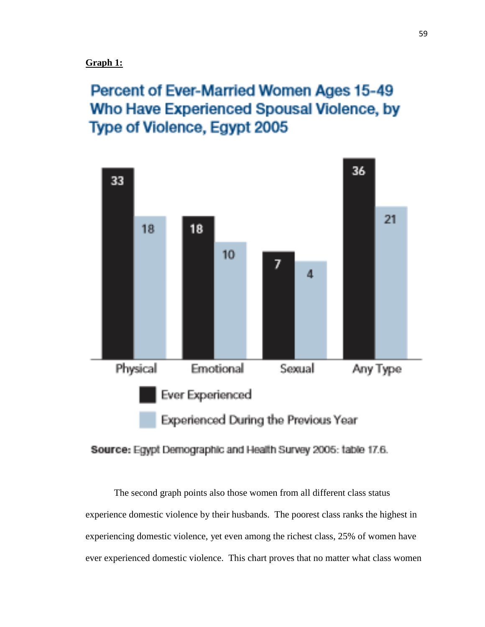#### **Graph 1:**

# Percent of Ever-Married Women Ages 15-49 Who Have Experienced Spousal Violence, by Type of Violence, Egypt 2005



#### Source: Egypt Demographic and Health Survey 2005: table 17.6.

The second graph points also those women from all different class status experience domestic violence by their husbands. The poorest class ranks the highest in experiencing domestic violence, yet even among the richest class, 25% of women have ever experienced domestic violence. This chart proves that no matter what class women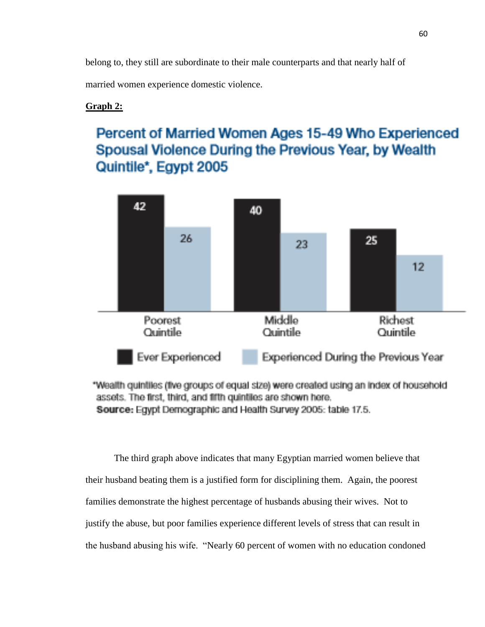belong to, they still are subordinate to their male counterparts and that nearly half of

married women experience domestic violence.

#### **Graph 2:**

## Percent of Married Women Ages 15-49 Who Experienced Spousal Violence During the Previous Year, by Wealth Quintile\*, Egypt 2005



"Wealth quintiles (five groups of equal size) were created using an index of household assets. The first, third, and fifth quintiles are shown here. Source: Egypt Demographic and Health Survey 2005: table 17.5.

The third graph above indicates that many Egyptian married women believe that their husband beating them is a justified form for disciplining them. Again, the poorest families demonstrate the highest percentage of husbands abusing their wives. Not to justify the abuse, but poor families experience different levels of stress that can result in the husband abusing his wife. "Nearly 60 percent of women with no education condoned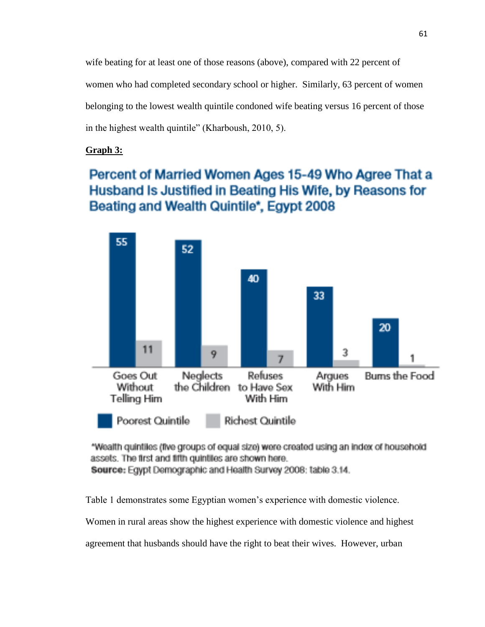wife beating for at least one of those reasons (above), compared with 22 percent of women who had completed secondary school or higher. Similarly, 63 percent of women belonging to the lowest wealth quintile condoned wife beating versus 16 percent of those in the highest wealth quintile" (Kharboush, 2010, 5).

#### **Graph 3:**

### Percent of Married Women Ages 15-49 Who Agree That a Husband Is Justified in Beating His Wife, by Reasons for Beating and Wealth Quintile\*, Egypt 2008



"Wealth quintiles (five groups of equal size) were created using an index of household assets. The first and fifth quintiles are shown here.

Source: Egypt Demographic and Health Survey 2008: table 3.14.

Table 1 demonstrates some Egyptian women's experience with domestic violence.

Women in rural areas show the highest experience with domestic violence and highest

agreement that husbands should have the right to beat their wives. However, urban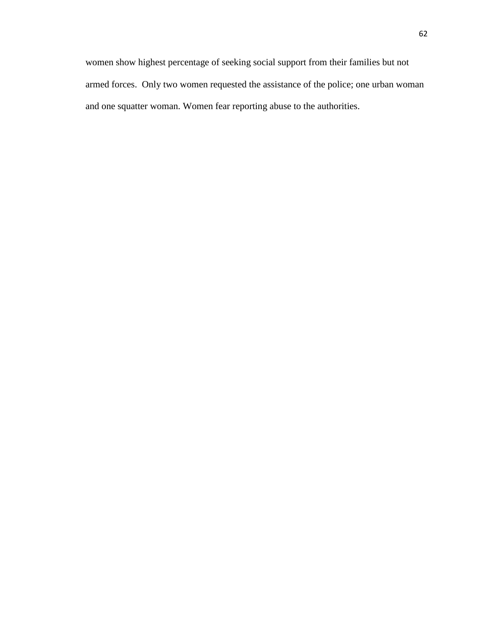women show highest percentage of seeking social support from their families but not armed forces. Only two women requested the assistance of the police; one urban woman and one squatter woman. Women fear reporting abuse to the authorities.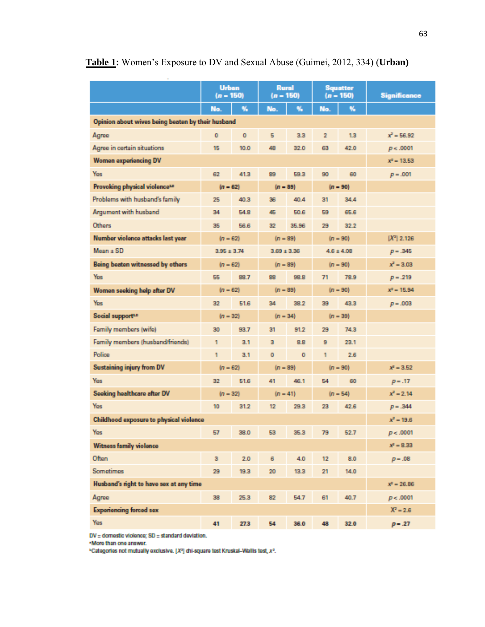|                                                   | <b>Urban</b><br>$(n - 150)$ |                                    | <b>Rural</b><br>$(n - 150)$ |            | <b>Squatter</b><br>$(n - 150)$ |               | <b>Significance</b> |  |
|---------------------------------------------------|-----------------------------|------------------------------------|-----------------------------|------------|--------------------------------|---------------|---------------------|--|
|                                                   | No.                         | %                                  | No.                         | %          | No.                            | %             |                     |  |
| Opinion about wives being beaten by their husband |                             |                                    |                             |            |                                |               |                     |  |
| Agree                                             | $\circ$                     | $\circ$                            | 5                           | 3.3        | $\overline{2}$                 | 1.3           | $x^2 = 56.92$       |  |
| Agree in certain situations                       | 15                          | 10.0                               | 48                          | 32.0       | 63                             | 42.0          | p < .0001           |  |
| <b>Women experiencing DV</b>                      | $x^2 = 13.53$               |                                    |                             |            |                                |               |                     |  |
| Yes                                               | 62                          | 41.3                               | 89                          | 59.3       | 90                             | 60            | $p = .001$          |  |
| Provoking physical violence <sup>18</sup>         | $(n - 62)$<br>$(n - 89)$    |                                    | $(n = 90)$                  |            |                                |               |                     |  |
| Problems with husband's family                    | 25                          | 40.3                               | 36                          | 40.4       | 31                             | 34.4          |                     |  |
| Argument with husband                             | 34                          | 54.8                               | 45                          | 50.6       | 59                             | 65.6          |                     |  |
| <b>Others</b>                                     | 35                          | 56.6                               | 32                          | 35.96      | 29                             | 32.2          |                     |  |
| Number violence attacks last year                 | $(n - 62)$<br>$(n = 89)$    |                                    |                             | $(n = 90)$ |                                | $[X^2]$ 2.126 |                     |  |
| $Mean + SD$                                       |                             | $3.95 \pm 3.74$<br>$3.69 \pm 3.36$ |                             |            | $4.6 \pm 4.08$                 |               | $p = .345$          |  |
| Being beaten witnessed by others                  | $(n - 62)$                  |                                    | $(n = 89)$                  |            | $(n = 90)$                     |               | $x^2 = 3.03$        |  |
| Yes                                               | 55                          | 88.7                               | 88                          | 98.8       | 71                             | 78.9          | $p = .219$          |  |
| Women seeking help after DV                       | $(n - 62)$                  |                                    | $(n = 89)$                  |            | $(n = 90)$                     |               | $x^2 = 15.94$       |  |
| Yes                                               | 32                          | 51.6                               | 34                          | 38.2       | 39                             | 43.3          | $p = .003$          |  |
| Social support <sup>12</sup>                      | $(n - 32)$                  |                                    | $(n = 34)$                  |            | $(n = 39)$                     |               |                     |  |
| Family members (wife)                             | 30                          | 93.7                               | 31                          | 91.2       | 29                             | 74.3          |                     |  |
| Family members (husband/friends)                  | 1                           | 3.1                                | з                           | 8.8        | 9                              | 23.1          |                     |  |
| Police                                            | 1                           | 3.1                                | ۰                           | $\circ$    | 1                              | 2.6           |                     |  |
| <b>Sustaining injury from DV</b>                  | $(n - 62)$                  |                                    | $(n = 89)$                  |            | $(n = 90)$                     |               | $x^2 = 3.52$        |  |
| Yes                                               | 32                          | 51.6                               | 41                          | 46.1       | 54                             | 60            | $p = .17$           |  |
| Seeking healthcare after DV                       | $(n - 32)$                  |                                    | $(n - 41)$                  |            | $(n = 54)$                     |               | $x^2 = 2.14$        |  |
| Yes                                               | 10                          | 31.2                               | $12 \overline{ }$           | 29.3       | 23                             | 42.6          | $p = .344$          |  |
| Childhood exposure to physical violence           |                             |                                    |                             |            |                                |               | $x^2 = 19.6$        |  |
| Yes                                               | 57                          | 38.0                               | 53                          | 35.3       | 79                             | 52.7          | p < .0001           |  |
| <b>Witness family violence</b>                    |                             |                                    |                             |            |                                |               | $x^2 = 8.33$        |  |
| Often                                             | $\overline{\mathbf{3}}$     | 2.0                                | 6                           | 4.0        | 12                             | 8.0           | $p = .08$           |  |
| Sometimes                                         | 29                          | 19.3                               | 20                          | 13.3       | 21                             | 14.0          |                     |  |
| Husband's right to have sex at any time           |                             |                                    |                             |            |                                |               | $x^2 = 26.86$       |  |
| Agree                                             | 38                          | 25.3                               | 82                          | 54.7       | 61                             | 40.7          | p < .0001           |  |
| <b>Experiencing forced sex</b>                    |                             |                                    |                             |            |                                |               | $X^2 = 2.6$         |  |
| Yes                                               | 41                          | 27.3                               | 54                          | 36.0       | 48                             | 32.0          | $p - .27$           |  |

### **Table 1:** Women's Exposure to DV and Sexual Abuse (Guimei, 2012, 334) (**Urban)**

 $DV =$  domestic violence;  $SD =$  standard deviation.

. More than one answer.

\*Categories not mutually exclusive. [X<sup>2</sup>] chi-square test Kruskal-Wallis test, x<sup>2</sup>.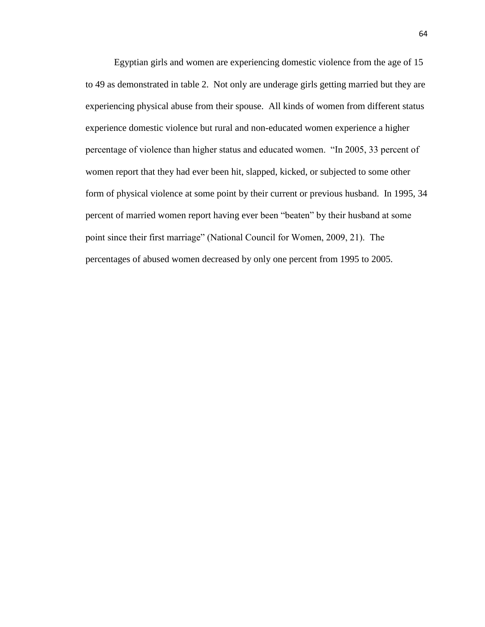Egyptian girls and women are experiencing domestic violence from the age of 15 to 49 as demonstrated in table 2. Not only are underage girls getting married but they are experiencing physical abuse from their spouse. All kinds of women from different status experience domestic violence but rural and non-educated women experience a higher percentage of violence than higher status and educated women. "In 2005, 33 percent of women report that they had ever been hit, slapped, kicked, or subjected to some other form of physical violence at some point by their current or previous husband. In 1995, 34 percent of married women report having ever been "beaten" by their husband at some point since their first marriage" (National Council for Women, 2009, 21). The percentages of abused women decreased by only one percent from 1995 to 2005.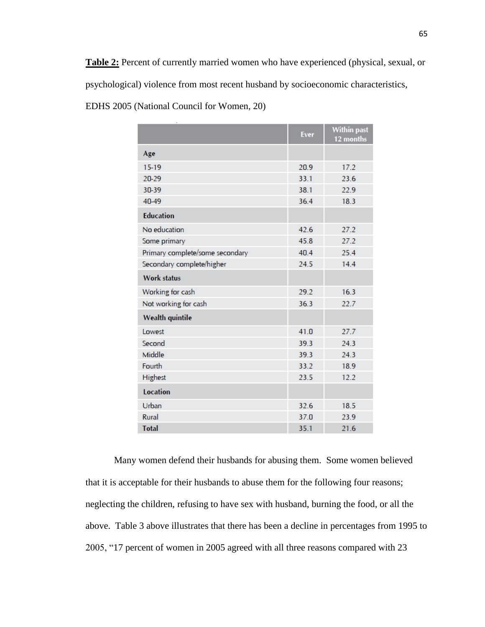**Table 2:** Percent of currently married women who have experienced (physical, sexual, or psychological) violence from most recent husband by socioeconomic characteristics, EDHS 2005 (National Council for Women, 20)

|                                 | <b>Ever</b> | <b>Within past</b><br>12 months |
|---------------------------------|-------------|---------------------------------|
| Age                             |             |                                 |
| 15-19                           | 20.9        | 17.2                            |
| 20-29                           | 33.1        | 23.6                            |
| 30-39                           | 38.1        | 22.9                            |
| 40-49                           | 36.4        | 18.3                            |
| <b>Education</b>                |             |                                 |
| No education                    | 42.6        | 27.2                            |
| Some primary                    | 45.8        | 27.2                            |
| Primary complete/some secondary | 40.4        | 25.4                            |
| Secondary complete/higher       | 24.5        | 14.4                            |
| <b>Work status</b>              |             |                                 |
| Working for cash                | 29.2        | 16.3                            |
| Not working for cash            | 36.3        | 22.7                            |
| <b>Wealth quintile</b>          |             |                                 |
| Lowest                          | 41.0        | 27.7                            |
| Second                          | 39.3        | 24.3                            |
| Middle                          | 39.3        | 24.3                            |
| Fourth                          | 33.2        | 18.9                            |
| Highest                         | 23.5        | 12.2                            |
| <b>Location</b>                 |             |                                 |
| Urban                           | 32.6        | 18.5                            |
| Rural                           | 37.0        | 23.9                            |
| <b>Total</b>                    | 35.1        | 21.6                            |

Many women defend their husbands for abusing them. Some women believed that it is acceptable for their husbands to abuse them for the following four reasons; neglecting the children, refusing to have sex with husband, burning the food, or all the above. Table 3 above illustrates that there has been a decline in percentages from 1995 to 2005, "17 percent of women in 2005 agreed with all three reasons compared with 23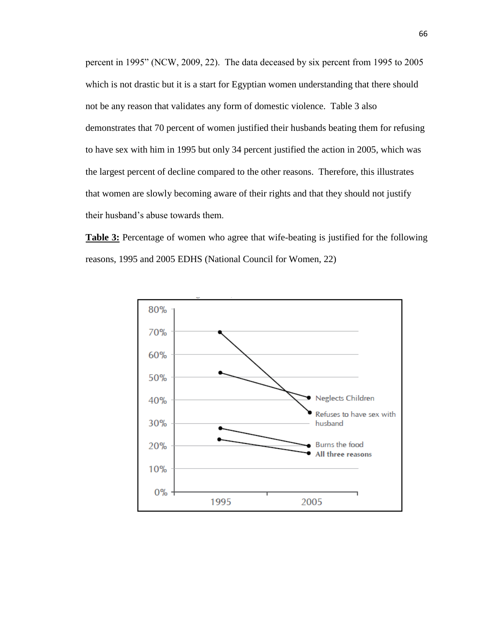percent in 1995" (NCW, 2009, 22). The data deceased by six percent from 1995 to 2005 which is not drastic but it is a start for Egyptian women understanding that there should not be any reason that validates any form of domestic violence. Table 3 also demonstrates that 70 percent of women justified their husbands beating them for refusing to have sex with him in 1995 but only 34 percent justified the action in 2005, which was the largest percent of decline compared to the other reasons. Therefore, this illustrates that women are slowly becoming aware of their rights and that they should not justify their husband's abuse towards them.

**Table 3:** Percentage of women who agree that wife-beating is justified for the following reasons, 1995 and 2005 EDHS (National Council for Women, 22)

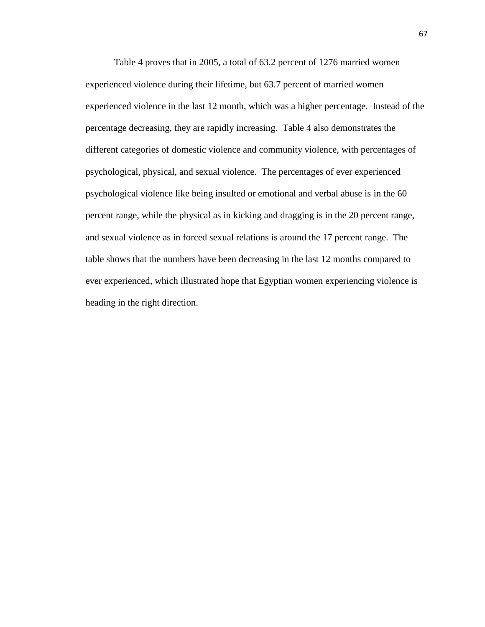Table 4 proves that in 2005, a total of 63.2 percent of 1276 married women experienced violence during their lifetime, but 63.7 percent of married women experienced violence in the last 12 month, which was a higher percentage. Instead of the percentage decreasing, they are rapidly increasing. Table 4 also demonstrates the different categories of domestic violence and community violence, with percentages of psychological, physical, and sexual violence. The percentages of ever experienced psychological violence like being insulted or emotional and verbal abuse is in the 60 percent range, while the physical as in kicking and dragging is in the 20 percent range, and sexual violence as in forced sexual relations is around the 17 percent range. The table shows that the numbers have been decreasing in the last 12 months compared to ever experienced, which illustrated hope that Egyptian women experiencing violence is heading in the right direction.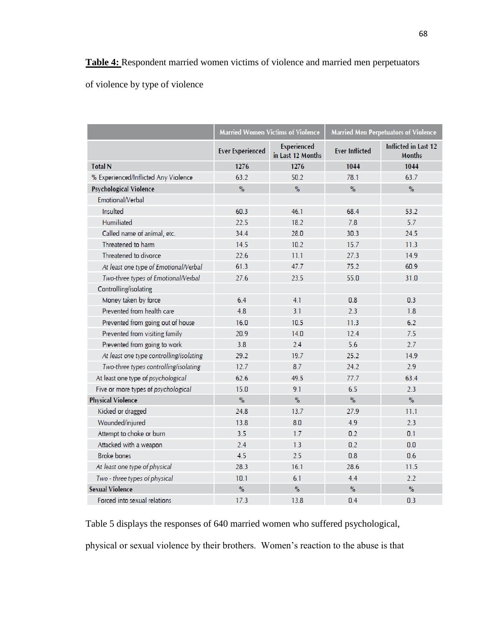of violence by type of violence

|                                         |                         | <b>Married Women Victims of Violence</b> | <b>Married Men Perpetuators of Violence</b> |                                       |  |
|-----------------------------------------|-------------------------|------------------------------------------|---------------------------------------------|---------------------------------------|--|
|                                         | <b>Ever Experienced</b> | Experienced<br>in Last 12 Months         | <b>Ever Inflicted</b>                       | Inflicted in Last 12<br><b>Months</b> |  |
| <b>Total N</b>                          | 1276                    | 1276                                     | 1044                                        | 1044                                  |  |
| % Experienced/Inflicted Any Violence    | 63.2                    | 50.2                                     | 78.1                                        | 63.7                                  |  |
| <b>Psychological Violence</b>           | $\frac{9}{6}$           | $\%$                                     | $\frac{1}{2}$                               | $\%$                                  |  |
| Emotional/Verbal                        |                         |                                          |                                             |                                       |  |
| Insulted                                | 60.3                    | 46.1                                     | 68.4                                        | 53.2                                  |  |
| Humiliated                              | 22.5                    | 18.2                                     | 7.8                                         | 5.7                                   |  |
| Called name of animal, etc.             | 34.4                    | 28.0                                     | 30.3                                        | 24.5                                  |  |
| Threatened to harm                      | 14.5                    | 10.2                                     | 15.7                                        | 11.3                                  |  |
| Threatened to divorce                   | 22.6                    | 11.1                                     | 27.3                                        | 14.9                                  |  |
| At least one type of Emotional/Verbal   | 61.3                    | 47.7                                     | 75.2                                        | 60.9                                  |  |
| Two-three types of Emotional/Verbal     | 27.6                    | 23.5                                     | 55.0                                        | 31.0                                  |  |
| Controlling/isolating                   |                         |                                          |                                             |                                       |  |
| Money taken by force                    | 6.4                     | 4.1                                      | 0.8                                         | 0.3                                   |  |
| Prevented from health care              | 4.8                     | 3.1                                      | 2.3                                         | 1.8                                   |  |
| Prevented from going out of house       | 16.0                    | 10.5                                     | 11.3                                        | 6.2                                   |  |
| Prevented from visiting family          | 20.9                    | 14.0                                     | 12.4                                        | 7.5                                   |  |
| Prevented from going to work            | 3.8                     | 2.4                                      | 5.6                                         | 2.7                                   |  |
| At least one type controlling/isolating | 29.2                    | 19.7                                     | 25.2                                        | 14.9                                  |  |
| Two-three types controlling/isolating   | 12.7                    | 8.7                                      | 24.2                                        | 2.9                                   |  |
| At least one type of psychological      | 62.6                    | 49.5                                     | 77.7                                        | 63.4                                  |  |
| Five or more types of psychological     | 15.0                    | 9.1                                      | 6.5                                         | 2.3                                   |  |
| <b>Physical Violence</b>                | $\%$                    | $\%$                                     | $\%$                                        | $\%$                                  |  |
| Kicked or dragged                       | 24.8                    | 13.7                                     | 27.9                                        | 11.1                                  |  |
| Wounded/injured                         | 13.8                    | 8.0                                      | 4.9                                         | 2.3                                   |  |
| Attempt to choke or burn                | 3.5                     | 1.7                                      | 0.2                                         | 0.1                                   |  |
| Attacked with a weapon                  | 2.4                     | 1.3                                      | 0.2                                         | 0.0                                   |  |
| <b>Broke bones</b>                      | 4.5                     | 2.5                                      | 0.8                                         | 0.6                                   |  |
| At least one type of physical           | 28.3                    | 16.1                                     | 28.6                                        | 11.5                                  |  |
| Two - three types of physical           | 10.1                    | 6.1                                      | 4.4                                         | 2.2                                   |  |
| <b>Sexual Violence</b>                  | $\frac{1}{2}$           | $\%$                                     | $\%$                                        | $\%$                                  |  |
| Forced into sexual relations            | 17.3                    | 13.8                                     | 0.4                                         | 0.3                                   |  |

Table 5 displays the responses of 640 married women who suffered psychological,

physical or sexual violence by their brothers. Women's reaction to the abuse is that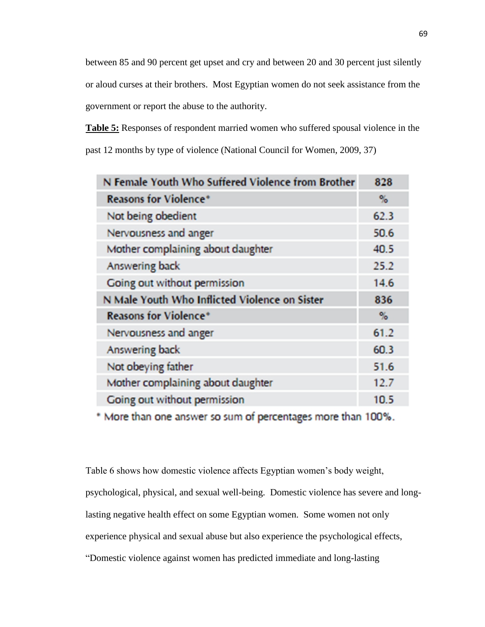between 85 and 90 percent get upset and cry and between 20 and 30 percent just silently or aloud curses at their brothers. Most Egyptian women do not seek assistance from the government or report the abuse to the authority.

**Table 5:** Responses of respondent married women who suffered spousal violence in the past 12 months by type of violence (National Council for Women, 2009, 37)

| N Female Youth Who Suffered Violence from Brother | 828  |
|---------------------------------------------------|------|
| <b>Reasons for Violence*</b>                      | %    |
| Not being obedient                                | 62.3 |
| Nervousness and anger                             | 50.6 |
| Mother complaining about daughter                 | 40.5 |
| Answering back                                    | 25.2 |
| Going out without permission                      | 14.6 |
| N Male Youth Who Inflicted Violence on Sister     | 836  |
| <b>Reasons for Violence*</b>                      | %    |
| Nervousness and anger                             | 61.2 |
| Answering back                                    | 60.3 |
| Not obeying father                                | 51.6 |
| Mother complaining about daughter                 | 12.7 |
| Going out without permission                      | 10.5 |

\* More than one answer so sum of percentages more than 100%.

Table 6 shows how domestic violence affects Egyptian women's body weight, psychological, physical, and sexual well-being. Domestic violence has severe and longlasting negative health effect on some Egyptian women. Some women not only experience physical and sexual abuse but also experience the psychological effects, "Domestic violence against women has predicted immediate and long-lasting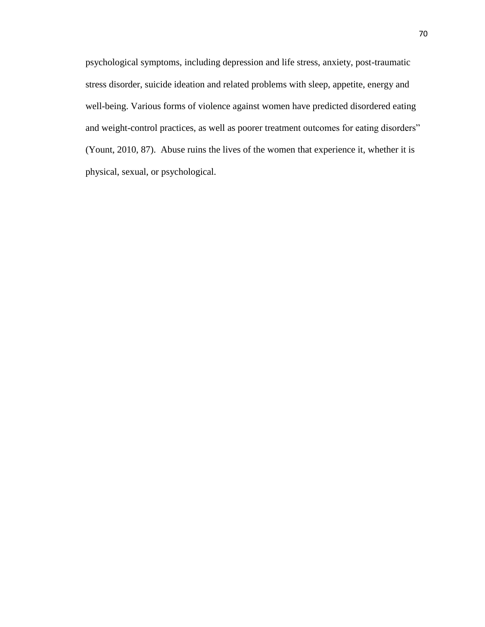psychological symptoms, including depression and life stress, anxiety, post-traumatic stress disorder, suicide ideation and related problems with sleep, appetite, energy and well-being. Various forms of violence against women have predicted disordered eating and weight-control practices, as well as poorer treatment outcomes for eating disorders" (Yount, 2010, 87). Abuse ruins the lives of the women that experience it, whether it is physical, sexual, or psychological.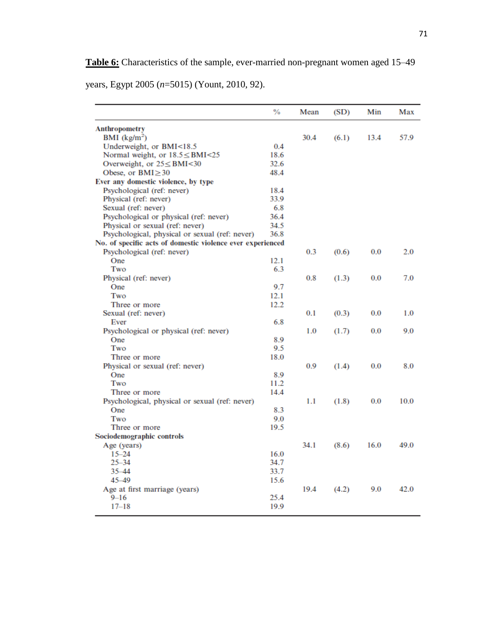**Table 6:** Characteristics of the sample, ever-married non-pregnant women aged 15–49

years, Egypt 2005 (*n*=5015) (Yount, 2010, 92).

|                                                            | %    | Mean | (SD)  | Min  | Max  |
|------------------------------------------------------------|------|------|-------|------|------|
| <b>Anthropometry</b>                                       |      |      |       |      |      |
| BMI $(kg/m2)$                                              |      | 30.4 | (6.1) | 13.4 | 57.9 |
| Underweight, or BMI<18.5                                   | 0.4  |      |       |      |      |
| Normal weight, or $18.5 \leq BMI < 25$                     | 18.6 |      |       |      |      |
| Overweight, or $25 \leq BMI < 30$                          | 32.6 |      |       |      |      |
| Obese, or $BMI \geq 30$                                    | 48.4 |      |       |      |      |
| Ever any domestic violence, by type                        |      |      |       |      |      |
| Psychological (ref: never)                                 | 18.4 |      |       |      |      |
| Physical (ref: never)                                      | 33.9 |      |       |      |      |
| Sexual (ref: never)                                        | 6.8  |      |       |      |      |
| Psychological or physical (ref: never)                     | 36.4 |      |       |      |      |
| Physical or sexual (ref: never)                            | 34.5 |      |       |      |      |
| Psychological, physical or sexual (ref: never)             | 36.8 |      |       |      |      |
| No. of specific acts of domestic violence ever experienced |      |      |       |      |      |
| Psychological (ref: never)                                 |      | 0.3  | (0.6) | 0.0  | 2.0  |
| One                                                        | 12.1 |      |       |      |      |
| Two                                                        | 6.3  |      |       |      |      |
| Physical (ref: never)                                      |      | 0.8  | (1.3) | 0.0  | 7.0  |
| One                                                        | 9.7  |      |       |      |      |
| Two                                                        | 12.1 |      |       |      |      |
| Three or more                                              | 12.2 |      |       |      |      |
| Sexual (ref: never)                                        |      | 0.1  | (0.3) | 0.0  | 1.0  |
| Ever                                                       | 6.8  |      |       |      |      |
| Psychological or physical (ref: never)                     |      | 1.0  | (1.7) | 0.0  | 9.0  |
| One                                                        | 8.9  |      |       |      |      |
| Two                                                        | 9.5  |      |       |      |      |
| Three or more                                              | 18.0 |      |       |      |      |
| Physical or sexual (ref: never)                            |      | 0.9  | (1.4) | 0.0  | 8.0  |
| One                                                        | 8.9  |      |       |      |      |
| Two                                                        | 11.2 |      |       |      |      |
| Three or more                                              | 14.4 |      |       |      |      |
| Psychological, physical or sexual (ref: never)             |      | 1.1  | (1.8) | 0.0  | 10.0 |
| One                                                        | 8.3  |      |       |      |      |
| Two                                                        | 9.0  |      |       |      |      |
| Three or more                                              | 19.5 |      |       |      |      |
| Sociodemographic controls                                  |      |      |       |      |      |
| Age (years)                                                |      | 34.1 | (8.6) | 16.0 | 49.0 |
| $15 - 24$                                                  | 16.0 |      |       |      |      |
| $25 - 34$                                                  | 34.7 |      |       |      |      |
| $35 - 44$                                                  | 33.7 |      |       |      |      |
| $45 - 49$                                                  | 15.6 |      |       |      |      |
| Age at first marriage (years)                              |      | 19.4 | (4.2) | 9.0  | 42.0 |
| $9 - 16$                                                   | 25.4 |      |       |      |      |
| $17 - 18$                                                  | 19.9 |      |       |      |      |
|                                                            |      |      |       |      |      |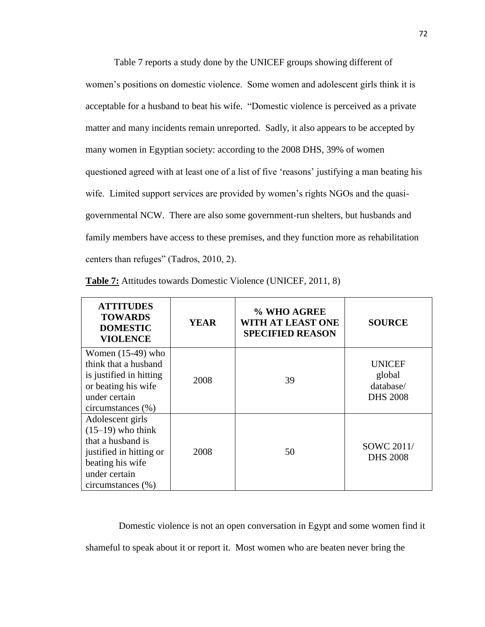Table 7 reports a study done by the UNICEF groups showing different of women's positions on domestic violence. Some women and adolescent girls think it is acceptable for a husband to beat his wife. "Domestic violence is perceived as a private matter and many incidents remain unreported. Sadly, it also appears to be accepted by many women in Egyptian society: according to the 2008 DHS, 39% of women questioned agreed with at least one of a list of five 'reasons' justifying a man beating his wife. Limited support services are provided by women's rights NGOs and the quasigovernmental NCW. There are also some government-run shelters, but husbands and family members have access to these premises, and they function more as rehabilitation centers than refuges" (Tadros, 2010, 2).

| <b>ATTITUDES</b><br><b>TOWARDS</b><br><b>DOMESTIC</b><br><b>VIOLENCE</b>                                                                          | <b>YEAR</b> | % WHO AGREE<br>WITH AT LEAST ONE<br><b>SPECIFIED REASON</b> | <b>SOURCE</b>                                           |
|---------------------------------------------------------------------------------------------------------------------------------------------------|-------------|-------------------------------------------------------------|---------------------------------------------------------|
| Women $(15-49)$ who<br>think that a husband<br>is justified in hitting<br>or beating his wife<br>under certain<br>circumstances (%)               | 2008        | 39                                                          | <b>UNICEF</b><br>global<br>database/<br><b>DHS 2008</b> |
| Adolescent girls<br>$(15-19)$ who think<br>that a husband is<br>justified in hitting or<br>beating his wife<br>under certain<br>circumstances (%) | 2008        | 50                                                          | SOWC 2011/<br><b>DHS 2008</b>                           |

**Table 7:** Attitudes towards Domestic Violence (UNICEF, 2011, 8)

 Domestic violence is not an open conversation in Egypt and some women find it shameful to speak about it or report it. Most women who are beaten never bring the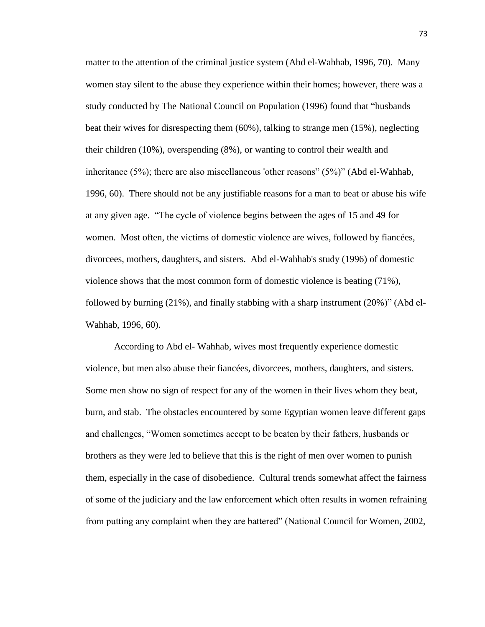matter to the attention of the criminal justice system (Abd el-Wahhab, 1996, 70). Many women stay silent to the abuse they experience within their homes; however, there was a study conducted by The National Council on Population (1996) found that "husbands beat their wives for disrespecting them (60%), talking to strange men (15%), neglecting their children (10%), overspending (8%), or wanting to control their wealth and inheritance (5%); there are also miscellaneous 'other reasons" (5%)" (Abd el-Wahhab, 1996, 60). There should not be any justifiable reasons for a man to beat or abuse his wife at any given age. "The cycle of violence begins between the ages of 15 and 49 for women. Most often, the victims of domestic violence are wives, followed by fiancées, divorcees, mothers, daughters, and sisters. Abd el-Wahhab's study (1996) of domestic violence shows that the most common form of domestic violence is beating (71%), followed by burning (21%), and finally stabbing with a sharp instrument (20%)" (Abd el-Wahhab, 1996, 60).

According to Abd el- Wahhab, wives most frequently experience domestic violence, but men also abuse their fiancées, divorcees, mothers, daughters, and sisters. Some men show no sign of respect for any of the women in their lives whom they beat, burn, and stab. The obstacles encountered by some Egyptian women leave different gaps and challenges, "Women sometimes accept to be beaten by their fathers, husbands or brothers as they were led to believe that this is the right of men over women to punish them, especially in the case of disobedience. Cultural trends somewhat affect the fairness of some of the judiciary and the law enforcement which often results in women refraining from putting any complaint when they are battered" (National Council for Women, 2002,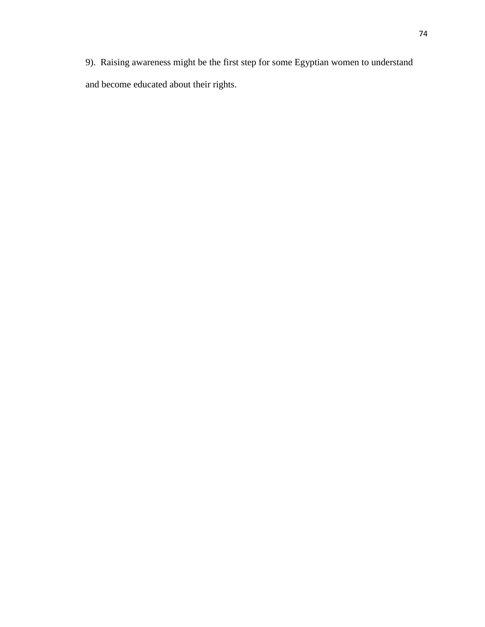9). Raising awareness might be the first step for some Egyptian women to understand and become educated about their rights.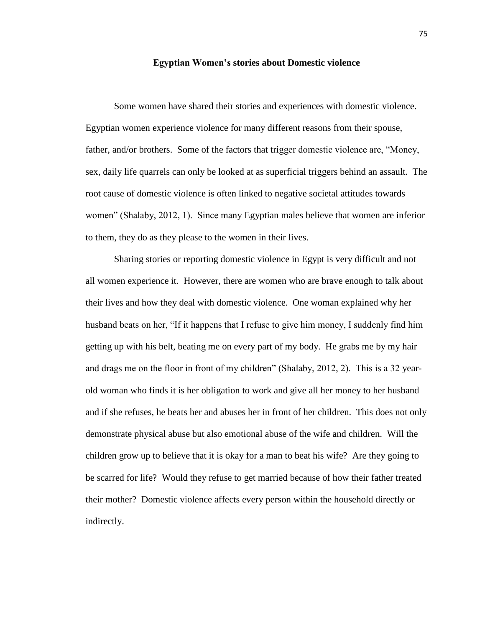## **Egyptian Women's stories about Domestic violence**

Some women have shared their stories and experiences with domestic violence. Egyptian women experience violence for many different reasons from their spouse, father, and/or brothers. Some of the factors that trigger domestic violence are, "Money, sex, daily life quarrels can only be looked at as superficial triggers behind an assault. The root cause of domestic violence is often linked to negative societal attitudes towards women" (Shalaby, 2012, 1). Since many Egyptian males believe that women are inferior to them, they do as they please to the women in their lives.

Sharing stories or reporting domestic violence in Egypt is very difficult and not all women experience it. However, there are women who are brave enough to talk about their lives and how they deal with domestic violence. One woman explained why her husband beats on her, "If it happens that I refuse to give him money, I suddenly find him getting up with his belt, beating me on every part of my body. He grabs me by my hair and drags me on the floor in front of my children" (Shalaby, 2012, 2). This is a 32 yearold woman who finds it is her obligation to work and give all her money to her husband and if she refuses, he beats her and abuses her in front of her children. This does not only demonstrate physical abuse but also emotional abuse of the wife and children. Will the children grow up to believe that it is okay for a man to beat his wife? Are they going to be scarred for life? Would they refuse to get married because of how their father treated their mother? Domestic violence affects every person within the household directly or indirectly.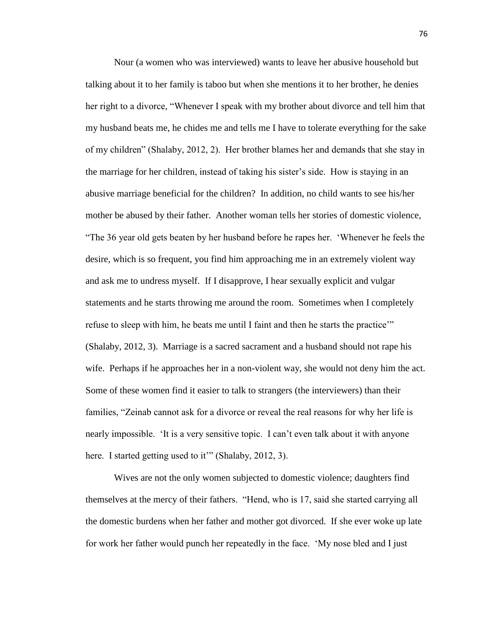Nour (a women who was interviewed) wants to leave her abusive household but talking about it to her family is taboo but when she mentions it to her brother, he denies her right to a divorce, "Whenever I speak with my brother about divorce and tell him that my husband beats me, he chides me and tells me I have to tolerate everything for the sake of my children" (Shalaby, 2012, 2). Her brother blames her and demands that she stay in the marriage for her children, instead of taking his sister's side. How is staying in an abusive marriage beneficial for the children? In addition, no child wants to see his/her mother be abused by their father. Another woman tells her stories of domestic violence, "The 36 year old gets beaten by her husband before he rapes her. 'Whenever he feels the desire, which is so frequent, you find him approaching me in an extremely violent way and ask me to undress myself. If I disapprove, I hear sexually explicit and vulgar statements and he starts throwing me around the room. Sometimes when I completely refuse to sleep with him, he beats me until I faint and then he starts the practice'" (Shalaby, 2012, 3). Marriage is a sacred sacrament and a husband should not rape his wife. Perhaps if he approaches her in a non-violent way, she would not deny him the act. Some of these women find it easier to talk to strangers (the interviewers) than their families, "Zeinab cannot ask for a divorce or reveal the real reasons for why her life is nearly impossible. 'It is a very sensitive topic. I can't even talk about it with anyone here. I started getting used to it" (Shalaby, 2012, 3).

Wives are not the only women subjected to domestic violence; daughters find themselves at the mercy of their fathers. "Hend, who is 17, said she started carrying all the domestic burdens when her father and mother got divorced. If she ever woke up late for work her father would punch her repeatedly in the face. 'My nose bled and I just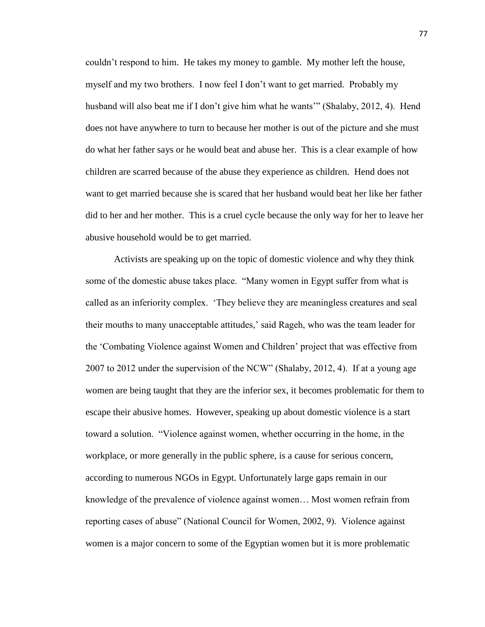couldn't respond to him. He takes my money to gamble. My mother left the house, myself and my two brothers. I now feel I don't want to get married. Probably my husband will also beat me if I don't give him what he wants'" (Shalaby, 2012, 4). Hend does not have anywhere to turn to because her mother is out of the picture and she must do what her father says or he would beat and abuse her. This is a clear example of how children are scarred because of the abuse they experience as children. Hend does not want to get married because she is scared that her husband would beat her like her father did to her and her mother. This is a cruel cycle because the only way for her to leave her abusive household would be to get married.

Activists are speaking up on the topic of domestic violence and why they think some of the domestic abuse takes place. "Many women in Egypt suffer from what is called as an inferiority complex. 'They believe they are meaningless creatures and seal their mouths to many unacceptable attitudes,' said Rageh, who was the team leader for the 'Combating Violence against Women and Children' project that was effective from 2007 to 2012 under the supervision of the NCW" (Shalaby, 2012, 4). If at a young age women are being taught that they are the inferior sex, it becomes problematic for them to escape their abusive homes. However, speaking up about domestic violence is a start toward a solution. "Violence against women, whether occurring in the home, in the workplace, or more generally in the public sphere, is a cause for serious concern, according to numerous NGOs in Egypt. Unfortunately large gaps remain in our knowledge of the prevalence of violence against women… Most women refrain from reporting cases of abuse" (National Council for Women, 2002, 9). Violence against women is a major concern to some of the Egyptian women but it is more problematic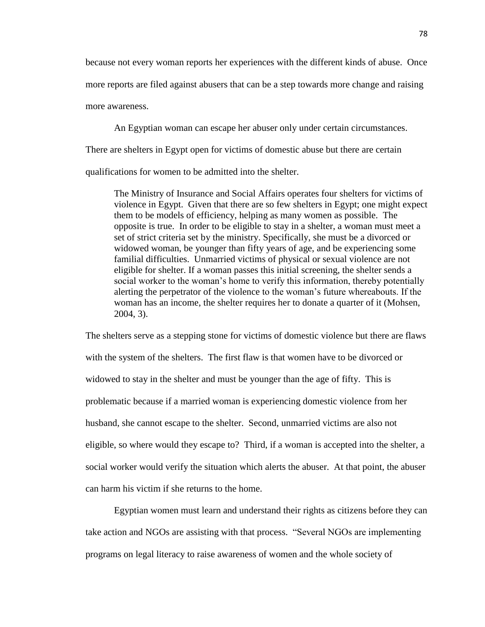because not every woman reports her experiences with the different kinds of abuse. Once more reports are filed against abusers that can be a step towards more change and raising more awareness.

An Egyptian woman can escape her abuser only under certain circumstances.

There are shelters in Egypt open for victims of domestic abuse but there are certain

qualifications for women to be admitted into the shelter.

The Ministry of Insurance and Social Affairs operates four shelters for victims of violence in Egypt. Given that there are so few shelters in Egypt; one might expect them to be models of efficiency, helping as many women as possible. The opposite is true.In order to be eligible to stay in a shelter, a woman must meet a set of strict criteria set by the ministry. Specifically, she must be a divorced or widowed woman, be younger than fifty years of age, and be experiencing some familial difficulties. Unmarried victims of physical or sexual violence are not eligible for shelter. If a woman passes this initial screening, the shelter sends a social worker to the woman's home to verify this information, thereby potentially alerting the perpetrator of the violence to the woman's future whereabouts. If the woman has an income, the shelter requires her to donate a quarter of it (Mohsen, 2004, 3).

The shelters serve as a stepping stone for victims of domestic violence but there are flaws with the system of the shelters. The first flaw is that women have to be divorced or widowed to stay in the shelter and must be younger than the age of fifty. This is problematic because if a married woman is experiencing domestic violence from her husband, she cannot escape to the shelter. Second, unmarried victims are also not eligible, so where would they escape to? Third, if a woman is accepted into the shelter, a social worker would verify the situation which alerts the abuser. At that point, the abuser can harm his victim if she returns to the home.

Egyptian women must learn and understand their rights as citizens before they can take action and NGOs are assisting with that process. "Several NGOs are implementing programs on legal literacy to raise awareness of women and the whole society of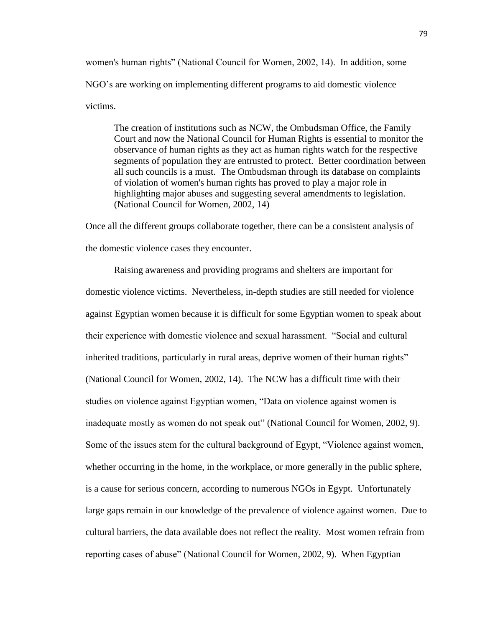women's human rights" (National Council for Women, 2002, 14). In addition, some NGO's are working on implementing different programs to aid domestic violence victims.

The creation of institutions such as NCW, the Ombudsman Office, the Family Court and now the National Council for Human Rights is essential to monitor the observance of human rights as they act as human rights watch for the respective segments of population they are entrusted to protect. Better coordination between all such councils is a must. The Ombudsman through its database on complaints of violation of women's human rights has proved to play a major role in highlighting major abuses and suggesting several amendments to legislation. (National Council for Women, 2002, 14)

Once all the different groups collaborate together, there can be a consistent analysis of the domestic violence cases they encounter.

Raising awareness and providing programs and shelters are important for domestic violence victims. Nevertheless, in-depth studies are still needed for violence against Egyptian women because it is difficult for some Egyptian women to speak about their experience with domestic violence and sexual harassment. "Social and cultural inherited traditions, particularly in rural areas, deprive women of their human rights" (National Council for Women, 2002, 14). The NCW has a difficult time with their studies on violence against Egyptian women, "Data on violence against women is inadequate mostly as women do not speak out" (National Council for Women, 2002, 9). Some of the issues stem for the cultural background of Egypt, "Violence against women, whether occurring in the home, in the workplace, or more generally in the public sphere, is a cause for serious concern, according to numerous NGOs in Egypt. Unfortunately large gaps remain in our knowledge of the prevalence of violence against women. Due to cultural barriers, the data available does not reflect the reality. Most women refrain from reporting cases of abuse" (National Council for Women, 2002, 9). When Egyptian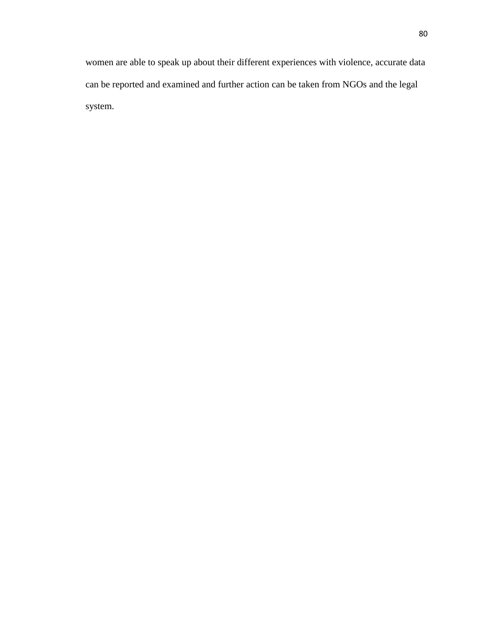women are able to speak up about their different experiences with violence, accurate data can be reported and examined and further action can be taken from NGOs and the legal system.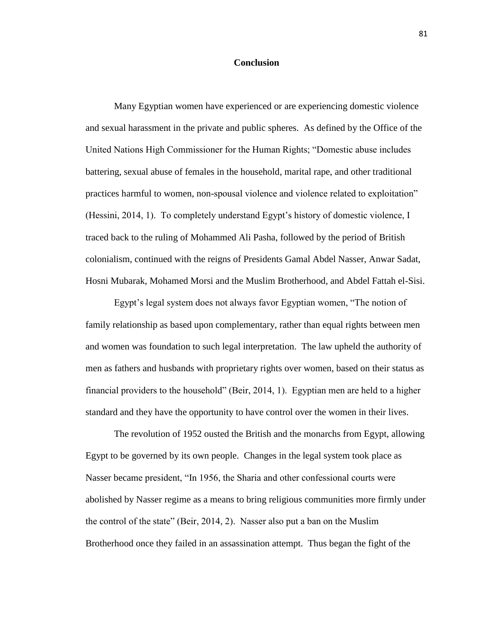## **Conclusion**

Many Egyptian women have experienced or are experiencing domestic violence and sexual harassment in the private and public spheres. As defined by the Office of the United Nations High Commissioner for the Human Rights; "Domestic abuse includes battering, sexual abuse of females in the household, marital rape, and other traditional practices harmful to women, non-spousal violence and violence related to exploitation" (Hessini, 2014, 1). To completely understand Egypt's history of domestic violence, I traced back to the ruling of Mohammed Ali Pasha, followed by the period of British colonialism, continued with the reigns of Presidents Gamal Abdel Nasser, Anwar Sadat, Hosni Mubarak, Mohamed Morsi and the Muslim Brotherhood, and Abdel Fattah el-Sisi.

Egypt's legal system does not always favor Egyptian women, "The notion of family relationship as based upon complementary, rather than equal rights between men and women was foundation to such legal interpretation. The law upheld the authority of men as fathers and husbands with proprietary rights over women, based on their status as financial providers to the household" (Beir, 2014, 1). Egyptian men are held to a higher standard and they have the opportunity to have control over the women in their lives.

The revolution of 1952 ousted the British and the monarchs from Egypt, allowing Egypt to be governed by its own people. Changes in the legal system took place as Nasser became president, "In 1956, the Sharia and other confessional courts were abolished by Nasser regime as a means to bring religious communities more firmly under the control of the state" (Beir, 2014, 2). Nasser also put a ban on the Muslim Brotherhood once they failed in an assassination attempt. Thus began the fight of the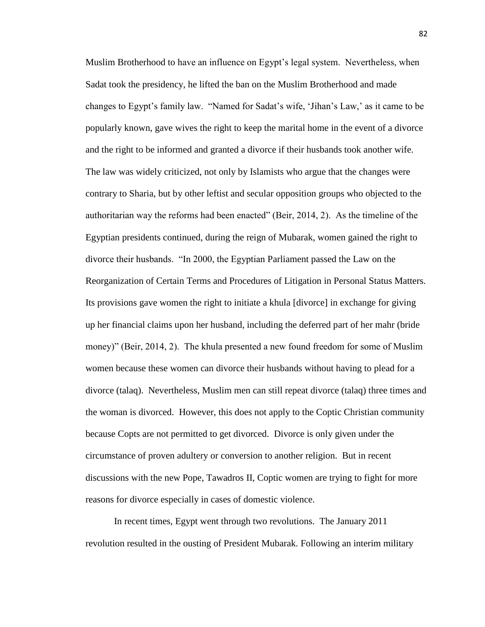Muslim Brotherhood to have an influence on Egypt's legal system. Nevertheless, when Sadat took the presidency, he lifted the ban on the Muslim Brotherhood and made changes to Egypt's family law. "Named for Sadat's wife, 'Jihan's Law,' as it came to be popularly known, gave wives the right to keep the marital home in the event of a divorce and the right to be informed and granted a divorce if their husbands took another wife. The law was widely criticized, not only by Islamists who argue that the changes were contrary to Sharia, but by other leftist and secular opposition groups who objected to the authoritarian way the reforms had been enacted" (Beir, 2014, 2). As the timeline of the Egyptian presidents continued, during the reign of Mubarak, women gained the right to divorce their husbands. "In 2000, the Egyptian Parliament passed the Law on the Reorganization of Certain Terms and Procedures of Litigation in Personal Status Matters. Its provisions gave women the right to initiate a khula [divorce] in exchange for giving up her financial claims upon her husband, including the deferred part of her mahr (bride money)" (Beir, 2014, 2). The khula presented a new found freedom for some of Muslim women because these women can divorce their husbands without having to plead for a divorce (talaq). Nevertheless, Muslim men can still repeat divorce (talaq) three times and the woman is divorced. However, this does not apply to the Coptic Christian community because Copts are not permitted to get divorced. Divorce is only given under the circumstance of proven adultery or conversion to another religion. But in recent discussions with the new Pope, Tawadros II, Coptic women are trying to fight for more reasons for divorce especially in cases of domestic violence.

In recent times, Egypt went through two revolutions. The January 2011 revolution resulted in the ousting of President Mubarak. Following an interim military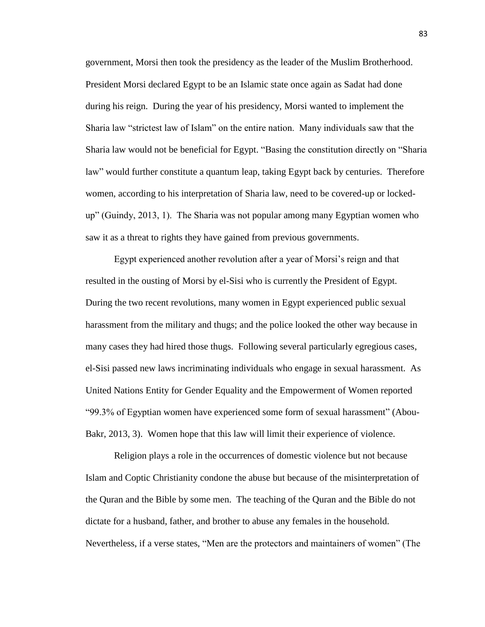government, Morsi then took the presidency as the leader of the Muslim Brotherhood. President Morsi declared Egypt to be an Islamic state once again as Sadat had done during his reign. During the year of his presidency, Morsi wanted to implement the Sharia law "strictest law of Islam" on the entire nation. Many individuals saw that the Sharia law would not be beneficial for Egypt. "Basing the constitution directly on "Sharia law" would further constitute a quantum leap, taking Egypt back by centuries. Therefore women, according to his interpretation of Sharia law, need to be covered-up or lockedup" (Guindy, 2013, 1). The Sharia was not popular among many Egyptian women who saw it as a threat to rights they have gained from previous governments.

Egypt experienced another revolution after a year of Morsi's reign and that resulted in the ousting of Morsi by el-Sisi who is currently the President of Egypt. During the two recent revolutions, many women in Egypt experienced public sexual harassment from the military and thugs; and the police looked the other way because in many cases they had hired those thugs. Following several particularly egregious cases, el-Sisi passed new laws incriminating individuals who engage in sexual harassment. As United Nations Entity for Gender Equality and the Empowerment of Women reported "99.3% of Egyptian women have experienced some form of sexual harassment" (Abou-Bakr, 2013, 3). Women hope that this law will limit their experience of violence.

Religion plays a role in the occurrences of domestic violence but not because Islam and Coptic Christianity condone the abuse but because of the misinterpretation of the Quran and the Bible by some men. The teaching of the Quran and the Bible do not dictate for a husband, father, and brother to abuse any females in the household. Nevertheless, if a verse states, "Men are the protectors and maintainers of women" (The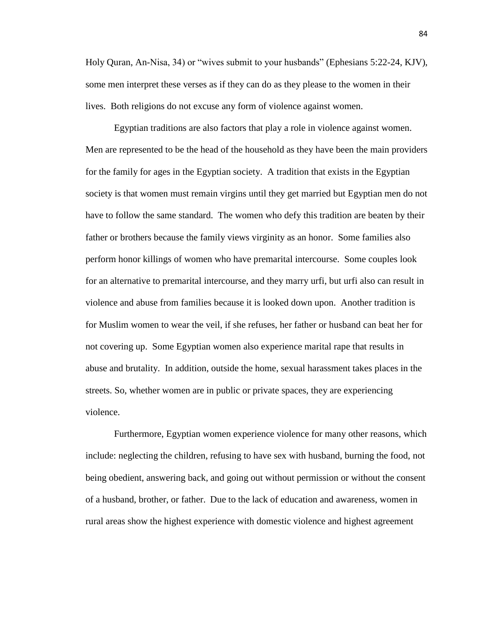Holy Quran, An-Nisa, 34) or "wives submit to your husbands" (Ephesians 5:22-24, KJV), some men interpret these verses as if they can do as they please to the women in their lives. Both religions do not excuse any form of violence against women.

Egyptian traditions are also factors that play a role in violence against women. Men are represented to be the head of the household as they have been the main providers for the family for ages in the Egyptian society. A tradition that exists in the Egyptian society is that women must remain virgins until they get married but Egyptian men do not have to follow the same standard. The women who defy this tradition are beaten by their father or brothers because the family views virginity as an honor. Some families also perform honor killings of women who have premarital intercourse. Some couples look for an alternative to premarital intercourse, and they marry urfi, but urfi also can result in violence and abuse from families because it is looked down upon. Another tradition is for Muslim women to wear the veil, if she refuses, her father or husband can beat her for not covering up. Some Egyptian women also experience marital rape that results in abuse and brutality. In addition, outside the home, sexual harassment takes places in the streets. So, whether women are in public or private spaces, they are experiencing violence.

Furthermore, Egyptian women experience violence for many other reasons, which include: neglecting the children, refusing to have sex with husband, burning the food, not being obedient, answering back, and going out without permission or without the consent of a husband, brother, or father. Due to the lack of education and awareness, women in rural areas show the highest experience with domestic violence and highest agreement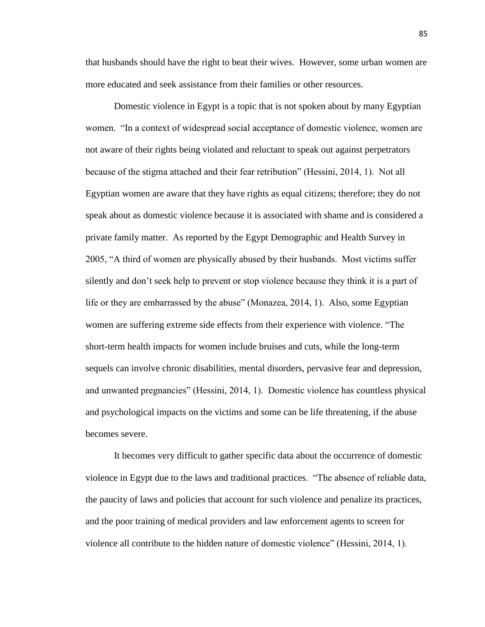that husbands should have the right to beat their wives. However, some urban women are more educated and seek assistance from their families or other resources.

Domestic violence in Egypt is a topic that is not spoken about by many Egyptian women. "In a context of widespread social acceptance of domestic violence, women are not aware of their rights being violated and reluctant to speak out against perpetrators because of the stigma attached and their fear retribution" (Hessini, 2014, 1). Not all Egyptian women are aware that they have rights as equal citizens; therefore; they do not speak about as domestic violence because it is associated with shame and is considered a private family matter. As reported by the Egypt Demographic and Health Survey in 2005, "A third of women are physically abused by their husbands. Most victims suffer silently and don't seek help to prevent or stop violence because they think it is a part of life or they are embarrassed by the abuse" (Monazea, 2014, 1). Also, some Egyptian women are suffering extreme side effects from their experience with violence. "The short-term health impacts for women include bruises and cuts, while the long-term sequels can involve chronic disabilities, mental disorders, pervasive fear and depression, and unwanted pregnancies" (Hessini, 2014, 1). Domestic violence has countless physical and psychological impacts on the victims and some can be life threatening, if the abuse becomes severe.

It becomes very difficult to gather specific data about the occurrence of domestic violence in Egypt due to the laws and traditional practices. "The absence of reliable data, the paucity of laws and policies that account for such violence and penalize its practices, and the poor training of medical providers and law enforcement agents to screen for violence all contribute to the hidden nature of domestic violence" (Hessini, 2014, 1).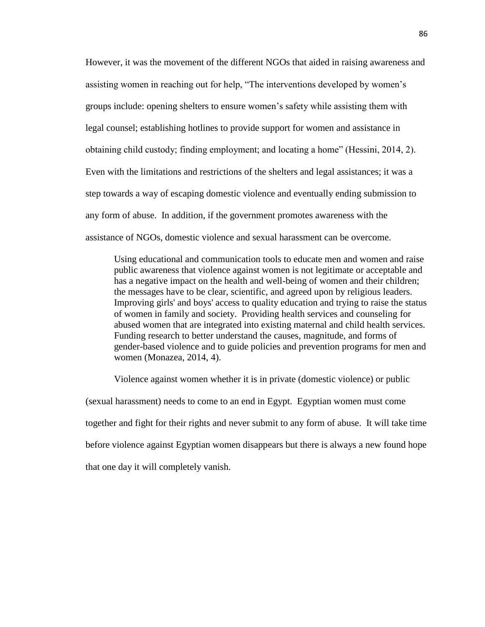However, it was the movement of the different NGOs that aided in raising awareness and assisting women in reaching out for help, "The interventions developed by women's groups include: opening shelters to ensure women's safety while assisting them with legal counsel; establishing hotlines to provide support for women and assistance in obtaining child custody; finding employment; and locating a home" (Hessini, 2014, 2). Even with the limitations and restrictions of the shelters and legal assistances; it was a step towards a way of escaping domestic violence and eventually ending submission to any form of abuse. In addition, if the government promotes awareness with the assistance of NGOs, domestic violence and sexual harassment can be overcome.

Using educational and communication tools to educate men and women and raise public awareness that violence against women is not legitimate or acceptable and has a negative impact on the health and well-being of women and their children; the messages have to be clear, scientific, and agreed upon by religious leaders. Improving girls' and boys' access to quality education and trying to raise the status of women in family and society. Providing health services and counseling for abused women that are integrated into existing maternal and child health services. Funding research to better understand the causes, magnitude, and forms of gender-based violence and to guide policies and prevention programs for men and women (Monazea, 2014, 4).

Violence against women whether it is in private (domestic violence) or public (sexual harassment) needs to come to an end in Egypt. Egyptian women must come together and fight for their rights and never submit to any form of abuse. It will take time before violence against Egyptian women disappears but there is always a new found hope that one day it will completely vanish.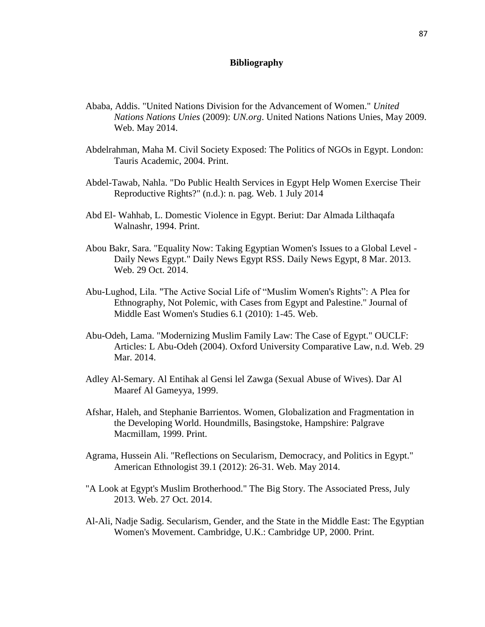## **Bibliography**

- Ababa, Addis. "United Nations Division for the Advancement of Women." *United Nations Nations Unies* (2009): *UN.org*. United Nations Nations Unies, May 2009. Web. May 2014.
- Abdelrahman, Maha M. Civil Society Exposed: The Politics of NGOs in Egypt. London: Tauris Academic, 2004. Print.
- Abdel-Tawab, Nahla. "Do Public Health Services in Egypt Help Women Exercise Their Reproductive Rights?" (n.d.): n. pag. Web. 1 July 2014
- Abd El- Wahhab, L. Domestic Violence in Egypt. Beriut: Dar Almada Lilthaqafa Walnashr, 1994. Print.
- Abou Bakr, Sara. "Equality Now: Taking Egyptian Women's Issues to a Global Level Daily News Egypt." Daily News Egypt RSS. Daily News Egypt, 8 Mar. 2013. Web. 29 Oct. 2014.
- Abu-Lughod, Lila. "The Active Social Life of "Muslim Women's Rights": A Plea for Ethnography, Not Polemic, with Cases from Egypt and Palestine." Journal of Middle East Women's Studies 6.1 (2010): 1-45. Web.
- Abu-Odeh, Lama. "Modernizing Muslim Family Law: The Case of Egypt." OUCLF: Articles: L Abu-Odeh (2004). Oxford University Comparative Law, n.d. Web. 29 Mar. 2014.
- Adley Al-Semary. Al Entihak al Gensi lel Zawga (Sexual Abuse of Wives). Dar Al Maaref Al Gameyya, 1999.
- Afshar, Haleh, and Stephanie Barrientos. Women, Globalization and Fragmentation in the Developing World. Houndmills, Basingstoke, Hampshire: Palgrave Macmillam, 1999. Print.
- Agrama, Hussein Ali. "Reflections on Secularism, Democracy, and Politics in Egypt." American Ethnologist 39.1 (2012): 26-31. Web. May 2014.
- "A Look at Egypt's Muslim Brotherhood." The Big Story. The Associated Press, July 2013. Web. 27 Oct. 2014.
- Al-Ali, Nadje Sadig. Secularism, Gender, and the State in the Middle East: The Egyptian Women's Movement. Cambridge, U.K.: Cambridge UP, 2000. Print.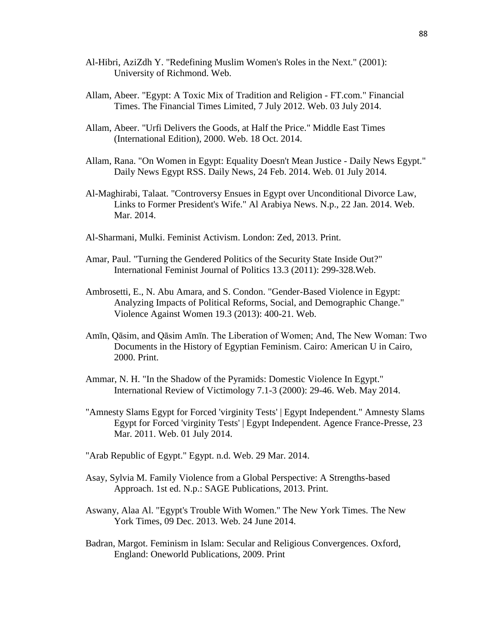- Al-Hibri, AziZdh Y. "Redefining Muslim Women's Roles in the Next." (2001): University of Richmond. Web.
- Allam, Abeer. "Egypt: A Toxic Mix of Tradition and Religion FT.com." Financial Times. The Financial Times Limited, 7 July 2012. Web. 03 July 2014.
- Allam, Abeer. "Urfi Delivers the Goods, at Half the Price." Middle East Times (International Edition), 2000. Web. 18 Oct. 2014.
- Allam, Rana. "On Women in Egypt: Equality Doesn't Mean Justice Daily News Egypt." Daily News Egypt RSS. Daily News, 24 Feb. 2014. Web. 01 July 2014.
- Al-Maghirabi, Talaat. "Controversy Ensues in Egypt over Unconditional Divorce Law, Links to Former President's Wife." Al Arabiya News. N.p., 22 Jan. 2014. Web. Mar. 2014.
- Al-Sharmani, Mulki. Feminist Activism. London: Zed, 2013. Print.
- Amar, Paul. "Turning the Gendered Politics of the Security State Inside Out?" International Feminist Journal of Politics 13.3 (2011): 299-328.Web.
- Ambrosetti, E., N. Abu Amara, and S. Condon. "Gender-Based Violence in Egypt: Analyzing Impacts of Political Reforms, Social, and Demographic Change." Violence Against Women 19.3 (2013): 400-21. Web.
- Amīn, Qāsim, and Qāsim Amīn. The Liberation of Women; And, The New Woman: Two Documents in the History of Egyptian Feminism. Cairo: American U in Cairo, 2000. Print.
- Ammar, N. H. "In the Shadow of the Pyramids: Domestic Violence In Egypt." International Review of Victimology 7.1-3 (2000): 29-46. Web. May 2014.
- "Amnesty Slams Egypt for Forced 'virginity Tests' | Egypt Independent." Amnesty Slams Egypt for Forced 'virginity Tests' | Egypt Independent. Agence France-Presse, 23 Mar. 2011. Web. 01 July 2014.
- "Arab Republic of Egypt." Egypt. n.d. Web. 29 Mar. 2014.
- Asay, Sylvia M. Family Violence from a Global Perspective: A Strengths-based Approach. 1st ed. N.p.: SAGE Publications, 2013. Print.
- Aswany, Alaa Al. "Egypt's Trouble With Women." The New York Times. The New York Times, 09 Dec. 2013. Web. 24 June 2014.
- Badran, Margot. Feminism in Islam: Secular and Religious Convergences. Oxford, England: Oneworld Publications, 2009. Print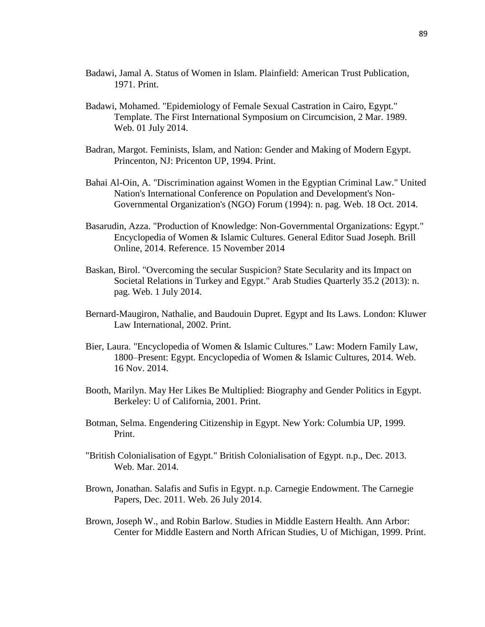- Badawi, Jamal A. Status of Women in Islam. Plainfield: American Trust Publication, 1971. Print.
- Badawi, Mohamed. "Epidemiology of Female Sexual Castration in Cairo, Egypt." Template. The First International Symposium on Circumcision, 2 Mar. 1989. Web. 01 July 2014.
- Badran, Margot. Feminists, Islam, and Nation: Gender and Making of Modern Egypt. Princenton, NJ: Pricenton UP, 1994. Print.
- Bahai Al-Oin, A. "Discrimination against Women in the Egyptian Criminal Law." United Nation's International Conference on Population and Development's Non-Governmental Organization's (NGO) Forum (1994): n. pag. Web. 18 Oct. 2014.
- Basarudin, Azza. "Production of Knowledge: Non-Governmental Organizations: Egypt." Encyclopedia of Women & Islamic Cultures. General Editor Suad Joseph. Brill Online, 2014. Reference. 15 November 2014
- Baskan, Birol. "Overcoming the secular Suspicion? State Secularity and its Impact on Societal Relations in Turkey and Egypt." Arab Studies Quarterly 35.2 (2013): n. pag. Web. 1 July 2014.
- Bernard-Maugiron, Nathalie, and Baudouin Dupret. Egypt and Its Laws. London: Kluwer Law International, 2002. Print.
- Bier, Laura. "Encyclopedia of Women & Islamic Cultures." Law: Modern Family Law, 1800–Present: Egypt. Encyclopedia of Women & Islamic Cultures, 2014. Web. 16 Nov. 2014.
- Booth, Marilyn. May Her Likes Be Multiplied: Biography and Gender Politics in Egypt. Berkeley: U of California, 2001. Print.
- Botman, Selma. Engendering Citizenship in Egypt. New York: Columbia UP, 1999. Print.
- "British Colonialisation of Egypt." British Colonialisation of Egypt. n.p., Dec. 2013. Web. Mar. 2014.
- Brown, Jonathan. Salafis and Sufis in Egypt. n.p. Carnegie Endowment. The Carnegie Papers, Dec. 2011. Web. 26 July 2014.
- Brown, Joseph W., and Robin Barlow. Studies in Middle Eastern Health. Ann Arbor: Center for Middle Eastern and North African Studies, U of Michigan, 1999. Print.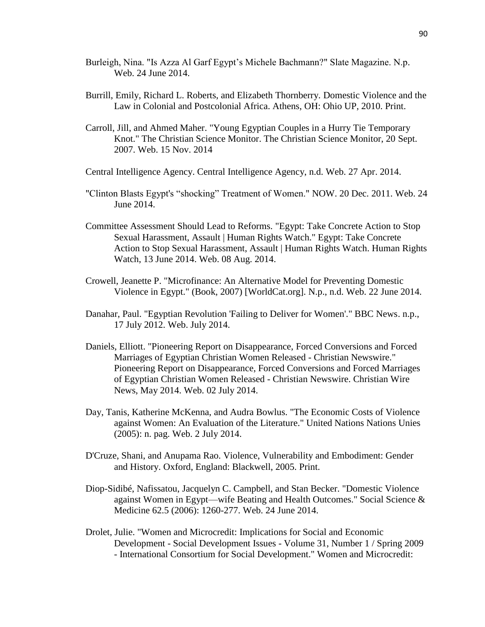- Burleigh, Nina. "Is Azza Al Garf Egypt's Michele Bachmann?" Slate Magazine. N.p. Web. 24 June 2014.
- Burrill, Emily, Richard L. Roberts, and Elizabeth Thornberry. Domestic Violence and the Law in Colonial and Postcolonial Africa. Athens, OH: Ohio UP, 2010. Print.
- Carroll, Jill, and Ahmed Maher. "Young Egyptian Couples in a Hurry Tie Temporary Knot." The Christian Science Monitor. The Christian Science Monitor, 20 Sept. 2007. Web. 15 Nov. 2014
- Central Intelligence Agency. Central Intelligence Agency, n.d. Web. 27 Apr. 2014.
- "Clinton Blasts Egypt's "shocking" Treatment of Women." NOW. 20 Dec. 2011. Web. 24 June 2014.
- Committee Assessment Should Lead to Reforms. "Egypt: Take Concrete Action to Stop Sexual Harassment, Assault | Human Rights Watch." Egypt: Take Concrete Action to Stop Sexual Harassment, Assault | Human Rights Watch. Human Rights Watch, 13 June 2014. Web. 08 Aug. 2014.
- Crowell, Jeanette P. "Microfinance: An Alternative Model for Preventing Domestic Violence in Egypt." (Book, 2007) [WorldCat.org]. N.p., n.d. Web. 22 June 2014.
- Danahar, Paul. "Egyptian Revolution 'Failing to Deliver for Women'." BBC News. n.p., 17 July 2012. Web. July 2014.
- Daniels, Elliott. "Pioneering Report on Disappearance, Forced Conversions and Forced Marriages of Egyptian Christian Women Released - Christian Newswire." Pioneering Report on Disappearance, Forced Conversions and Forced Marriages of Egyptian Christian Women Released - Christian Newswire. Christian Wire News, May 2014. Web. 02 July 2014.
- Day, Tanis, Katherine McKenna, and Audra Bowlus. "The Economic Costs of Violence against Women: An Evaluation of the Literature." United Nations Nations Unies (2005): n. pag. Web. 2 July 2014.
- D'Cruze, Shani, and Anupama Rao. Violence, Vulnerability and Embodiment: Gender and History. Oxford, England: Blackwell, 2005. Print.
- Diop-Sidibé, Nafissatou, Jacquelyn C. Campbell, and Stan Becker. "Domestic Violence against Women in Egypt—wife Beating and Health Outcomes." Social Science & Medicine 62.5 (2006): 1260-277. Web. 24 June 2014.
- Drolet, Julie. "Women and Microcredit: Implications for Social and Economic Development - Social Development Issues - Volume 31, Number 1 / Spring 2009 - International Consortium for Social Development." Women and Microcredit: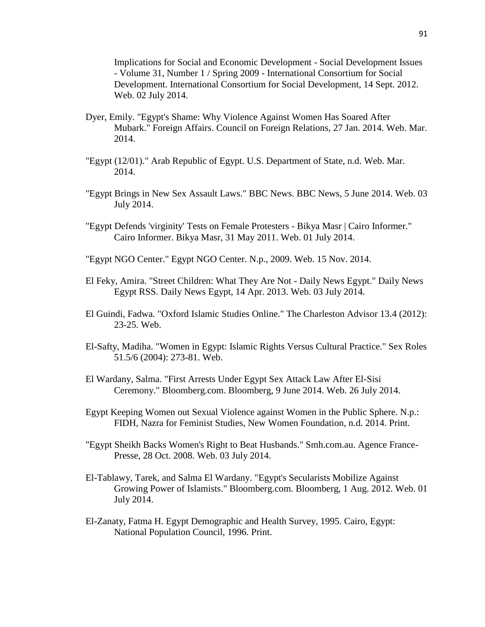Implications for Social and Economic Development - Social Development Issues - Volume 31, Number 1 / Spring 2009 - International Consortium for Social Development. International Consortium for Social Development, 14 Sept. 2012. Web. 02 July 2014.

- Dyer, Emily. "Egypt's Shame: Why Violence Against Women Has Soared After Mubark." Foreign Affairs. Council on Foreign Relations, 27 Jan. 2014. Web. Mar. 2014.
- "Egypt (12/01)." Arab Republic of Egypt. U.S. Department of State, n.d. Web. Mar. 2014.
- "Egypt Brings in New Sex Assault Laws." BBC News. BBC News, 5 June 2014. Web. 03 July 2014.
- "Egypt Defends 'virginity' Tests on Female Protesters Bikya Masr | Cairo Informer." Cairo Informer. Bikya Masr, 31 May 2011. Web. 01 July 2014.
- "Egypt NGO Center." Egypt NGO Center. N.p., 2009. Web. 15 Nov. 2014.
- El Feky, Amira. "Street Children: What They Are Not Daily News Egypt." Daily News Egypt RSS. Daily News Egypt, 14 Apr. 2013. Web. 03 July 2014.
- El Guindi, Fadwa. "Oxford Islamic Studies Online." The Charleston Advisor 13.4 (2012): 23-25. Web.
- El-Safty, Madiha. "Women in Egypt: Islamic Rights Versus Cultural Practice." Sex Roles 51.5/6 (2004): 273-81. Web.
- El Wardany, Salma. "First Arrests Under Egypt Sex Attack Law After El-Sisi Ceremony." Bloomberg.com. Bloomberg, 9 June 2014. Web. 26 July 2014.
- Egypt Keeping Women out Sexual Violence against Women in the Public Sphere. N.p.: FIDH, Nazra for Feminist Studies, New Women Foundation, n.d. 2014. Print.
- "Egypt Sheikh Backs Women's Right to Beat Husbands." Smh.com.au. Agence France-Presse, 28 Oct. 2008. Web. 03 July 2014.
- El-Tablawy, Tarek, and Salma El Wardany. "Egypt's Secularists Mobilize Against Growing Power of Islamists." Bloomberg.com. Bloomberg, 1 Aug. 2012. Web. 01 July 2014.
- El-Zanaty, Fatma H. Egypt Demographic and Health Survey, 1995. Cairo, Egypt: National Population Council, 1996. Print.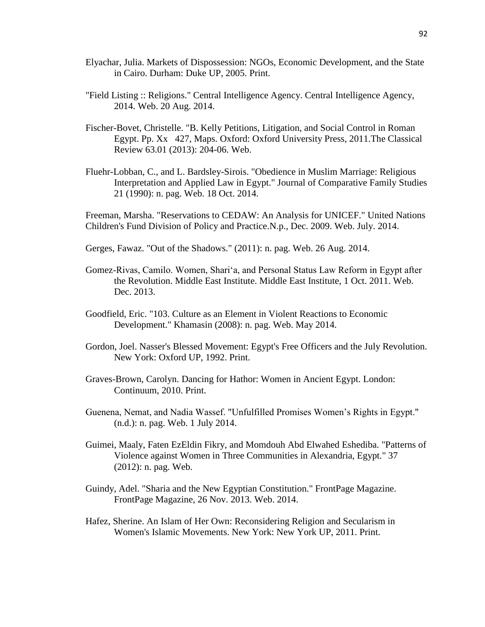- Elyachar, Julia. Markets of Dispossession: NGOs, Economic Development, and the State in Cairo. Durham: Duke UP, 2005. Print.
- "Field Listing :: Religions." Central Intelligence Agency. Central Intelligence Agency, 2014. Web. 20 Aug. 2014.
- Fischer-Bovet, Christelle. "B. Kelly Petitions, Litigation, and Social Control in Roman Egypt. Pp. Xx 427, Maps. Oxford: Oxford University Press, 2011.The Classical Review 63.01 (2013): 204-06. Web.
- Fluehr-Lobban, C., and L. Bardsley-Sirois. "Obedience in Muslim Marriage: Religious Interpretation and Applied Law in Egypt." Journal of Comparative Family Studies 21 (1990): n. pag. Web. 18 Oct. 2014.

Freeman, Marsha. "Reservations to CEDAW: An Analysis for UNICEF." United Nations Children's Fund Division of Policy and Practice.N.p., Dec. 2009. Web. July. 2014.

- Gerges, Fawaz. "Out of the Shadows." (2011): n. pag. Web. 26 Aug. 2014.
- Gomez-Rivas, Camilo. Women, Shari'a, and Personal Status Law Reform in Egypt after the Revolution. Middle East Institute. Middle East Institute, 1 Oct. 2011. Web. Dec. 2013.
- Goodfield, Eric. "103. Culture as an Element in Violent Reactions to Economic Development." Khamasin (2008): n. pag. Web. May 2014.
- Gordon, Joel. Nasser's Blessed Movement: Egypt's Free Officers and the July Revolution. New York: Oxford UP, 1992. Print.
- Graves-Brown, Carolyn. Dancing for Hathor: Women in Ancient Egypt. London: Continuum, 2010. Print.
- Guenena, Nemat, and Nadia Wassef. "Unfulfilled Promises Women's Rights in Egypt." (n.d.): n. pag. Web. 1 July 2014.
- Guimei, Maaly, Faten EzEldin Fikry, and Momdouh Abd Elwahed Eshediba. "Patterns of Violence against Women in Three Communities in Alexandria, Egypt." 37 (2012): n. pag. Web.
- Guindy, Adel. "Sharia and the New Egyptian Constitution." FrontPage Magazine. FrontPage Magazine, 26 Nov. 2013. Web. 2014.
- Hafez, Sherine. An Islam of Her Own: Reconsidering Religion and Secularism in Women's Islamic Movements. New York: New York UP, 2011. Print.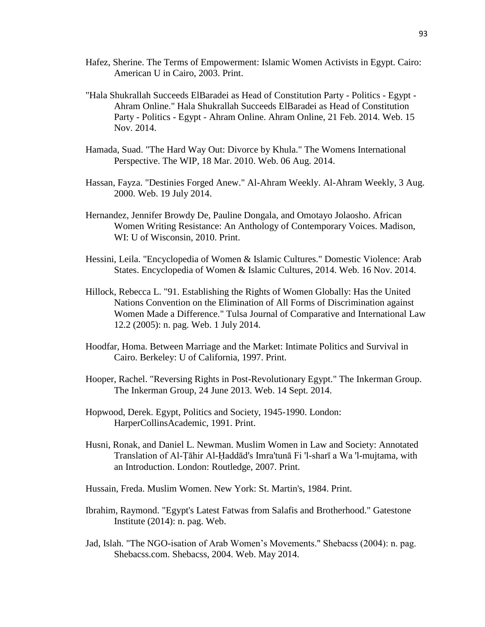- Hafez, Sherine. The Terms of Empowerment: Islamic Women Activists in Egypt. Cairo: American U in Cairo, 2003. Print.
- "Hala Shukrallah Succeeds ElBaradei as Head of Constitution Party Politics Egypt Ahram Online." Hala Shukrallah Succeeds ElBaradei as Head of Constitution Party - Politics - Egypt - Ahram Online. Ahram Online, 21 Feb. 2014. Web. 15 Nov. 2014.
- Hamada, Suad. "The Hard Way Out: Divorce by Khula." The Womens International Perspective. The WIP, 18 Mar. 2010. Web. 06 Aug. 2014.
- Hassan, Fayza. "Destinies Forged Anew." Al-Ahram Weekly. Al-Ahram Weekly, 3 Aug. 2000. Web. 19 July 2014.
- Hernandez, Jennifer Browdy De, Pauline Dongala, and Omotayo Jolaosho. African Women Writing Resistance: An Anthology of Contemporary Voices. Madison, WI: U of Wisconsin, 2010. Print.
- Hessini, Leila. "Encyclopedia of Women & Islamic Cultures." Domestic Violence: Arab States. Encyclopedia of Women & Islamic Cultures, 2014. Web. 16 Nov. 2014.
- Hillock, Rebecca L. "91. Establishing the Rights of Women Globally: Has the United Nations Convention on the Elimination of All Forms of Discrimination against Women Made a Difference." Tulsa Journal of Comparative and International Law 12.2 (2005): n. pag. Web. 1 July 2014.
- Hoodfar, Homa. Between Marriage and the Market: Intimate Politics and Survival in Cairo. Berkeley: U of California, 1997. Print.
- Hooper, Rachel. "Reversing Rights in Post-Revolutionary Egypt." The Inkerman Group. The Inkerman Group, 24 June 2013. Web. 14 Sept. 2014.
- Hopwood, Derek. Egypt, Politics and Society, 1945-1990. London: HarperCollinsAcademic, 1991. Print.
- Husni, Ronak, and Daniel L. Newman. Muslim Women in Law and Society: Annotated Translation of Al-Ṭāhir Al-Ḥaddād's Imra'tunā Fi 'l-sharī a Wa 'l-mujtama, with an Introduction. London: Routledge, 2007. Print.
- Hussain, Freda. Muslim Women. New York: St. Martin's, 1984. Print.
- Ibrahim, Raymond. "Egypt's Latest Fatwas from Salafis and Brotherhood." Gatestone Institute (2014): n. pag. Web.
- Jad, Islah. "The NGO-isation of Arab Women's Movements." Shebacss (2004): n. pag. Shebacss.com. Shebacss, 2004. Web. May 2014.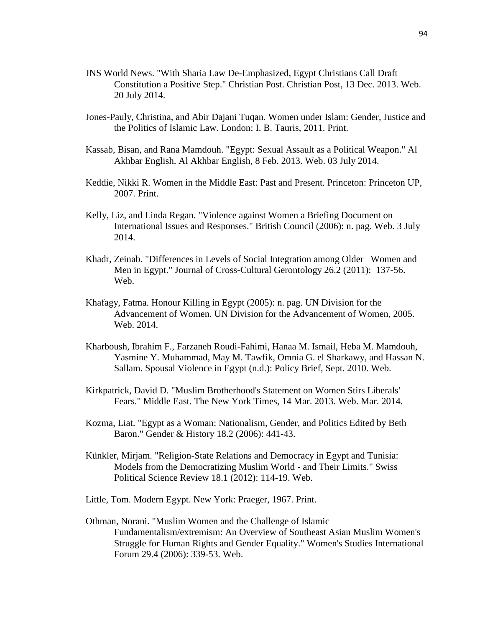- JNS World News. "With Sharia Law De-Emphasized, Egypt Christians Call Draft Constitution a Positive Step." Christian Post. Christian Post, 13 Dec. 2013. Web. 20 July 2014.
- Jones-Pauly, Christina, and Abir Dajani Tuqan. Women under Islam: Gender, Justice and the Politics of Islamic Law. London: I. B. Tauris, 2011. Print.
- Kassab, Bisan, and Rana Mamdouh. "Egypt: Sexual Assault as a Political Weapon." Al Akhbar English. Al Akhbar English, 8 Feb. 2013. Web. 03 July 2014.
- Keddie, Nikki R. Women in the Middle East: Past and Present. Princeton: Princeton UP, 2007. Print.
- Kelly, Liz, and Linda Regan. "Violence against Women a Briefing Document on International Issues and Responses." British Council (2006): n. pag. Web. 3 July 2014.
- Khadr, Zeinab. "Differences in Levels of Social Integration among Older Women and Men in Egypt." Journal of Cross-Cultural Gerontology 26.2 (2011): 137-56. Web.
- Khafagy, Fatma. Honour Killing in Egypt (2005): n. pag. UN Division for the Advancement of Women. UN Division for the Advancement of Women, 2005. Web. 2014.
- Kharboush, Ibrahim F., Farzaneh Roudi-Fahimi, Hanaa M. Ismail, Heba M. Mamdouh, Yasmine Y. Muhammad, May M. Tawfik, Omnia G. el Sharkawy, and Hassan N. Sallam. Spousal Violence in Egypt (n.d.): Policy Brief, Sept. 2010. Web.
- Kirkpatrick, David D. "Muslim Brotherhood's Statement on Women Stirs Liberals' Fears." Middle East. The New York Times, 14 Mar. 2013. Web. Mar. 2014.
- Kozma, Liat. "Egypt as a Woman: Nationalism, Gender, and Politics Edited by Beth Baron." Gender & History 18.2 (2006): 441-43.
- Künkler, Mirjam. "Religion-State Relations and Democracy in Egypt and Tunisia: Models from the Democratizing Muslim World - and Their Limits." Swiss Political Science Review 18.1 (2012): 114-19. Web.
- Little, Tom. Modern Egypt. New York: Praeger, 1967. Print.
- Othman, Norani. "Muslim Women and the Challenge of Islamic Fundamentalism/extremism: An Overview of Southeast Asian Muslim Women's Struggle for Human Rights and Gender Equality." Women's Studies International Forum 29.4 (2006): 339-53. Web.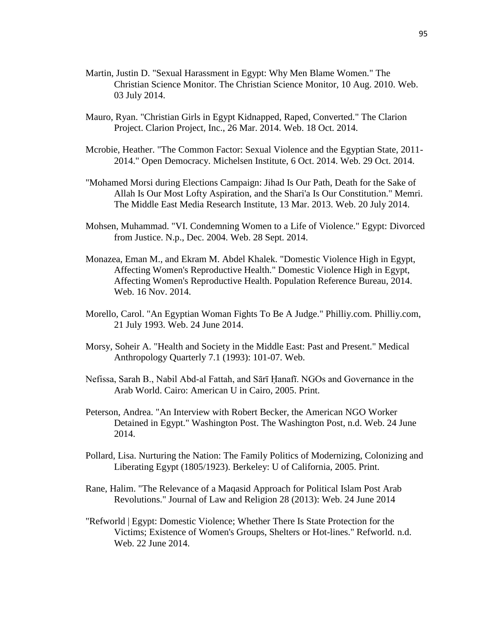- Martin, Justin D. "Sexual Harassment in Egypt: Why Men Blame Women." The Christian Science Monitor. The Christian Science Monitor, 10 Aug. 2010. Web. 03 July 2014.
- Mauro, Ryan. "Christian Girls in Egypt Kidnapped, Raped, Converted." The Clarion Project. Clarion Project, Inc., 26 Mar. 2014. Web. 18 Oct. 2014.
- Mcrobie, Heather. "The Common Factor: Sexual Violence and the Egyptian State, 2011- 2014." Open Democracy. Michelsen Institute, 6 Oct. 2014. Web. 29 Oct. 2014.
- "Mohamed Morsi during Elections Campaign: Jihad Is Our Path, Death for the Sake of Allah Is Our Most Lofty Aspiration, and the Shari'a Is Our Constitution." Memri. The Middle East Media Research Institute, 13 Mar. 2013. Web. 20 July 2014.
- Mohsen, Muhammad. "VI. Condemning Women to a Life of Violence." Egypt: Divorced from Justice. N.p., Dec. 2004. Web. 28 Sept. 2014.
- Monazea, Eman M., and Ekram M. Abdel Khalek. "Domestic Violence High in Egypt, Affecting Women's Reproductive Health." Domestic Violence High in Egypt, Affecting Women's Reproductive Health. Population Reference Bureau, 2014. Web. 16 Nov. 2014.
- Morello, Carol. "An Egyptian Woman Fights To Be A Judge." Philliy.com. Philliy.com, 21 July 1993. Web. 24 June 2014.
- Morsy, Soheir A. "Health and Society in the Middle East: Past and Present." Medical Anthropology Quarterly 7.1 (1993): 101-07. Web.
- Nefissa, Sarah B., Nabil Abd-al Fattah, and Sārī Ḥanafī. NGOs and Governance in the Arab World. Cairo: American U in Cairo, 2005. Print.
- Peterson, Andrea. "An Interview with Robert Becker, the American NGO Worker Detained in Egypt." Washington Post. The Washington Post, n.d. Web. 24 June 2014.
- Pollard, Lisa. Nurturing the Nation: The Family Politics of Modernizing, Colonizing and Liberating Egypt (1805/1923). Berkeley: U of California, 2005. Print.
- Rane, Halim. "The Relevance of a Maqasid Approach for Political Islam Post Arab Revolutions." Journal of Law and Religion 28 (2013): Web. 24 June 2014
- "Refworld | Egypt: Domestic Violence; Whether There Is State Protection for the Victims; Existence of Women's Groups, Shelters or Hot-lines." Refworld. n.d. Web. 22 June 2014.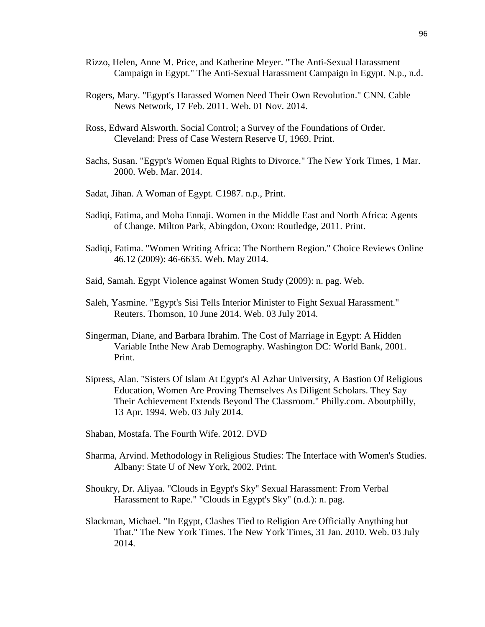- Rizzo, Helen, Anne M. Price, and Katherine Meyer. "The Anti-Sexual Harassment Campaign in Egypt." The Anti-Sexual Harassment Campaign in Egypt. N.p., n.d.
- Rogers, Mary. "Egypt's Harassed Women Need Their Own Revolution." CNN. Cable News Network, 17 Feb. 2011. Web. 01 Nov. 2014.
- Ross, Edward Alsworth. Social Control; a Survey of the Foundations of Order. Cleveland: Press of Case Western Reserve U, 1969. Print.
- Sachs, Susan. "Egypt's Women Equal Rights to Divorce." The New York Times, 1 Mar. 2000. Web. Mar. 2014.
- Sadat, Jihan. A Woman of Egypt. C1987. n.p., Print.
- Sadiqi, Fatima, and Moha Ennaji. Women in the Middle East and North Africa: Agents of Change. Milton Park, Abingdon, Oxon: Routledge, 2011. Print.
- Sadiqi, Fatima. "Women Writing Africa: The Northern Region." Choice Reviews Online 46.12 (2009): 46-6635. Web. May 2014.
- Said, Samah. Egypt Violence against Women Study (2009): n. pag. Web.
- Saleh, Yasmine. "Egypt's Sisi Tells Interior Minister to Fight Sexual Harassment." Reuters. Thomson, 10 June 2014. Web. 03 July 2014.
- Singerman, Diane, and Barbara Ibrahim. The Cost of Marriage in Egypt: A Hidden Variable Inthe New Arab Demography. Washington DC: World Bank, 2001. Print.
- Sipress, Alan. "Sisters Of Islam At Egypt's Al Azhar University, A Bastion Of Religious Education, Women Are Proving Themselves As Diligent Scholars. They Say Their Achievement Extends Beyond The Classroom." Philly.com. Aboutphilly, 13 Apr. 1994. Web. 03 July 2014.
- Shaban, Mostafa. The Fourth Wife. 2012. DVD
- Sharma, Arvind. Methodology in Religious Studies: The Interface with Women's Studies. Albany: State U of New York, 2002. Print.
- Shoukry, Dr. Aliyaa. "Clouds in Egypt's Sky" Sexual Harassment: From Verbal Harassment to Rape." "Clouds in Egypt's Sky" (n.d.): n. pag.
- Slackman, Michael. "In Egypt, Clashes Tied to Religion Are Officially Anything but That." The New York Times. The New York Times, 31 Jan. 2010. Web. 03 July 2014.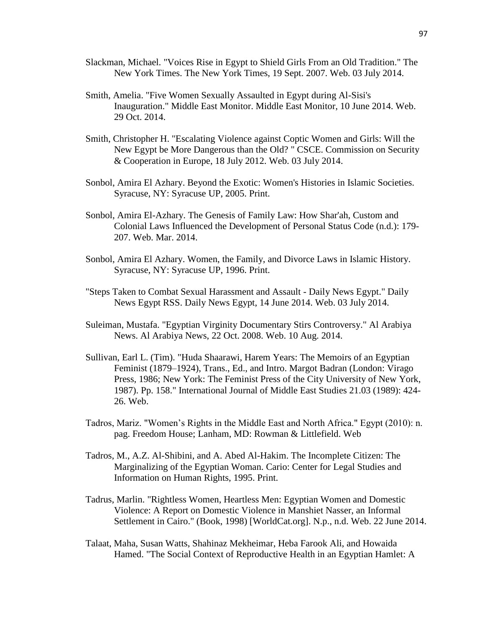- Slackman, Michael. "Voices Rise in Egypt to Shield Girls From an Old Tradition." The New York Times. The New York Times, 19 Sept. 2007. Web. 03 July 2014.
- Smith, Amelia. "Five Women Sexually Assaulted in Egypt during Al-Sisi's Inauguration." Middle East Monitor. Middle East Monitor, 10 June 2014. Web. 29 Oct. 2014.
- Smith, Christopher H. "Escalating Violence against Coptic Women and Girls: Will the New Egypt be More Dangerous than the Old? " CSCE. Commission on Security & Cooperation in Europe, 18 July 2012. Web. 03 July 2014.
- Sonbol, Amira El Azhary. Beyond the Exotic: Women's Histories in Islamic Societies. Syracuse, NY: Syracuse UP, 2005. Print.
- Sonbol, Amira El-Azhary. The Genesis of Family Law: How Shar'ah, Custom and Colonial Laws Influenced the Development of Personal Status Code (n.d.): 179- 207. Web. Mar. 2014.
- Sonbol, Amira El Azhary. Women, the Family, and Divorce Laws in Islamic History. Syracuse, NY: Syracuse UP, 1996. Print.
- "Steps Taken to Combat Sexual Harassment and Assault Daily News Egypt." Daily News Egypt RSS. Daily News Egypt, 14 June 2014. Web. 03 July 2014.
- Suleiman, Mustafa. "Egyptian Virginity Documentary Stirs Controversy." Al Arabiya News. Al Arabiya News, 22 Oct. 2008. Web. 10 Aug. 2014.
- Sullivan, Earl L. (Tim). "Huda Shaarawi, Harem Years: The Memoirs of an Egyptian Feminist (1879–1924), Trans., Ed., and Intro. Margot Badran (London: Virago Press, 1986; New York: The Feminist Press of the City University of New York, 1987). Pp. 158." International Journal of Middle East Studies 21.03 (1989): 424- 26. Web.
- Tadros, Mariz. "Women's Rights in the Middle East and North Africa." Egypt (2010): n. pag. Freedom House; Lanham, MD: Rowman & Littlefield. Web
- Tadros, M., A.Z. Al-Shibini, and A. Abed Al-Hakim. The Incomplete Citizen: The Marginalizing of the Egyptian Woman. Cario: Center for Legal Studies and Information on Human Rights, 1995. Print.
- Tadrus, Marlin. "Rightless Women, Heartless Men: Egyptian Women and Domestic Violence: A Report on Domestic Violence in Manshiet Nasser, an Informal Settlement in Cairo." (Book, 1998) [WorldCat.org]. N.p., n.d. Web. 22 June 2014.
- Talaat, Maha, Susan Watts, Shahinaz Mekheimar, Heba Farook Ali, and Howaida Hamed. "The Social Context of Reproductive Health in an Egyptian Hamlet: A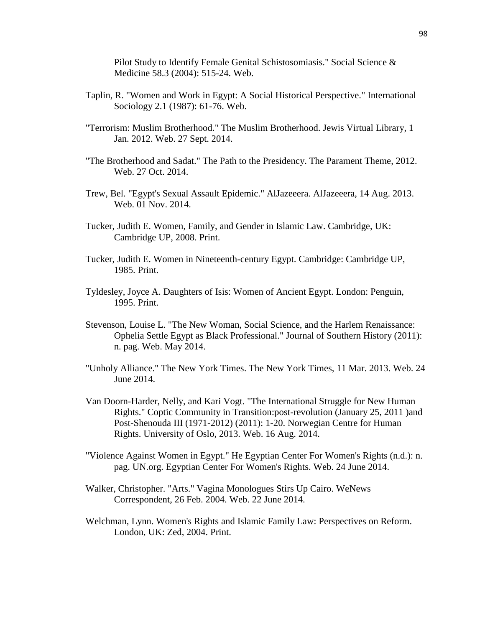Pilot Study to Identify Female Genital Schistosomiasis." Social Science & Medicine 58.3 (2004): 515-24. Web.

- Taplin, R. "Women and Work in Egypt: A Social Historical Perspective." International Sociology 2.1 (1987): 61-76. Web.
- "Terrorism: Muslim Brotherhood." The Muslim Brotherhood. Jewis Virtual Library, 1 Jan. 2012. Web. 27 Sept. 2014.
- "The Brotherhood and Sadat." The Path to the Presidency. The Parament Theme, 2012. Web. 27 Oct. 2014.
- Trew, Bel. "Egypt's Sexual Assault Epidemic." AlJazeeera. AlJazeeera, 14 Aug. 2013. Web. 01 Nov. 2014.
- Tucker, Judith E. Women, Family, and Gender in Islamic Law. Cambridge, UK: Cambridge UP, 2008. Print.
- Tucker, Judith E. Women in Nineteenth-century Egypt. Cambridge: Cambridge UP, 1985. Print.
- Tyldesley, Joyce A. Daughters of Isis: Women of Ancient Egypt. London: Penguin, 1995. Print.
- Stevenson, Louise L. "The New Woman, Social Science, and the Harlem Renaissance: Ophelia Settle Egypt as Black Professional." Journal of Southern History (2011): n. pag. Web. May 2014.
- "Unholy Alliance." The New York Times. The New York Times, 11 Mar. 2013. Web. 24 June 2014.
- Van Doorn-Harder, Nelly, and Kari Vogt. "The International Struggle for New Human Rights." Coptic Community in Transition:post-revolution (January 25, 2011 )and Post-Shenouda III (1971-2012) (2011): 1-20. Norwegian Centre for Human Rights. University of Oslo, 2013. Web. 16 Aug. 2014.
- "Violence Against Women in Egypt." He Egyptian Center For Women's Rights (n.d.): n. pag. UN.org. Egyptian Center For Women's Rights. Web. 24 June 2014.
- Walker, Christopher. "Arts." Vagina Monologues Stirs Up Cairo. WeNews Correspondent, 26 Feb. 2004. Web. 22 June 2014.
- Welchman, Lynn. Women's Rights and Islamic Family Law: Perspectives on Reform. London, UK: Zed, 2004. Print.